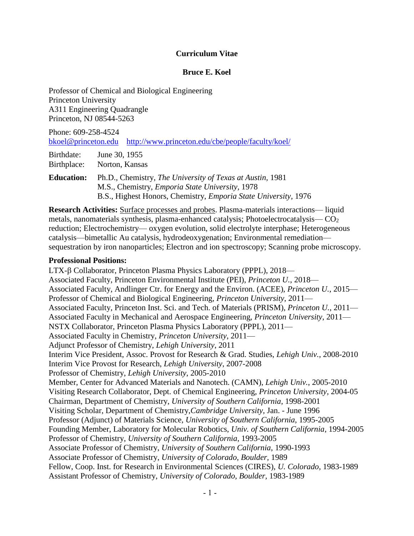#### **Curriculum Vitae**

#### **Bruce E. Koel**

Professor of Chemical and Biological Engineering Princeton University A311 Engineering Quadrangle Princeton, NJ 08544-5263

Phone: 609-258-4524 [bkoel@princeton.edu](mailto:bkoel@princeton.edu) <http://www.princeton.edu/cbe/people/faculty/koel/>

Birthdate: June 30, 1955 Birthplace: Norton, Kansas

**Education:** Ph.D., Chemistry, *The University of Texas at Austin,* 1981 M.S., Chemistry, *Emporia State University,* 1978 B.S., Highest Honors, Chemistry, *Emporia State University,* 1976

**Research Activities:** Surface processes and probes. Plasma-materials interactions— liquid metals, nanomaterials synthesis, plasma-enhanced catalysis; Photoelectrocatalysis— CO<sup>2</sup> reduction; Electrochemistry— oxygen evolution, solid electrolyte interphase; Heterogeneous catalysis—bimetallic Au catalysis, hydrodeoxygenation; Environmental remediation sequestration by iron nanoparticles; Electron and ion spectroscopy; Scanning probe microscopy.

#### **Professional Positions:**

LTX-ß Collaborator, Princeton Plasma Physics Laboratory (PPPL), 2018— Associated Faculty, Princeton Environmental Institute (PEI), *Princeton U.*, 2018— Associated Faculty, Andlinger Ctr. for Energy and the Environ. (ACEE), *Princeton U.*, 2015— Professor of Chemical and Biological Engineering, *Princeton University*, 2011— Associated Faculty, Princeton Inst. Sci. and Tech. of Materials (PRISM), *Princeton U.*, 2011— Associated Faculty in Mechanical and Aerospace Engineering, *Princeton University*, 2011— NSTX Collaborator, Princeton Plasma Physics Laboratory (PPPL), 2011— Associated Faculty in Chemistry, *Princeton University*, 2011— Adjunct Professor of Chemistry, *Lehigh University*, 2011 Interim Vice President, Assoc. Provost for Research & Grad. Studies, *Lehigh Univ.*, 2008-2010 Interim Vice Provost for Research, *Lehigh University*, 2007-2008 Professor of Chemistry, *Lehigh University*, 2005-2010 Member, Center for Advanced Materials and Nanotech. (CAMN), *Lehigh Univ.*, 2005-2010 Visiting Research Collaborator, Dept. of Chemical Engineering, *Princeton University,* 2004-05 Chairman, Department of Chemistry, *University of Southern California*, 1998-2001 Visiting Scholar, Department of Chemistry,*Cambridge University,* Jan. - June 1996 Professor (Adjunct) of Materials Science, *University of Southern California*, 1995-2005 Founding Member, Laboratory for Molecular Robotics, *Univ. of Southern California*, 1994-2005 Professor of Chemistry, *University of Southern California*, 1993-2005 Associate Professor of Chemistry, *University of Southern California*, 1990-1993 Associate Professor of Chemistry, *University of Colorado, Boulder,* 1989 Fellow, Coop. Inst. for Research in Environmental Sciences (CIRES), *U. Colorado*, 1983-1989 Assistant Professor of Chemistry, *University of Colorado, Boulder,* 1983-1989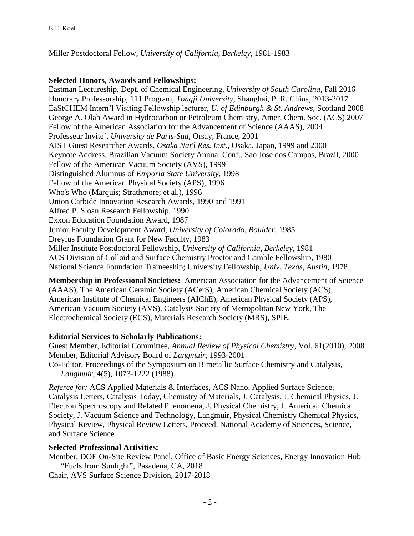Miller Postdoctoral Fellow, *University of California, Berkeley,* 1981-1983

### **Selected Honors, Awards and Fellowships:**

Eastman Lectureship, Dept. of Chemical Engineering, *University of South Carolina,* Fall 2016 Honorary Professorship, 111 Program, *Tongji University*, Shanghai, P. R. China, 2013-2017 EaStCHEM Intern'l Visiting Fellowship lecturer, *U. of Edinburgh & St. Andrews*, Scotland 2008 George A. Olah Award in Hydrocarbon or Petroleum Chemistry, Amer. Chem. Soc. (ACS) 2007 Fellow of the American Association for the Advancement of Science (AAAS), 2004 Professeur Invite´, *University de Paris-Sud*, Orsay, France, 2001 AIST Guest Researcher Awards, *Osaka Nat'l Res. Inst.*, Osaka, Japan, 1999 and 2000 Keynote Address, Brazilian Vacuum Society Annual Conf., Sao Jose dos Campos, Brazil, 2000 Fellow of the American Vacuum Society (AVS), 1999 Distinguished Alumnus of *Emporia State University*, 1998 Fellow of the American Physical Society (APS), 1996 Who's Who (Marquis; Strathmore; et al.), 1996— Union Carbide Innovation Research Awards, 1990 and 1991 Alfred P. Sloan Research Fellowship, 1990 Exxon Education Foundation Award, 1987 Junior Faculty Development Award, *University of Colorado, Boulder*, 1985 Dreyfus Foundation Grant for New Faculty, 1983 Miller Institute Postdoctoral Fellowship, *University of California, Berkeley*, 1981 ACS Division of Colloid and Surface Chemistry Proctor and Gamble Fellowship, 1980 National Science Foundation Traineeship; University Fellowship, *Univ. Texas, Austin,* 1978

**Membership in Professional Societies:** American Association for the Advancement of Science (AAAS), The American Ceramic Society (ACerS), American Chemical Society (ACS), American Institute of Chemical Engineers (AIChE), American Physical Society (APS), American Vacuum Society (AVS), Catalysis Society of Metropolitan New York, The Electrochemical Society (ECS), Materials Research Society (MRS), SPIE.

## **Editorial Services to Scholarly Publications:**

Guest Member, Editorial Committee, *Annual Review of Physical Chemistry*, Vol. 61(2010), 2008 Member, Editorial Advisory Board of *Langmuir*, 1993-2001 Co-Editor, Proceedings of the Symposium on Bimetallic Surface Chemistry and Catalysis,

*Langmuir*, **4**(5), 1073-1222 (1988)

*Referee for:* ACS Applied Materials & Interfaces, ACS Nano, Applied Surface Science, Catalysis Letters, Catalysis Today, Chemistry of Materials, J. Catalysis, J. Chemical Physics, J. Electron Spectroscopy and Related Phenomena, J. Physical Chemistry, J. American Chemical Society, J. Vacuum Science and Technology, Langmuir, Physical Chemistry Chemical Physics, Physical Review, Physical Review Letters, Proceed. National Academy of Sciences, Science, and Surface Science

### **Selected Professional Activities:**

Member, DOE On-Site Review Panel, Office of Basic Energy Sciences, Energy Innovation Hub "Fuels from Sunlight", Pasadena, CA, 2018

Chair, AVS Surface Science Division, 2017-2018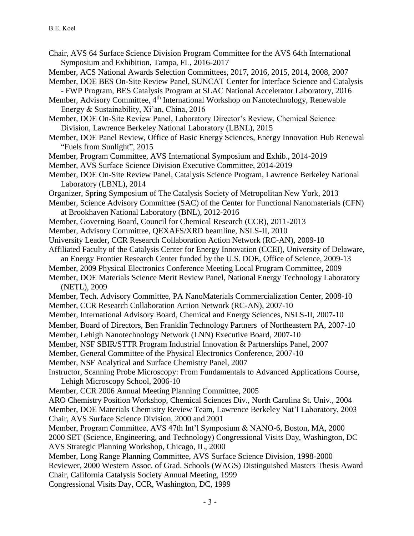- Chair, AVS 64 Surface Science Division Program Committee for the AVS 64th International Symposium and Exhibition, Tampa, FL, 2016-2017
- Member, ACS National Awards Selection Committees, 2017, 2016, 2015, 2014, 2008, 2007
- Member, DOE BES On-Site Review Panel, SUNCAT Center for Interface Science and Catalysis - FWP Program, BES Catalysis Program at SLAC National Accelerator Laboratory, 2016
- Member, Advisory Committee, 4<sup>th</sup> International Workshop on Nanotechnology, Renewable Energy & Sustainability, Xi'an, China, 2016
- Member, DOE On-Site Review Panel, Laboratory Director's Review, Chemical Science Division, Lawrence Berkeley National Laboratory (LBNL), 2015
- Member, DOE Panel Review, Office of Basic Energy Sciences, Energy Innovation Hub Renewal "Fuels from Sunlight", 2015
- Member, Program Committee, AVS International Symposium and Exhib., 2014-2019
- Member, AVS Surface Science Division Executive Committee, 2014-2019
- Member, DOE On-Site Review Panel, Catalysis Science Program, Lawrence Berkeley National Laboratory (LBNL), 2014
- Organizer, Spring Symposium of The Catalysis Society of Metropolitan New York, 2013
- Member, Science Advisory Committee (SAC) of the Center for Functional Nanomaterials (CFN) at Brookhaven National Laboratory (BNL), 2012-2016
- Member, Governing Board, Council for Chemical Research (CCR), 2011-2013
- Member, Advisory Committee, QEXAFS/XRD beamline, NSLS-II, 2010
- University Leader, CCR Research Collaboration Action Network (RC-AN), 2009-10
- Affiliated Faculty of the Catalysis Center for Energy Innovation (CCEI), University of Delaware, an Energy Frontier Research Center funded by the U.S. DOE, Office of Science, 2009-13
- Member, 2009 Physical Electronics Conference Meeting Local Program Committee, 2009
- Member, DOE Materials Science Merit Review Panel, National Energy Technology Laboratory
- (NETL), 2009
- Member, Tech. Advisory Committee, PA NanoMaterials Commercialization Center, 2008-10
- Member, CCR Research Collaboration Action Network (RC-AN), 2007-10
- Member, International Advisory Board, Chemical and Energy Sciences, NSLS-II, 2007-10
- Member, Board of Directors, Ben Franklin Technology Partners of Northeastern PA, 2007-10
- Member, Lehigh Nanotechnology Network (LNN) Executive Board, 2007-10
- Member, NSF SBIR/STTR Program Industrial Innovation & Partnerships Panel, 2007
- Member, General Committee of the Physical Electronics Conference, 2007-10
- Member, NSF Analytical and Surface Chemistry Panel, 2007
- Instructor, Scanning Probe Microscopy: From Fundamentals to Advanced Applications Course, Lehigh Microscopy School, 2006-10
- Member, CCR 2006 Annual Meeting Planning Committee, 2005
- ARO Chemistry Position Workshop, Chemical Sciences Div., North Carolina St. Univ., 2004 Member, DOE Materials Chemistry Review Team, Lawrence Berkeley Nat'l Laboratory, 2003 Chair, AVS Surface Science Division, 2000 and 2001
- Member, Program Committee, AVS 47th Int'l Symposium & NANO-6, Boston, MA, 2000
- 2000 SET (Science, Engineering, and Technology) Congressional Visits Day, Washington, DC AVS Strategic Planning Workshop, Chicago, IL, 2000

Member, Long Range Planning Committee, AVS Surface Science Division, 1998-2000 Reviewer, 2000 Western Assoc. of Grad. Schools (WAGS) Distinguished Masters Thesis Award Chair, California Catalysis Society Annual Meeting, 1999

Congressional Visits Day, CCR, Washington, DC, 1999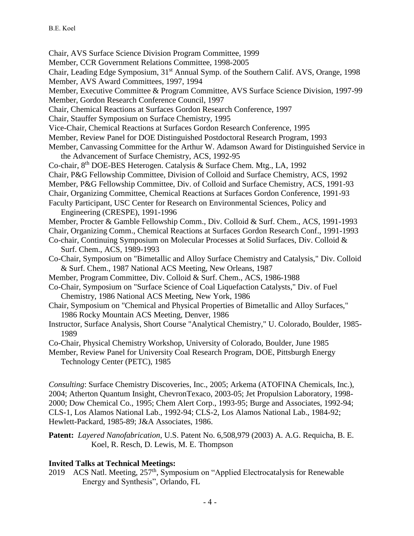Chair, AVS Surface Science Division Program Committee, 1999

Member, CCR Government Relations Committee, 1998-2005

Chair, Leading Edge Symposium, 31<sup>st</sup> Annual Symp. of the Southern Calif. AVS, Orange, 1998 Member, AVS Award Committees, 1997, 1994

Member, Executive Committee & Program Committee, AVS Surface Science Division, 1997-99 Member, Gordon Research Conference Council, 1997

Chair, Chemical Reactions at Surfaces Gordon Research Conference, 1997

Chair, Stauffer Symposium on Surface Chemistry, 1995

Vice-Chair, Chemical Reactions at Surfaces Gordon Research Conference, 1995

- Member, Review Panel for DOE Distinguished Postdoctoral Research Program, 1993
- Member, Canvassing Committee for the Arthur W. Adamson Award for Distinguished Service in the Advancement of Surface Chemistry, ACS, 1992-95

Co-chair, 8th DOE-BES Heterogen. Catalysis & Surface Chem. Mtg., LA, 1992

Chair, P&G Fellowship Committee, Division of Colloid and Surface Chemistry, ACS, 1992

Member, P&G Fellowship Committee, Div. of Colloid and Surface Chemistry, ACS, 1991-93

Chair, Organizing Committee, Chemical Reactions at Surfaces Gordon Conference, 1991-93

Faculty Participant, USC Center for Research on Environmental Sciences, Policy and Engineering (CRESPE), 1991-1996

Member, Procter & Gamble Fellowship Comm., Div. Colloid & Surf. Chem., ACS, 1991-1993

Chair, Organizing Comm., Chemical Reactions at Surfaces Gordon Research Conf., 1991-1993

Co-chair, Continuing Symposium on Molecular Processes at Solid Surfaces, Div. Colloid & Surf. Chem., ACS, 1989-1993

- Co-Chair, Symposium on "Bimetallic and Alloy Surface Chemistry and Catalysis," Div. Colloid & Surf. Chem., 1987 National ACS Meeting, New Orleans, 1987
- Member, Program Committee, Div. Colloid & Surf. Chem., ACS, 1986-1988

Co-Chair, Symposium on "Surface Science of Coal Liquefaction Catalysts," Div. of Fuel Chemistry, 1986 National ACS Meeting, New York, 1986

Chair, Symposium on "Chemical and Physical Properties of Bimetallic and Alloy Surfaces," 1986 Rocky Mountain ACS Meeting, Denver, 1986

- Instructor, Surface Analysis, Short Course "Analytical Chemistry," U. Colorado, Boulder, 1985- 1989
- Co-Chair, Physical Chemistry Workshop, University of Colorado, Boulder, June 1985

Member, Review Panel for University Coal Research Program, DOE, Pittsburgh Energy Technology Center (PETC), 1985

*Consulting*: Surface Chemistry Discoveries, Inc., 2005; Arkema (ATOFINA Chemicals, Inc.), 2004; Atherton Quantum Insight, ChevronTexaco, 2003-05; Jet Propulsion Laboratory, 1998- 2000; Dow Chemical Co., 1995; Chem Alert Corp., 1993-95; Burge and Associates, 1992-94; CLS-1, Los Alamos National Lab., 1992-94; CLS-2, Los Alamos National Lab., 1984-92; Hewlett-Packard, 1985-89; J&A Associates, 1986.

**Patent:** *Layered Nanofabrication*, U.S. Patent No. 6,508,979 (2003) A. A.G. Requicha, B. E. Koel, R. Resch, D. Lewis, M. E. Thompson

### **Invited Talks at Technical Meetings:**

2019 ACS Natl. Meeting, 257<sup>th</sup>, Symposium on "Applied Electrocatalysis for Renewable Energy and Synthesis", Orlando, FL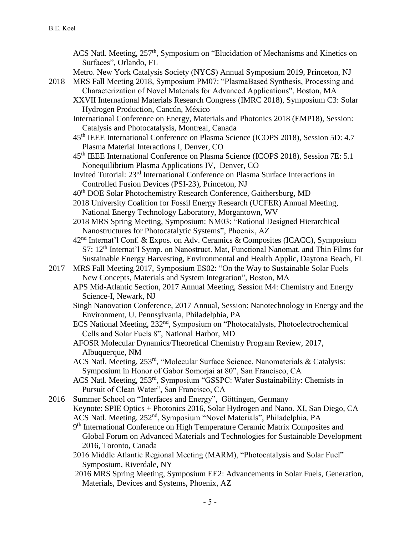- ACS Natl. Meeting, 257<sup>th</sup>, Symposium on "Elucidation of Mechanisms and Kinetics on Surfaces", Orlando, FL
- Metro. New York Catalysis Society (NYCS) Annual Symposium 2019, Princeton, NJ
- 2018 MRS Fall Meeting 2018, Symposium PM07: "PlasmaBased Synthesis, Processing and Characterization of Novel Materials for Advanced Applications", Boston, MA
	- XXVII International Materials Research Congress (IMRC 2018), Symposium C3: Solar Hydrogen Production, Cancún, México
	- International Conference on Energy, Materials and Photonics 2018 (EMP18), Session: Catalysis and Photocatalysis, Montreal, Canada
	- 45th IEEE International Conference on Plasma Science (ICOPS 2018), Session 5D: 4.7 Plasma Material Interactions I, Denver, CO
	- 45th IEEE International Conference on Plasma Science (ICOPS 2018), Session 7E: 5.1 Nonequilibrium Plasma Applications IV, Denver, CO
	- Invited Tutorial: 23rd International Conference on Plasma Surface Interactions in Controlled Fusion Devices (PSI-23), Princeton, NJ
	- 40th DOE Solar Photochemistry Research Conference, Gaithersburg, MD
	- 2018 University Coalition for Fossil Energy Research (UCFER) Annual Meeting, National Energy Technology Laboratory, Morgantown, WV
	- 2018 MRS Spring Meeting, Symposium: NM03: "Rational Designed Hierarchical Nanostructures for Photocatalytic Systems", Phoenix, AZ
	- 42nd Internat'l Conf. & Expos. on Adv. Ceramics & Composites (ICACC), Symposium S7: 12th Internat'l Symp. on Nanostruct. Mat, Functional Nanomat. and Thin Films for Sustainable Energy Harvesting, Environmental and Health Applic, Daytona Beach, FL
- 2017 MRS Fall Meeting 2017, Symposium ES02: "On the Way to Sustainable Solar Fuels— New Concepts, Materials and System Integration", Boston, MA
	- APS Mid-Atlantic Section, 2017 Annual Meeting, Session M4: Chemistry and Energy Science-I, Newark, NJ
	- Singh Nanovation Conference, 2017 Annual, Session: Nanotechnology in Energy and the Environment, U. Pennsylvania, Philadelphia, PA
	- ECS National Meeting, 232<sup>nd</sup>, Symposium on "Photocatalysts, Photoelectrochemical Cells and Solar Fuels 8", National Harbor, MD
	- AFOSR Molecular Dynamics/Theoretical Chemistry Program Review, 2017, Albuquerque, NM
	- ACS Natl. Meeting, 253<sup>rd</sup>, "Molecular Surface Science, Nanomaterials & Catalysis: Symposium in Honor of Gabor Somorjai at 80", San Francisco, CA
	- ACS Natl. Meeting, 253rd, Symposium "GSSPC: Water Sustainability: Chemists in Pursuit of Clean Water", San Francisco, CA

2016 Summer School on "Interfaces and Energy", Göttingen, Germany Keynote: SPIE Optics + Photonics 2016, Solar Hydrogen and Nano. XI, San Diego, CA ACS Natl. Meeting, 252nd, Symposium "Novel Materials", Philadelphia, PA

- 9<sup>th</sup> International Conference on High Temperature Ceramic Matrix Composites and Global Forum on Advanced Materials and Technologies for Sustainable Development 2016, Toronto, Canada
- 2016 Middle Atlantic Regional Meeting (MARM), "Photocatalysis and Solar Fuel" Symposium, Riverdale, NY
- 2016 MRS Spring Meeting, Symposium EE2: Advancements in Solar Fuels, Generation, Materials, Devices and Systems, Phoenix, AZ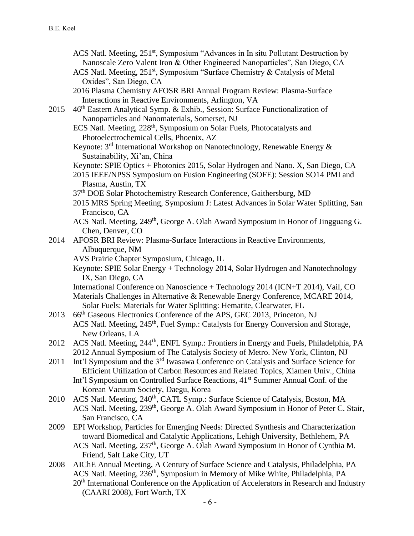- ACS Natl. Meeting, 251<sup>st</sup>, Symposium "Advances in In situ Pollutant Destruction by Nanoscale Zero Valent Iron & Other Engineered Nanoparticles", San Diego, CA
- ACS Natl. Meeting, 251<sup>st</sup>, Symposium "Surface Chemistry & Catalysis of Metal Oxides", San Diego, CA
- 2016 Plasma Chemistry AFOSR BRI Annual Program Review: Plasma-Surface Interactions in Reactive Environments, Arlington, VA
- 2015  $46<sup>th</sup>$  Eastern Analytical Symp. & Exhib., Session: Surface Functionalization of Nanoparticles and Nanomaterials, Somerset, NJ
	- ECS Natl. Meeting, 228<sup>th</sup>, Symposium on Solar Fuels, Photocatalysts and Photoelectrochemical Cells, Phoenix, AZ
	- Keynote: 3<sup>rd</sup> International Workshop on Nanotechnology, Renewable Energy & Sustainability, Xi'an, China
	- Keynote: SPIE Optics + Photonics 2015, Solar Hydrogen and Nano. X, San Diego, CA
	- 2015 IEEE/NPSS Symposium on Fusion Engineering (SOFE): Session SO14 PMI and Plasma, Austin, TX
	- 37th DOE Solar Photochemistry Research Conference, Gaithersburg, MD
	- 2015 MRS Spring Meeting, Symposium J: Latest Advances in Solar Water Splitting, San Francisco, CA
	- ACS Natl. Meeting, 249<sup>th</sup>, George A. Olah Award Symposium in Honor of Jingguang G. Chen, Denver, CO
- 2014 AFOSR BRI Review: Plasma-Surface Interactions in Reactive Environments, Albuquerque, NM
	- AVS Prairie Chapter Symposium, Chicago, IL
	- Keynote: SPIE Solar Energy + Technology 2014, Solar Hydrogen and Nanotechnology IX, San Diego, CA

International Conference on Nanoscience + Technology 2014 (ICN+T 2014), Vail, CO Materials Challenges in Alternative & Renewable Energy Conference, MCARE 2014, Solar Fuels: Materials for Water Splitting: Hematite, Clearwater, FL

- 2013 66<sup>th</sup> Gaseous Electronics Conference of the APS, GEC 2013, Princeton, NJ ACS Natl. Meeting, 245<sup>th</sup>, Fuel Symp.: Catalysts for Energy Conversion and Storage, New Orleans, LA
- 2012 ACS Natl. Meeting, 244<sup>th</sup>, ENFL Symp.: Frontiers in Energy and Fuels, Philadelphia, PA 2012 Annual Symposium of The Catalysis Society of Metro. New York, Clinton, NJ
- 2011 Int'l Symposium and the 3<sup>rd</sup> Iwasawa Conference on Catalysis and Surface Science for Efficient Utilization of Carbon Resources and Related Topics, Xiamen Univ., China Int'l Symposium on Controlled Surface Reactions, 41<sup>st</sup> Summer Annual Conf. of the Korean Vacuum Society, Daegu, Korea
- 2010 ACS Natl. Meeting, 240<sup>th</sup>, CATL Symp.: Surface Science of Catalysis, Boston, MA ACS Natl. Meeting, 239<sup>th</sup>, George A. Olah Award Symposium in Honor of Peter C. Stair, San Francisco, CA
- 2009 EPI Workshop, Particles for Emerging Needs: Directed Synthesis and Characterization toward Biomedical and Catalytic Applications, Lehigh University, Bethlehem, PA ACS Natl. Meeting, 237<sup>th</sup>, George A. Olah Award Symposium in Honor of Cynthia M. Friend, Salt Lake City, UT
- 2008 AIChE Annual Meeting, A Century of Surface Science and Catalysis, Philadelphia, PA ACS Natl. Meeting, 236<sup>th</sup>, Symposium in Memory of Mike White, Philadelphia, PA 20<sup>th</sup> International Conference on the Application of Accelerators in Research and Industry (CAARI 2008), Fort Worth, TX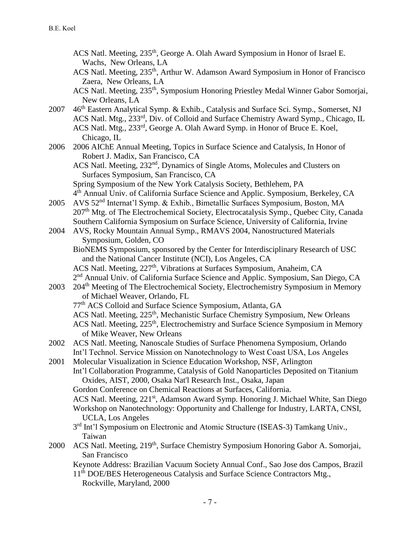- ACS Natl. Meeting, 235<sup>th</sup>, George A. Olah Award Symposium in Honor of Israel E. Wachs, New Orleans, LA
- ACS Natl. Meeting, 235<sup>th</sup>, Arthur W. Adamson Award Symposium in Honor of Francisco Zaera, New Orleans, LA
- ACS Natl. Meeting, 235<sup>th</sup>, Symposium Honoring Priestley Medal Winner Gabor Somorjai, New Orleans, LA
- 2007 46<sup>th</sup> Eastern Analytical Symp. & Exhib., Catalysis and Surface Sci. Symp., Somerset, NJ ACS Natl. Mtg., 233<sup>rd</sup>, Div. of Colloid and Surface Chemistry Award Symp., Chicago, IL ACS Natl. Mtg., 233<sup>rd</sup>, George A. Olah Award Symp. in Honor of Bruce E. Koel, Chicago, IL
- 2006 2006 AIChE Annual Meeting, Topics in Surface Science and Catalysis, In Honor of Robert J. Madix, San Francisco, CA

ACS Natl. Meeting, 232<sup>nd</sup>, Dynamics of Single Atoms, Molecules and Clusters on Surfaces Symposium, San Francisco, CA Spring Symposium of the New York Catalysis Society, Bethlehem, PA

- 4<sup>th</sup> Annual Univ. of California Surface Science and Applic. Symposium, Berkeley, CA 2005 AVS 52nd Internat'l Symp. & Exhib., Bimetallic Surfaces Symposium, Boston, MA
- 207<sup>th</sup> Mtg. of The Electrochemical Society, Electrocatalysis Symp., Quebec City, Canada Southern California Symposium on Surface Science, University of California, Irvine
- 2004 AVS, Rocky Mountain Annual Symp., RMAVS 2004, Nanostructured Materials Symposium, Golden, CO
	- BioNEMS Symposium, sponsored by the Center for Interdisciplinary Research of USC and the National Cancer Institute (NCI), Los Angeles, CA

ACS Natl. Meeting, 227<sup>th</sup>, Vibrations at Surfaces Symposium, Anaheim, CA 2<sup>nd</sup> Annual Univ. of California Surface Science and Applic. Symposium, San Diego, CA

- 2003 204<sup>th</sup> Meeting of The Electrochemical Society, Electrochemistry Symposium in Memory of Michael Weaver, Orlando, FL
	- 77th ACS Colloid and Surface Science Symposium, Atlanta, GA
	- ACS Natl. Meeting, 225<sup>th</sup>, Mechanistic Surface Chemistry Symposium, New Orleans
	- ACS Natl. Meeting, 225<sup>th</sup>, Electrochemistry and Surface Science Symposium in Memory of Mike Weaver, New Orleans
- 2002 ACS Natl. Meeting, Nanoscale Studies of Surface Phenomena Symposium, Orlando Int'l Technol. Service Mission on Nanotechnology to West Coast USA, Los Angeles
- 2001 Molecular Visualization in Science Education Workshop, NSF, Arlington Int'l Collaboration Programme, Catalysis of Gold Nanoparticles Deposited on Titanium Oxides, AIST, 2000, Osaka Nat'l Research Inst., Osaka, Japan Gordon Conference on Chemical Reactions at Surfaces, California.
	- ACS Natl. Meeting, 221<sup>st</sup>, Adamson Award Symp. Honoring J. Michael White, San Diego Workshop on Nanotechnology: Opportunity and Challenge for Industry, LARTA, CNSI, UCLA, Los Angeles
	- 3<sup>rd</sup> Int'l Symposium on Electronic and Atomic Structure (ISEAS-3) Tamkang Univ., Taiwan
- 2000 ACS Natl. Meeting, 219<sup>th</sup>, Surface Chemistry Symposium Honoring Gabor A. Somorjai, San Francisco
	- Keynote Address: Brazilian Vacuum Society Annual Conf., Sao Jose dos Campos, Brazil
	- 11<sup>th</sup> DOE/BES Heterogeneous Catalysis and Surface Science Contractors Mtg., Rockville, Maryland, 2000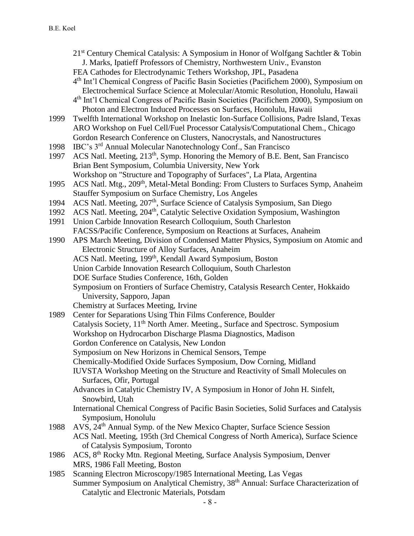- $21<sup>st</sup>$  Century Chemical Catalysis: A Symposium in Honor of Wolfgang Sachtler & Tobin J. Marks, Ipatieff Professors of Chemistry, Northwestern Univ., Evanston
- FEA Cathodes for Electrodynamic Tethers Workshop, JPL, Pasadena
- 4 th Int'l Chemical Congress of Pacific Basin Societies (Pacifichem 2000), Symposium on Electrochemical Surface Science at Molecular/Atomic Resolution, Honolulu, Hawaii
- 4 th Int'l Chemical Congress of Pacific Basin Societies (Pacifichem 2000), Symposium on Photon and Electron Induced Processes on Surfaces, Honolulu, Hawaii
- 1999 Twelfth International Workshop on Inelastic Ion-Surface Collisions, Padre Island, Texas ARO Workshop on Fuel Cell/Fuel Processor Catalysis/Computational Chem., Chicago Gordon Research Conference on Clusters, Nanocrystals, and Nanostructures
- 1998 IBC's 3rd Annual Molecular Nanotechnology Conf., San Francisco
- 1997 ACS Natl. Meeting, 213<sup>th</sup>, Symp. Honoring the Memory of B.E. Bent, San Francisco Brian Bent Symposium, Columbia University, New York Workshop on "Structure and Topography of Surfaces", La Plata, Argentina
- 1995 ACS Natl. Mtg., 209<sup>th</sup>, Metal-Metal Bonding: From Clusters to Surfaces Symp, Anaheim Stauffer Symposium on Surface Chemistry, Los Angeles
- 1994 ACS Natl. Meeting, 207<sup>th</sup>, Surface Science of Catalysis Symposium, San Diego
- 1992 ACS Natl. Meeting, 204<sup>th</sup>, Catalytic Selective Oxidation Symposium, Washington
- 1991 Union Carbide Innovation Research Colloquium, South Charleston FACSS/Pacific Conference, Symposium on Reactions at Surfaces, Anaheim
- 1990 APS March Meeting, Division of Condensed Matter Physics, Symposium on Atomic and Electronic Structure of Alloy Surfaces, Anaheim ACS Natl. Meeting, 199th, Kendall Award Symposium, Boston Union Carbide Innovation Research Colloquium, South Charleston DOE Surface Studies Conference, 16th, Golden Symposium on Frontiers of Surface Chemistry, Catalysis Research Center, Hokkaido University, Sapporo, Japan
	- Chemistry at Surfaces Meeting, Irvine
- 1989 Center for Separations Using Thin Films Conference, Boulder Catalysis Society, 11<sup>th</sup> North Amer. Meeting., Surface and Spectrosc. Symposium Workshop on Hydrocarbon Discharge Plasma Diagnostics, Madison Gordon Conference on Catalysis, New London Symposium on New Horizons in Chemical Sensors, Tempe Chemically-Modified Oxide Surfaces Symposium, Dow Corning, Midland IUVSTA Workshop Meeting on the Structure and Reactivity of Small Molecules on Surfaces, Ofir, Portugal Advances in Catalytic Chemistry IV, A Symposium in Honor of John H. Sinfelt,
	- Snowbird, Utah International Chemical Congress of Pacific Basin Societies, Solid Surfaces and Catalysis Symposium, Honolulu
- 1988 AVS, 24th Annual Symp. of the New Mexico Chapter, Surface Science Session ACS Natl. Meeting, 195th (3rd Chemical Congress of North America), Surface Science of Catalysis Symposium, Toronto
- 1986 ACS, 8th Rocky Mtn. Regional Meeting, Surface Analysis Symposium, Denver MRS, 1986 Fall Meeting, Boston
- 1985 Scanning Electron Microscopy/1985 International Meeting, Las Vegas Summer Symposium on Analytical Chemistry, 38<sup>th</sup> Annual: Surface Characterization of Catalytic and Electronic Materials, Potsdam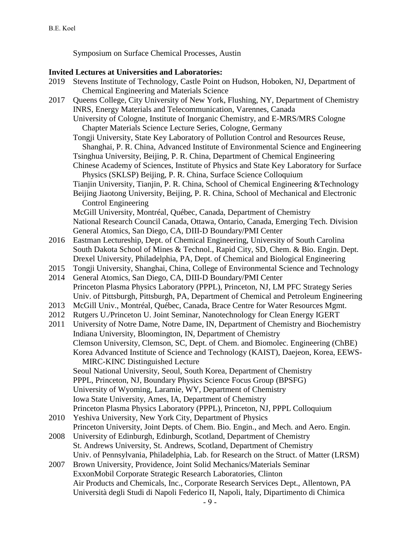Symposium on Surface Chemical Processes, Austin

# **Invited Lectures at Universities and Laboratories:**

| <b>Chemical Engineering and Materials Science</b><br>Queens College, City University of New York, Flushing, NY, Department of Chemistry<br>2017<br>INRS, Energy Materials and Telecommunication, Varennes, Canada<br>University of Cologne, Institute of Inorganic Chemistry, and E-MRS/MRS Cologne<br>Chapter Materials Science Lecture Series, Cologne, Germany |
|-------------------------------------------------------------------------------------------------------------------------------------------------------------------------------------------------------------------------------------------------------------------------------------------------------------------------------------------------------------------|
|                                                                                                                                                                                                                                                                                                                                                                   |
|                                                                                                                                                                                                                                                                                                                                                                   |
|                                                                                                                                                                                                                                                                                                                                                                   |
|                                                                                                                                                                                                                                                                                                                                                                   |
| Tongji University, State Key Laboratory of Pollution Control and Resources Reuse,                                                                                                                                                                                                                                                                                 |
| Shanghai, P. R. China, Advanced Institute of Environmental Science and Engineering                                                                                                                                                                                                                                                                                |
| Tsinghua University, Beijing, P. R. China, Department of Chemical Engineering                                                                                                                                                                                                                                                                                     |
| Chinese Academy of Sciences, Institute of Physics and State Key Laboratory for Surface                                                                                                                                                                                                                                                                            |
| Physics (SKLSP) Beijing, P. R. China, Surface Science Colloquium                                                                                                                                                                                                                                                                                                  |
| Tianjin University, Tianjin, P. R. China, School of Chemical Engineering & Technology                                                                                                                                                                                                                                                                             |
| Beijing Jiaotong University, Beijing, P. R. China, School of Mechanical and Electronic                                                                                                                                                                                                                                                                            |
| <b>Control Engineering</b>                                                                                                                                                                                                                                                                                                                                        |
| McGill University, Montréal, Québec, Canada, Department of Chemistry                                                                                                                                                                                                                                                                                              |
| National Research Council Canada, Ottawa, Ontario, Canada, Emerging Tech. Division                                                                                                                                                                                                                                                                                |
| General Atomics, San Diego, CA, DIII-D Boundary/PMI Center                                                                                                                                                                                                                                                                                                        |
| 2016<br>Eastman Lectureship, Dept. of Chemical Engineering, University of South Carolina                                                                                                                                                                                                                                                                          |
| South Dakota School of Mines & Technol., Rapid City, SD, Chem. & Bio. Engin. Dept.                                                                                                                                                                                                                                                                                |
| Drexel University, Philadelphia, PA, Dept. of Chemical and Biological Engineering                                                                                                                                                                                                                                                                                 |
| Tongji University, Shanghai, China, College of Environmental Science and Technology<br>2015                                                                                                                                                                                                                                                                       |
| 2014<br>General Atomics, San Diego, CA, DIII-D Boundary/PMI Center                                                                                                                                                                                                                                                                                                |
| Princeton Plasma Physics Laboratory (PPPL), Princeton, NJ, LM PFC Strategy Series                                                                                                                                                                                                                                                                                 |
| Univ. of Pittsburgh, Pittsburgh, PA, Department of Chemical and Petroleum Engineering                                                                                                                                                                                                                                                                             |
| McGill Univ., Montréal, Québec, Canada, Brace Centre for Water Resources Mgmt.<br>2013                                                                                                                                                                                                                                                                            |
| Rutgers U./Princeton U. Joint Seminar, Nanotechnology for Clean Energy IGERT<br>2012                                                                                                                                                                                                                                                                              |
| 2011<br>University of Notre Dame, Notre Dame, IN, Department of Chemistry and Biochemistry                                                                                                                                                                                                                                                                        |
| Indiana University, Bloomington, IN, Department of Chemistry                                                                                                                                                                                                                                                                                                      |
| Clemson University, Clemson, SC, Dept. of Chem. and Biomolec. Engineering (ChBE)                                                                                                                                                                                                                                                                                  |
| Korea Advanced Institute of Science and Technology (KAIST), Daejeon, Korea, EEWS-                                                                                                                                                                                                                                                                                 |
| <b>MIRC-KINC Distinguished Lecture</b>                                                                                                                                                                                                                                                                                                                            |
| Seoul National University, Seoul, South Korea, Department of Chemistry                                                                                                                                                                                                                                                                                            |
| PPPL, Princeton, NJ, Boundary Physics Science Focus Group (BPSFG)                                                                                                                                                                                                                                                                                                 |
| University of Wyoming, Laramie, WY, Department of Chemistry                                                                                                                                                                                                                                                                                                       |
| Iowa State University, Ames, IA, Department of Chemistry                                                                                                                                                                                                                                                                                                          |
| Princeton Plasma Physics Laboratory (PPPL), Princeton, NJ, PPPL Colloquium                                                                                                                                                                                                                                                                                        |
| Yeshiva University, New York City, Department of Physics<br>2010                                                                                                                                                                                                                                                                                                  |
| Princeton University, Joint Depts. of Chem. Bio. Engin., and Mech. and Aero. Engin.                                                                                                                                                                                                                                                                               |
| University of Edinburgh, Edinburgh, Scotland, Department of Chemistry<br>2008<br>St. Andrews University, St. Andrews, Scotland, Department of Chemistry                                                                                                                                                                                                           |
| Univ. of Pennsylvania, Philadelphia, Lab. for Research on the Struct. of Matter (LRSM)                                                                                                                                                                                                                                                                            |
| Brown University, Providence, Joint Solid Mechanics/Materials Seminar<br>2007                                                                                                                                                                                                                                                                                     |
| ExxonMobil Corporate Strategic Research Laboratories, Clinton                                                                                                                                                                                                                                                                                                     |
| Air Products and Chemicals, Inc., Corporate Research Services Dept., Allentown, PA                                                                                                                                                                                                                                                                                |
| Università degli Studi di Napoli Federico II, Napoli, Italy, Dipartimento di Chimica                                                                                                                                                                                                                                                                              |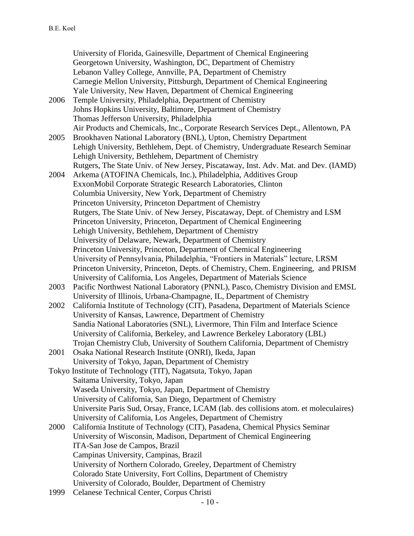University of Florida, Gainesville, Department of Chemical Engineering Georgetown University, Washington, DC, Department of Chemistry Lebanon Valley College, Annville, PA, Department of Chemistry Carnegie Mellon University, Pittsburgh, Department of Chemical Engineering Yale University, New Haven, Department of Chemical Engineering 2006 Temple University, Philadelphia, Department of Chemistry Johns Hopkins University, Baltimore, Department of Chemistry Thomas Jefferson University, Philadelphia Air Products and Chemicals, Inc., Corporate Research Services Dept., Allentown, PA 2005 Brookhaven National Laboratory (BNL), Upton, Chemistry Department Lehigh University, Bethlehem, Dept. of Chemistry, Undergraduate Research Seminar Lehigh University, Bethlehem, Department of Chemistry Rutgers, The State Univ. of New Jersey, Piscataway, Inst. Adv. Mat. and Dev. (IAMD) 2004 Arkema (ATOFINA Chemicals, Inc.), Philadelphia, Additives Group ExxonMobil Corporate Strategic Research Laboratories, Clinton Columbia University, New York, Department of Chemistry Princeton University, Princeton Department of Chemistry Rutgers, The State Univ. of New Jersey, Piscataway, Dept. of Chemistry and LSM Princeton University, Princeton, Department of Chemical Engineering Lehigh University, Bethlehem, Department of Chemistry University of Delaware, Newark, Department of Chemistry Princeton University, Princeton, Department of Chemical Engineering University of Pennsylvania, Philadelphia, "Frontiers in Materials" lecture, LRSM Princeton University, Princeton, Depts. of Chemistry, Chem. Engineering, and PRISM University of California, Los Angeles, Department of Materials Science 2003 Pacific Northwest National Laboratory (PNNL), Pasco, Chemistry Division and EMSL University of Illinois, Urbana-Champagne, IL, Department of Chemistry 2002 California Institute of Technology (CIT), Pasadena, Department of Materials Science University of Kansas, Lawrence, Department of Chemistry Sandia National Laboratories (SNL), Livermore, Thin Film and Interface Science University of California, Berkeley, and Lawrence Berkeley Laboratory (LBL) Trojan Chemistry Club, University of Southern California, Department of Chemistry 2001 Osaka National Research Institute (ONRI), Ikeda, Japan University of Tokyo, Japan, Department of Chemistry Tokyo Institute of Technology (TIT), Nagatsuta, Tokyo, Japan Saitama University, Tokyo, Japan Waseda University, Tokyo, Japan, Department of Chemistry University of California, San Diego, Department of Chemistry Universite Paris Sud, Orsay, France, LCAM (lab. des collisions atom. et moleculaires) University of California, Los Angeles, Department of Chemistry 2000 California Institute of Technology (CIT), Pasadena, Chemical Physics Seminar University of Wisconsin, Madison, Department of Chemical Engineering ITA-San Jose de Campos, Brazil Campinas University, Campinas, Brazil University of Northern Colorado, Greeley, Department of Chemistry Colorado State University, Fort Collins, Department of Chemistry University of Colorado, Boulder, Department of Chemistry 1999 Celanese Technical Center, Corpus Christi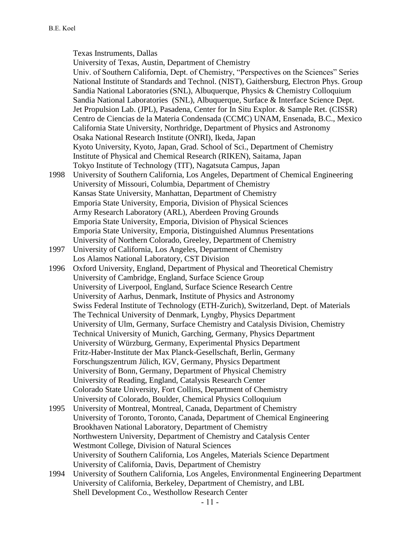Texas Instruments, Dallas

University of Texas, Austin, Department of Chemistry Univ. of Southern California, Dept. of Chemistry, "Perspectives on the Sciences" Series National Institute of Standards and Technol. (NIST), Gaithersburg, Electron Phys. Group Sandia National Laboratories (SNL), Albuquerque, Physics & Chemistry Colloquium Sandia National Laboratories (SNL), Albuquerque, Surface & Interface Science Dept. Jet Propulsion Lab. (JPL), Pasadena, Center for In Situ Explor. & Sample Ret. (CISSR) Centro de Ciencias de la Materia Condensada (CCMC) UNAM, Ensenada, B.C., Mexico California State University, Northridge, Department of Physics and Astronomy Osaka National Research Institute (ONRI), Ikeda, Japan Kyoto University, Kyoto, Japan, Grad. School of Sci., Department of Chemistry Institute of Physical and Chemical Research (RIKEN), Saitama, Japan Tokyo Institute of Technology (TIT), Nagatsuta Campus, Japan 1998 University of Southern California, Los Angeles, Department of Chemical Engineering University of Missouri, Columbia, Department of Chemistry Kansas State University, Manhattan, Department of Chemistry Emporia State University, Emporia, Division of Physical Sciences Army Research Laboratory (ARL), Aberdeen Proving Grounds Emporia State University, Emporia, Division of Physical Sciences Emporia State University, Emporia, Distinguished Alumnus Presentations University of Northern Colorado, Greeley, Department of Chemistry 1997 University of California, Los Angeles, Department of Chemistry Los Alamos National Laboratory, CST Division 1996 Oxford University, England, Department of Physical and Theoretical Chemistry University of Cambridge, England, Surface Science Group University of Liverpool, England, Surface Science Research Centre University of Aarhus, Denmark, Institute of Physics and Astronomy Swiss Federal Institute of Technology (ETH-Zurich), Switzerland, Dept. of Materials The Technical University of Denmark, Lyngby, Physics Department University of Ulm, Germany, Surface Chemistry and Catalysis Division, Chemistry Technical University of Munich, Garching, Germany, Physics Department University of Würzburg, Germany, Experimental Physics Department Fritz-Haber-Institute der Max Planck-Gesellschaft, Berlin, Germany Forschungszentrum Jülich, IGV, Germany, Physics Department University of Bonn, Germany, Department of Physical Chemistry University of Reading, England, Catalysis Research Center Colorado State University, Fort Collins, Department of Chemistry University of Colorado, Boulder, Chemical Physics Colloquium 1995 University of Montreal, Montreal, Canada, Department of Chemistry University of Toronto, Toronto, Canada, Department of Chemical Engineering Brookhaven National Laboratory, Department of Chemistry Northwestern University, Department of Chemistry and Catalysis Center Westmont College, Division of Natural Sciences University of Southern California, Los Angeles, Materials Science Department University of California, Davis, Department of Chemistry 1994 University of Southern California, Los Angeles, Environmental Engineering Department

University of California, Berkeley, Department of Chemistry, and LBL Shell Development Co., Westhollow Research Center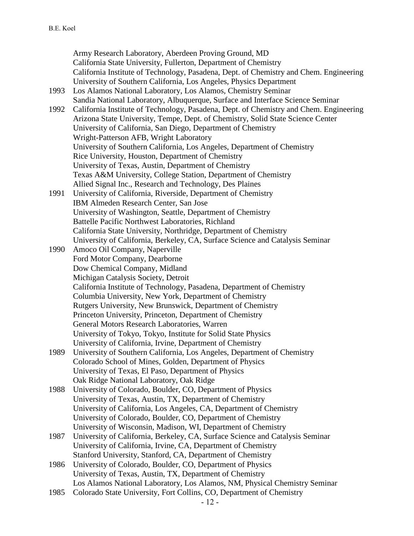Army Research Laboratory, Aberdeen Proving Ground, MD California State University, Fullerton, Department of Chemistry California Institute of Technology, Pasadena, Dept. of Chemistry and Chem. Engineering University of Southern California, Los Angeles, Physics Department 1993 Los Alamos National Laboratory, Los Alamos, Chemistry Seminar Sandia National Laboratory, Albuquerque, Surface and Interface Science Seminar 1992 California Institute of Technology, Pasadena, Dept. of Chemistry and Chem. Engineering Arizona State University, Tempe, Dept. of Chemistry, Solid State Science Center University of California, San Diego, Department of Chemistry Wright-Patterson AFB, Wright Laboratory University of Southern California, Los Angeles, Department of Chemistry Rice University, Houston, Department of Chemistry University of Texas, Austin, Department of Chemistry Texas A&M University, College Station, Department of Chemistry Allied Signal Inc., Research and Technology, Des Plaines 1991 University of California, Riverside, Department of Chemistry IBM Almeden Research Center, San Jose University of Washington, Seattle, Department of Chemistry Battelle Pacific Northwest Laboratories, Richland California State University, Northridge, Department of Chemistry University of California, Berkeley, CA, Surface Science and Catalysis Seminar 1990 Amoco Oil Company, Naperville Ford Motor Company, Dearborne Dow Chemical Company, Midland Michigan Catalysis Society, Detroit California Institute of Technology, Pasadena, Department of Chemistry Columbia University, New York, Department of Chemistry Rutgers University, New Brunswick, Department of Chemistry Princeton University, Princeton, Department of Chemistry General Motors Research Laboratories, Warren University of Tokyo, Tokyo, Institute for Solid State Physics University of California, Irvine, Department of Chemistry 1989 University of Southern California, Los Angeles, Department of Chemistry Colorado School of Mines, Golden, Department of Physics University of Texas, El Paso, Department of Physics Oak Ridge National Laboratory, Oak Ridge 1988 University of Colorado, Boulder, CO, Department of Physics University of Texas, Austin, TX, Department of Chemistry University of California, Los Angeles, CA, Department of Chemistry University of Colorado, Boulder, CO, Department of Chemistry University of Wisconsin, Madison, WI, Department of Chemistry 1987 University of California, Berkeley, CA, Surface Science and Catalysis Seminar University of California, Irvine, CA, Department of Chemistry Stanford University, Stanford, CA, Department of Chemistry 1986 University of Colorado, Boulder, CO, Department of Physics University of Texas, Austin, TX, Department of Chemistry Los Alamos National Laboratory, Los Alamos, NM, Physical Chemistry Seminar 1985 Colorado State University, Fort Collins, CO, Department of Chemistry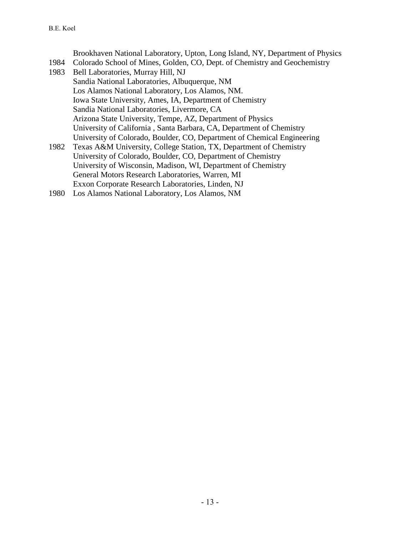Brookhaven National Laboratory, Upton, Long Island, NY, Department of Physics 1984 Colorado School of Mines, Golden, CO, Dept. of Chemistry and Geochemistry 1983 Bell Laboratories, Murray Hill, NJ Sandia National Laboratories, Albuquerque, NM Los Alamos National Laboratory, Los Alamos, NM. Iowa State University, Ames, IA, Department of Chemistry Sandia National Laboratories, Livermore, CA Arizona State University, Tempe, AZ, Department of Physics University of California , Santa Barbara, CA, Department of Chemistry University of Colorado, Boulder, CO, Department of Chemical Engineering 1982 Texas A&M University, College Station, TX, Department of Chemistry University of Colorado, Boulder, CO, Department of Chemistry University of Wisconsin, Madison, WI, Department of Chemistry General Motors Research Laboratories, Warren, MI Exxon Corporate Research Laboratories, Linden, NJ

1980 Los Alamos National Laboratory, Los Alamos, NM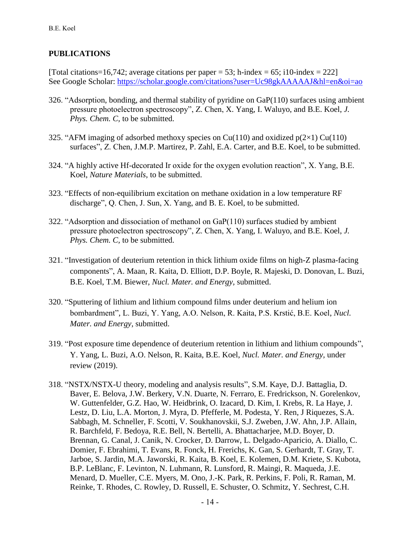# **PUBLICATIONS**

[Total citations=16,742; average citations per paper = 53; h-index = 65; i10-index = 222] See Google Scholar: <https://scholar.google.com/citations?user=Uc98gkAAAAAJ&hl=en&oi=ao>

- 326. "Adsorption, bonding, and thermal stability of pyridine on GaP(110) surfaces using ambient pressure photoelectron spectroscopy", Z. Chen, X. Yang, I. Waluyo, and B.E. Koel, *J. Phys. Chem. C,* to be submitted.
- 325. "AFM imaging of adsorbed methoxy species on Cu(110) and oxidized  $p(2\times1)$  Cu(110) surfaces", Z. Chen, J.M.P. Martirez, P. Zahl, E.A. Carter, and B.E. Koel, to be submitted.
- 324. "A highly active Hf-decorated Ir oxide for the oxygen evolution reaction", X. Yang, B.E. Koel, *Nature Materials*, to be submitted.
- 323. "Effects of non-equilibrium excitation on methane oxidation in a low temperature RF discharge", Q. Chen, J. Sun, X. Yang, and B. E. Koel, to be submitted.
- 322. "Adsorption and dissociation of methanol on GaP(110) surfaces studied by ambient pressure photoelectron spectroscopy", Z. Chen, X. Yang, I. Waluyo, and B.E. Koel, *J. Phys. Chem. C,* to be submitted.
- 321. "Investigation of deuterium retention in thick lithium oxide films on high-Z plasma-facing components", A. Maan, R. Kaita, D. Elliott, D.P. Boyle, R. Majeski, D. Donovan, L. Buzi, B.E. Koel, T.M. Biewer, *Nucl. Mater. and Energy,* submitted.
- 320. "Sputtering of lithium and lithium compound films under deuterium and helium ion bombardment", L. Buzi, Y. Yang, A.O. Nelson, R. Kaita, P.S. Krstić, B.E. Koel, *Nucl. Mater. and Energy,* submitted.
- 319. "Post exposure time dependence of deuterium retention in lithium and lithium compounds", Y. Yang, L. Buzi, A.O. Nelson, R. Kaita, B.E. Koel, *Nucl. Mater. and Energy,* under review (2019).
- 318. "NSTX/NSTX-U theory, modeling and analysis results", S.M. Kaye, D.J. Battaglia, D. Baver, E. Belova, J.W. Berkery, V.N. Duarte, N. Ferraro, E. Fredrickson, N. Gorelenkov, W. Guttenfelder, G.Z. Hao, W. Heidbrink, O. Izacard, D. Kim, I. Krebs, R. La Haye, J. Lestz, D. Liu, L.A. Morton, J. Myra, D. Pfefferle, M. Podesta, Y. Ren, J Riquezes, S.A. Sabbagh, M. Schneller, F. Scotti, V. Soukhanovskii, S.J. Zweben, J.W. Ahn, J.P. Allain, R. Barchfeld, F. Bedoya, R.E. Bell, N. Bertelli, A. Bhattacharjee, M.D. Boyer, D. Brennan, G. Canal, J. Canik, N. Crocker, D. Darrow, L. Delgado-Aparicio, A. Diallo, C. Domier, F. Ebrahimi, T. Evans, R. Fonck, H. Frerichs, K. Gan, S. Gerhardt, T. Gray, T. Jarboe, S. Jardin, M.A. Jaworski, R. Kaita, B. Koel, E. Kolemen, D.M. Kriete, S. Kubota, B.P. LeBlanc, F. Levinton, N. Luhmann, R. Lunsford, R. Maingi, R. Maqueda, J.E. Menard, D. Mueller, C.E. Myers, M. Ono, J.-K. Park, R. Perkins, F. Poli, R. Raman, M. Reinke, T. Rhodes, C. Rowley, D. Russell, E. Schuster, O. Schmitz, Y. Sechrest, C.H.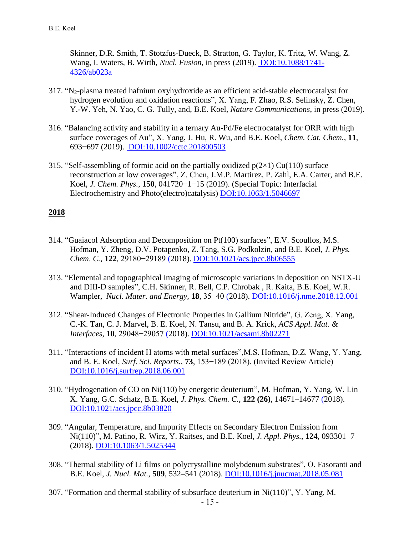Skinner, D.R. Smith, T. Stotzfus-Dueck, B. Stratton, G. Taylor, K. Tritz, W. Wang, Z. Wang, I. Waters, B. Wirth, *Nucl. Fusion*, in press (2019). [DOI:10.1088/1741-](https://doi.org/10.1088/1741-4326/ab023a) [4326/ab023a](https://doi.org/10.1088/1741-4326/ab023a)

- 317. "N2-plasma treated hafnium oxyhydroxide as an efficient acid-stable electrocatalyst for hydrogen evolution and oxidation reactions", X. Yang, F. Zhao, R.S. Selinsky, Z. Chen, Y.-W. Yeh, N. Yao, C. G. Tully, and, B.E. Koel, *Nature Communications*, in press (2019).
- 316. "Balancing activity and stability in a ternary Au-Pd/Fe electrocatalyst for ORR with high surface coverages of Au", X. Yang, J. Hu, R. Wu, and B.E. Koel, *Chem. Cat. Chem.*, **11**, 693−697 (2019). [DOI:10.1002/cctc.201800503](http://dx.doi.org/10.1002/cctc.201800503)
- 315. "Self-assembling of formic acid on the partially oxidized  $p(2\times 1)$  Cu(110) surface reconstruction at low coverages", Z. Chen, J.M.P. Martirez, P. Zahl, E.A. Carter, and B.E. Koel, *J. Chem. Phys.*, **150**, 041720−1−15 (2019). (Special Topic: Interfacial Electrochemistry and Photo(electro)catalysis) [DOI:10.1063/1.5046697](http://dx.doi.org/10.1063/1.5046697)

- 314. "Guaiacol Adsorption and Decomposition on Pt(100) surfaces", E.V. Scoullos, M.S. Hofman, Y. Zheng, D.V. Potapenko, Z. Tang, S.G. Podkolzin, and B.E. Koel, *J. Phys. Chem*. *C.,* **122**, 29180−29189 (2018). [DOI:10.1021/acs.jpcc.8b06555](http://dx.doi.org/10.1021/acs.jpcc.8b06555)
- 313. "Elemental and topographical imaging of microscopic variations in deposition on NSTX-U and DIII-D samples", C.H. Skinner, R. Bell, C.P. Chrobak , R. Kaita, B.E. Koel, W.R. Wampler, *Nucl. Mater. and Energy,* **18**, 35−40 (2018). [DOI:10.1016/j.nme.2018.12.001](https://doi.org/10.1016/j.nme.2018.12.001)
- 312. "Shear-Induced Changes of Electronic Properties in Gallium Nitride", G. Zeng, X. Yang, C.-K. Tan, C. J. Marvel, B. E. Koel, N. Tansu, and B. A. Krick, *ACS Appl. Mat. & Interfaces*, **10**, 29048−29057 (2018). [DOI:10.1021/acsami.8b02271](http://dx.doi.org/10.1021/acsami.8b02271)
- 311. "Interactions of incident H atoms with metal surfaces",M.S. Hofman, D.Z. Wang, Y. Yang, and B. E. Koel, *Surf. Sci. Reports.*, **73**, 153−189 (2018). (Invited Review Article) [DOI:10.1016/j.surfrep.2018.06.001](https://doi.org/10.1016/j.surfrep.2018.06.001)
- 310. "Hydrogenation of CO on Ni(110) by energetic deuterium", M. Hofman, Y. Yang, W. Lin X. Yang, G.C. Schatz, B.E. Koel, *J. Phys. Chem*. *C.*, **122 (26)**, 14671–14677 (2018). [DOI:10.1021/acs.jpcc.8b03820](http://dx.doi.org/10.1021/acs.jpcc.8b03820)
- 309. "Angular, Temperature, and Impurity Effects on Secondary Electron Emission from Ni(110)", M. Patino, R. Wirz, Y. Raitses, and B.E. Koel, *J. Appl. Phys.*, **124**, 093301−7 (2018). [DOI:10.1063/1.5025344](https://doi.org/10.1063/1.5025344)
- 308. "Thermal stability of Li films on polycrystalline molybdenum substrates", O. Fasoranti and B.E. Koel, *J. Nucl. Mat.*, **509**, 532–541 (2018). [DOI:10.1016/j.jnucmat.2018.05.081](https://doi.org/10.1016/j.jnucmat.2018.05.081)
- 307. "Formation and thermal stability of subsurface deuterium in Ni(110)", Y. Yang, M.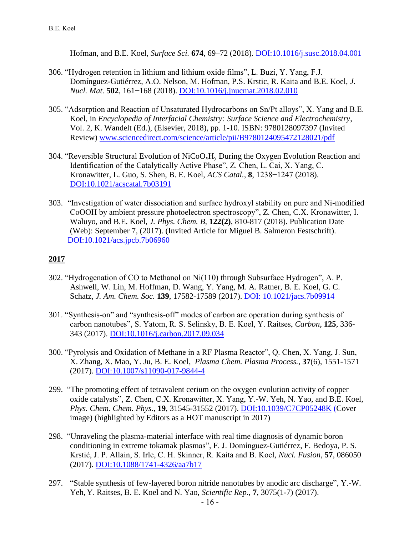Hofman, and B.E. Koel, *Surface Sci.* **674**, 69–72 (2018). [DOI:10.1016/j.susc.2018.04.001](https://doi.org/10.1016/j.susc.2018.04.001)

- 306. "Hydrogen retention in lithium and lithium oxide films", L. Buzi, Y. Yang, F.J. Domínguez-Gutiérrez, A.O. Nelson, M. Hofman, P.S. Krstic, R. Kaita and B.E. Koel, *J. Nucl. Mat.* **502**, 161−168 (2018). [DOI:10.1016/j.jnucmat.2018.02.010](https://doi.org/10.1016/j.jnucmat.2018.02.010)
- 305. "Adsorption and Reaction of Unsaturated Hydrocarbons on Sn/Pt alloys", X. Yang and B.E. Koel, in *Encyclopedia of Interfacial Chemistry: Surface Science and Electrochemistry*, Vol. 2, K. Wandelt (Ed.), (Elsevier, 2018), pp. 1-10. ISBN: 9780128097397 (Invited Review) [www.sciencedirect.com/science/article/pii/B9780124095472128021/pdf](https://www.sciencedirect.com/science/article/pii/B9780124095472128021/pdfft?md5=d9cf6029e2fa7251797373d7ed763a23&pid=main.pdf)
- 304. "Reversible Structural Evolution of  $NiCoO_xH_y$  During the Oxygen Evolution Reaction and Identification of the Catalytically Active Phase", Z. Chen, L. Cai, X. Yang, C. Kronawitter, L. Guo, S. Shen, B. E. Koel, *ACS Catal.*, **8**, 1238−1247 (2018). [DOI:10.1021/acscatal.7b03191](https://doi.org/10.1021/acscatal.7b03191)
- 303. "Investigation of water dissociation and surface hydroxyl stability on pure and Ni-modified CoOOH by ambient pressure photoelectron spectroscopy", Z. Chen, C.X. Kronawitter, I. Waluyo, and B.E. Koel, *J. Phys. Chem. B,* **122(2)**, 810-817 (2018). Publication Date (Web): September 7, (2017). (Invited Article for Miguel B. Salmeron Festschrift). [DOI:10.1021/acs.jpcb.7b06960](http://dx.doi.org/10.1021/acs.jpcb.7b06960)

- 302. "Hydrogenation of CO to Methanol on Ni(110) through Subsurface Hydrogen", A. P. Ashwell, W. Lin, M. Hoffman, D. Wang, Y. Yang, M. A. Ratner, B. E. Koel, G. C. Schatz, *J. Am. Chem. Soc.* **139**, 17582-17589 (2017). [DOI: 10.1021/jacs.7b09914](https://doi.org/10.1021/jacs.7b09914)
- 301. "Synthesis-on" and "synthesis-off" modes of carbon arc operation during synthesis of carbon nanotubes", S. Yatom, R. S. Selinsky, B. E. Koel, Y. Raitses, *Carbon*, **125**, 336- 343 (2017). [DOI:10.1016/j.carbon.2017.09.034](https://doi.org/10.1016/j.carbon.2017.09.034)
- 300. "Pyrolysis and Oxidation of Methane in a RF Plasma Reactor", Q. Chen, X. Yang, J. Sun, X. Zhang, X. Mao, Y. Ju, B. E. Koel, *Plasma Chem. Plasma Process.*, **37**(6), 1551-1571 (2017). [DOI:10.1007/s11090-017-9844-4](https://doi.org/10.1007/s11090-017-9844-4)
- 299. "The promoting effect of tetravalent cerium on the oxygen evolution activity of copper oxide catalysts", Z. Chen, C.X. Kronawitter, X. Yang, Y.-W. Yeh, N. Yao, and B.E. Koel, *Phys. Chem. Chem. Phys.,* **19**, 31545-31552 (2017). [DOI:10.1039/C7CP05248K](https://doi.org/10.1039/C7CP05248K) (Cover image) (highlighted by Editors as a HOT manuscript in 2017)
- 298. "Unraveling the plasma-material interface with real time diagnosis of dynamic boron conditioning in extreme tokamak plasmas", F. J. Domínguez-Gutiérrez, F. Bedoya, P. S. Krstić, J. P. Allain, S. Irle, C. H. Skinner, R. Kaita and B. Koel*, Nucl. Fusion,* **57**, 086050 (2017). [DOI:10.1088/1741-4326/aa7b17](https://doi.org/10.1088/1741-4326/aa7b17)
- 297. "Stable synthesis of few-layered boron nitride nanotubes by anodic arc discharge", Y.-W. Yeh, Y. Raitses, B. E. Koel and N. Yao, *Scientific Rep.,* **7**, 3075(1-7) (2017).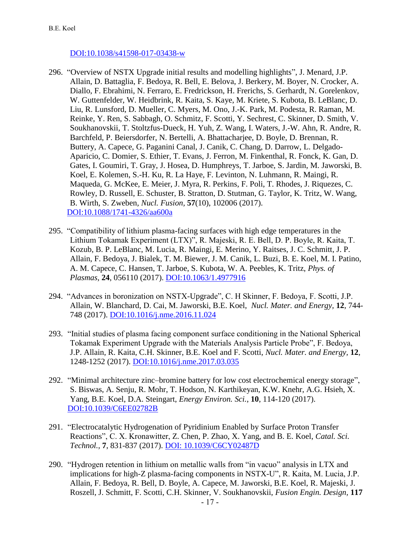#### [DOI:10.1038/s41598-017-03438-w](http://dx.doi.org/10.1038/s41598-017-03438-w)

- 296. "Overview of NSTX Upgrade initial results and modelling highlights", J. Menard, J.P. Allain, D. Battaglia, F. Bedoya, R. Bell, E. Belova, J. Berkery, M. Boyer, N. Crocker, A. Diallo, F. Ebrahimi, N. Ferraro, E. Fredrickson, H. Frerichs, S. Gerhardt, N. Gorelenkov, W. Guttenfelder, W. Heidbrink, R. Kaita, S. Kaye, M. Kriete, S. Kubota, B. LeBlanc, D. Liu, R. Lunsford, D. Mueller, C. Myers, M. Ono, J.-K. Park, M. Podesta, R. Raman, M. Reinke, Y. Ren, S. Sabbagh, O. Schmitz, F. Scotti, Y. Sechrest, C. Skinner, D. Smith, V. Soukhanovskii, T. Stoltzfus-Dueck, H. Yuh, Z. Wang, I. Waters, J.-W. Ahn, R. Andre, R. Barchfeld, P. Beiersdorfer, N. Bertelli, A. Bhattacharjee, D. Boyle, D. Brennan, R. Buttery, A. Capece, G. Paganini Canal, J. Canik, C. Chang, D. Darrow, L. Delgado-Aparicio, C. Domier, S. Ethier, T. Evans, J. Ferron, M. Finkenthal, R. Fonck, K. Gan, D. Gates, I. Goumiri, T. Gray, J. Hosea, D. Humphreys, T. Jarboe, S. Jardin, M. Jaworski, B. Koel, E. Kolemen, S.-H. Ku, R. La Haye, F. Levinton, N. Luhmann, R. Maingi, R. Maqueda, G. McKee, E. Meier, J. Myra, R. Perkins, F. Poli, T. Rhodes, J. Riquezes, C. Rowley, D. Russell, E. Schuster, B. Stratton, D. Stutman, G. Taylor, K. Tritz, W. Wang, B. Wirth, S. Zweben*, Nucl. Fusion,* **57**(10), 102006 (2017). [DOI:10.1088/1741-4326/aa600a](https://doi.org/10.1088/1741-4326/aa600a)
- 295. "Compatibility of lithium plasma-facing surfaces with high edge temperatures in the Lithium Tokamak Experiment (LTX)", R. Majeski, R. E. Bell, D. P. Boyle, R. Kaita, T. Kozub, B. P. LeBlanc, M. Lucia, R. Maingi, E. Merino, Y. Raitses, J. C. Schmitt, J. P. Allain, F. Bedoya, J. Bialek, T. M. Biewer, J. M. Canik, L. Buzi, B. E. Koel, M. I. Patino, A. M. Capece, C. Hansen, T. Jarboe, S. Kubota, W. A. Peebles, K. Tritz, *Phys. of Plasmas,* **24**, 056110 (2017). [DOI:10.1063/1.4977916](http://dx.doi.org/10.1063/1.4977916)
- 294. "Advances in boronization on NSTX-Upgrade", C. H Skinner, F. Bedoya, F. Scotti, J.P. Allain, W. Blanchard, D. Cai, M. Jaworski, B.E. Koel, *Nucl. Mater. and Energy,* **12**, 744- 748 (2017). [DOI:10.1016/j.nme.2016.11.024](https://doi.org/10.1016/j.nme.2016.11.024)
- 293. "Initial studies of plasma facing component surface conditioning in the National Spherical Tokamak Experiment Upgrade with the Materials Analysis Particle Probe", F. Bedoya, J.P. Allain, R. Kaita, C.H. Skinner, B.E. Koel and F. Scotti, *Nucl. Mater. and Energy,* **12**, 1248-1252 (2017). [DOI:10.1016/j.nme.2017.03.035](https://doi.org/10.1016/j.nme.2017.03.035)
- 292. "Minimal architecture zinc–bromine battery for low cost electrochemical energy storage", S. Biswas, A. Senju, R. Mohr, T. Hodson, N. Karthikeyan, K.W. Knehr, A.G. Hsieh, X. Yang, B.E. Koel, D.A. Steingart, *Energy Environ. Sci.*, **10**, 114-120 (2017). [DOI:10.1039/C6EE02782B](http://dx.doi.org/10.1039/C6EE02782B)
- 291. "Electrocatalytic Hydrogenation of Pyridinium Enabled by Surface Proton Transfer Reactions", C. X. Kronawitter, Z. Chen, P. Zhao, X. Yang, and B. E. Koel, *Catal. Sci. Technol.,* **7**, 831-837 (2017). [DOI: 10.1039/C6CY02487D](http://dx.doi.org/10.1039/C6CY02487D)
- 290. "Hydrogen retention in lithium on metallic walls from "in vacuo" analysis in LTX and implications for high-Z plasma-facing components in NSTX-U", R. Kaita, M. Lucia, J.P. Allain, F. Bedoya, R. Bell, D. Boyle, A. Capece, M. Jaworski, B.E. Koel, R. Majeski, J. Roszell, J. Schmitt, F. Scotti, C.H. Skinner, V. Soukhanovskii, *Fusion Engin. Design,* **117**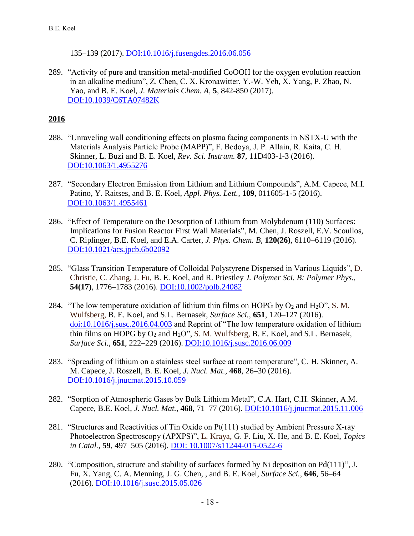135–139 (2017). [DOI:10.1016/j.fusengdes.2016.06.056](http://dx.doi.org/10.1016/j.fusengdes.2016.06.056)

289. "Activity of pure and transition metal-modified CoOOH for the oxygen evolution reaction in an alkaline medium", Z. Chen, C. X. Kronawitter, Y.-W. Yeh, X. Yang, P. Zhao, N. Yao, and B. E. Koel, *J. Materials Chem. A,* **5**, 842-850 (2017). [DOI:10.1039/C6TA07482K](http://dx.doi.org/10.1039/C6TA07482K)

- 288. "Unraveling wall conditioning effects on plasma facing components in NSTX-U with the Materials Analysis Particle Probe (MAPP)", F. Bedoya, J. P. Allain, R. Kaita, C. H. Skinner, L. Buzi and B. E. Koel, *Rev. Sci. Instrum.* **87**, 11D403-1-3 (2016). [DOI:10.1063/1.4955276](http://dx.doi.org/10.1063/1.4955276)
- 287. "Secondary Electron Emission from Lithium and Lithium Compounds", A.M. Capece, M.I. Patino, Y. Raitses, and B. E. Koel, *Appl. Phys. Lett.,* **109**, 011605-1-5 (2016). [DOI:10.1063/1.4955461](http://dx.doi.org/10.1063/1.4955461)
- 286. "Effect of Temperature on the Desorption of Lithium from Molybdenum (110) Surfaces: Implications for Fusion Reactor First Wall Materials", M. Chen, J. Roszell, E.V. Scoullos, C. Riplinger, B.E. Koel, and E.A. Carter, *J. Phys. Chem. B,* **120(26)**, 6110–6119 (2016). [DOI:10.1021/acs.jpcb.6b02092](http://dx.doi.org/10.1021/acs.jpcb.6b02092)
- 285. "Glass Transition Temperature of Colloidal Polystyrene Dispersed in Various Liquids", D. Christie, C. Zhang, J. Fu, B. E. Koel, and R. Priestley *J. Polymer Sci. B: Polymer Phys.,* **54(17)**, 1776–1783 (2016). [DOI:10.1002/polb.24082](http://dx.doi.org/10.1002/polb.24082)
- 284. "The low temperature oxidation of lithium thin films on HOPG by  $O_2$  and  $H_2O$ ", S. M. Wulfsberg, B. E. Koel, and S.L. Bernasek, *Surface Sci.,* **651**, 120–127 (2016). [doi:10.1016/j.susc.2016.04.003](http://dx.doi.org/10.1016/j.susc.2016.04.003) and Reprint of "The low temperature oxidation of lithium thin films on HOPG by  $O_2$  and  $H_2O$ ", S. M. Wulfsberg, B. E. Koel, and S.L. Bernasek, *Surface Sci.,* **651**, 222–229 (2016). [DOI:10.1016/j.susc.2016.06.009](http://dx.doi.org/10.1016/j.susc.2016.06.009)
- 283. "Spreading of lithium on a stainless steel surface at room temperature", C. H. Skinner, A. M. Capece, J. Roszell, B. E. Koel, *J. Nucl. Mat.,* **468**, 26–30 (2016). [DOI:10.1016/j.jnucmat.2015.10.059](http://dx.doi.org/10.1016/j.jnucmat.2015.10.059)
- 282. "Sorption of Atmospheric Gases by Bulk Lithium Metal", C.A. Hart, C.H. Skinner, A.M. Capece, B.E. Koel, *J. Nucl. Mat.,* **468**, 71–77 (2016). [DOI:10.1016/j.jnucmat.2015.11.006](http://dx.doi.org/10.1016/j.jnucmat.2015.11.006)
- 281. "Structures and Reactivities of Tin Oxide on Pt(111) studied by Ambient Pressure X-ray Photoelectron Spectroscopy (APXPS)", L. Kraya, G. F. Liu, X. He, and B. E. Koel, *Topics in Catal.,* **59**, 497–505 (2016). [DOI: 10.1007/s11244-015-0522-6](http://dx.doi.org/10.1007/s11244-015-0522-6)
- 280. "Composition, structure and stability of surfaces formed by Ni deposition on Pd(111)", J. Fu, X. Yang, C. A. Menning, J. G. Chen, , and B. E. Koel, *Surface Sci.,* **646**, 56–64 (2016). [DOI:10.1016/j.susc.2015.05.026](http://dx.doi.org/10.1016/j.susc.2015.05.026)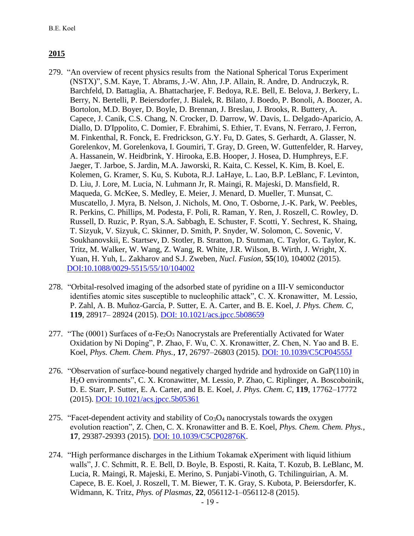- 279. "An overview of recent physics results from the National Spherical Torus Experiment (NSTX)", S.M. Kaye, T. Abrams, J.-W. Ahn, J.P. Allain, R. Andre, D. Andruczyk, R. Barchfeld, D. Battaglia, A. Bhattacharjee, F. Bedoya, R.E. Bell, E. Belova, J. Berkery, L. Berry, N. Bertelli, P. Beiersdorfer, J. Bialek, R. Bilato, J. Boedo, P. Bonoli, A. Boozer, A. Bortolon, M.D. Boyer, D. Boyle, D. Brennan, J. Breslau, J. Brooks, R. Buttery, A. Capece, J. Canik, C.S. Chang, N. Crocker, D. Darrow, W. Davis, L. Delgado-Aparicio, A. Diallo, D. D'Ippolito, C. Domier, F. Ebrahimi, S. Ethier, T. Evans, N. Ferraro, J. Ferron, M. Finkenthal, R. Fonck, E. Fredrickson, G.Y. Fu, D. Gates, S. Gerhardt, A. Glasser, N. Gorelenkov, M. Gorelenkova, I. Goumiri, T. Gray, D. Green, W. Guttenfelder, R. Harvey, A. Hassanein, W. Heidbrink, Y. Hirooka, E.B. Hooper, J. Hosea, D. Humphreys, E.F. Jaeger, T. Jarboe, S. Jardin, M.A. Jaworski, R. Kaita, C. Kessel, K. Kim, B. Koel, E. Kolemen, G. Kramer, S. Ku, S. Kubota, R.J. LaHaye, L. Lao, B.P. LeBlanc, F. Levinton, D. Liu, J. Lore, M. Lucia, N. Luhmann Jr, R. Maingi, R. Majeski, D. Mansfield, R. Maqueda, G. McKee, S. Medley, E. Meier, J. Menard, D. Mueller, T. Munsat, C. Muscatello, J. Myra, B. Nelson, J. Nichols, M. Ono, T. Osborne, J.-K. Park, W. Peebles, R. Perkins, C. Phillips, M. Podesta, F. Poli, R. Raman, Y. Ren, J. Roszell, C. Rowley, D. Russell, D. Ruzic, P. Ryan, S.A. Sabbagh, E. Schuster, F. Scotti, Y. Sechrest, K. Shaing, T. Sizyuk, V. Sizyuk, C. Skinner, D. Smith, P. Snyder, W. Solomon, C. Sovenic, V. Soukhanovskii, E. Startsev, D. Stotler, B. Stratton, D. Stutman, C. Taylor, G. Taylor, K. Tritz, M. Walker, W. Wang, Z. Wang, R. White, J.R. Wilson, B. Wirth, J. Wright, X. Yuan, H. Yuh, L. Zakharov and S.J. Zweben*, Nucl. Fusion,* **55**(10), 104002 (2015). [DOI:10.1088/0029-5515/55/10/104002](https://doi.org/10.1088/0029-5515/55/10/104002)
- 278. "Orbital-resolved imaging of the adsorbed state of pyridine on a III-V semiconductor identifies atomic sites susceptible to nucleophilic attack", C. X. Kronawitter, M. Lessio, P. Zahl, A. B. Muñoz-García, P. Sutter, E. A. Carter, and B. E. Koel, *J. Phys. Chem. C,* **119**, 28917– 28924 (2015). [DOI: 10.1021/acs.jpcc.5b08659](http://dx.doi.org/10.1021/acs.jpcc.5b08659)
- 277. "The (0001) Surfaces of  $\alpha$ -Fe<sub>2</sub>O<sub>3</sub> Nanocrystals are Preferentially Activated for Water Oxidation by Ni Doping", P. Zhao, F. Wu, C. X. Kronawitter, Z. Chen, N. Yao and B. E. Koel, *Phys. Chem. Chem. Phys.,* **17**, 26797–26803 (2015). [DOI: 10.1039/C5CP04555J](http://dx.doi.org/10.1039/C5CP04555J)
- 276. "Observation of surface-bound negatively charged hydride and hydroxide on GaP(110) in H2O environments", C. X. Kronawitter, M. Lessio, P. Zhao, C. Riplinger, A. Boscoboinik, D. E. Starr, P. Sutter, E. A. Carter, and B. E. Koel, *J. Phys. Chem. C,* **119**, 17762–17772 (2015). [DOI: 10.1021/acs.jpcc.5b05361](http://dx.doi.org/10.1021/acs.jpcc.5b05361)
- 275. "Facet-dependent activity and stability of  $Co<sub>3</sub>O<sub>4</sub>$  nanocrystals towards the oxygen evolution reaction", Z. Chen, C. X. Kronawitter and B. E. Koel, *Phys. Chem. Chem. Phys.,* **17**, 29387-29393 (2015). [DOI: 10.1039/C5CP02876K.](http://dx.doi.org/10.1039/C5CP02876K)
- 274. "High performance discharges in the Lithium Tokamak eXperiment with liquid lithium walls", J. C. Schmitt, R. E. Bell, D. Boyle, B. Esposti, R. Kaita, T. Kozub, B. LeBlanc, M. Lucia, R. Maingi, R. Majeski, E. Merino, S. Punjabi-Vinoth, G. Tchilinguirian, A. M. Capece, B. E. Koel, J. Roszell, T. M. Biewer, T. K. Gray, S. Kubota, P. Beiersdorfer, K. Widmann, K. Tritz, *Phys. of Plasmas,* **22**, 056112-1–056112-8 (2015).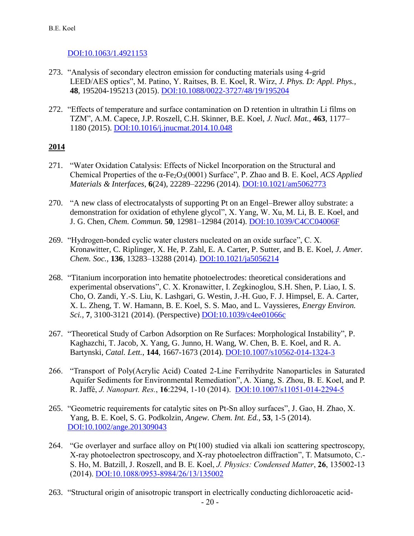### [DOI:10.1063/1.4921153](http://dx.doi.org/10.1063/1.4921153)

- 273. "Analysis of secondary electron emission for conducting materials using 4-grid LEED/AES optics", M. Patino, Y. Raitses, B. E. Koel, R. Wirz, *J. Phys. D: Appl. Phys.,* **48**, 195204-195213 (2015). [DOI:10.1088/0022-3727/48/19/195204](http://dx.doi.org/10.1088/0022-3727/48/19/195204)
- 272. "Effects of temperature and surface contamination on D retention in ultrathin Li films on TZM", A.M. Capece, J.P. Roszell, C.H. Skinner, B.E. Koel, *J. Nucl. Mat.,* **463**, 1177– 1180 (2015). [DOI:10.1016/j.jnucmat.2014.10.048](http://dx.doi.org/10.1016/j.jnucmat.2014.10.048)

- 271. "Water Oxidation Catalysis: Effects of Nickel Incorporation on the Structural and Chemical Properties of the α-Fe2O3(0001) Surface", P. Zhao and B. E. Koel, *ACS Applied Materials & Interfaces*, **6**(24), 22289–22296 (2014). [DOI:10.1021/am5062773](http://dx.doi.org/10.1021/am5062773)
- 270. "A new class of electrocatalysts of supporting Pt on an Engel–Brewer alloy substrate: a demonstration for oxidation of ethylene glycol", X. Yang, W. Xu, M. Li, B. E. Koel, and J. G. Chen, *Chem. Commun.* **50**, 12981–12984 (2014). [DOI:10.1039/C4CC04006F](http://dx.doi.org/10.1039/C4CC04006F)
- 269. "Hydrogen-bonded cyclic water clusters nucleated on an oxide surface", C. X. Kronawitter, C. Riplinger, X. He, P. Zahl, E. A. Carter, P. Sutter, and B. E. Koel, *J. Amer. Chem. Soc.,* **136**, 13283–13288 (2014). [DOI:10.1021/ja5056214](http://dx.doi.org/10.1021/ja5056214)
- 268. "Titanium incorporation into hematite photoelectrodes: theoretical considerations and experimental observations", C. X. Kronawitter, I. Zegkinoglou, S.H. Shen, P. Liao, I. S. Cho, O. Zandi, Y.-S. Liu, K. Lashgari, G. Westin, J.-H. Guo, F. J. Himpsel, E. A. Carter, X. L. Zheng, T. W. Hamann, B. E. Koel, S. S. Mao, and L. Vayssieres, *Energy Environ. Sci.,* **7**, 3100-3121 (2014). (Perspective) [DOI:10.1039/c4ee01066c](http://dx.doi.org/10.1039/c4ee01066c)
- 267. "Theoretical Study of Carbon Adsorption on Re Surfaces: Morphological Instability", P. Kaghazchi, T. Jacob, X. Yang, G. Junno, H. Wang, W. Chen, B. E. Koel, and R. A. Bartynski, *Catal. Lett.*, **144**, 1667-1673 (2014). [DOI:10.1007/s10562-014-1324-3](http://dx.doi.org/10.1007/s10562-014-1324-3)
- 266. "Transport of Poly(Acrylic Acid) Coated 2-Line Ferrihydrite Nanoparticles in Saturated Aquifer Sediments for Environmental Remediation", A. Xiang, S. Zhou, B. E. Koel, and P. R. Jaffé, *J. Nanopart. Res.*, **16**:2294, 1-10 (2014). [DOI:10.1007/s11051-014-2294-5](http://dx.doi.org/10.1007/s11051-014-2294-5)
- 265. "Geometric requirements for catalytic sites on Pt-Sn alloy surfaces", J. Gao, H. Zhao, X. Yang, B. E. Koel, S. G. Podkolzin, *Angew. Chem. Int. Ed.*, **53**, 1-5 (2014). [DOI:10.1002/ange.201309043](http://dx.doi.org/10.1002/ange.201309043)
- 264. "Ge overlayer and surface alloy on Pt(100) studied via alkali ion scattering spectroscopy, X-ray photoelectron spectroscopy, and X-ray photoelectron diffraction", T. Matsumoto, C.- S. Ho, M. Batzill, J. Roszell, and B. E. Koel, *J. Physics: Condensed Matter*, **26**, 135002-13 (2014). [DOI:10.1088/0953-8984/26/13/135002](http://dx.doi.org/10.1088/0953-8984/26/13/135002)
- 263. "Structural origin of anisotropic transport in electrically conducting dichloroacetic acid-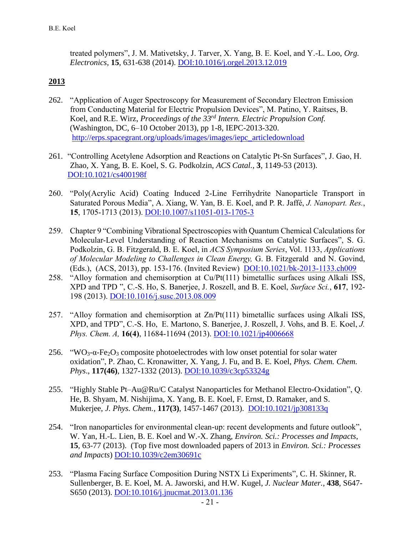treated polymers", J. M. Mativetsky, J. Tarver, X. Yang, B. E. Koel, and Y.-L. Loo, *Org. Electronics*, **15**, 631-638 (2014). [DOI:10.1016/j.orgel.2013.12.019](http://dx.doi.org/10.1016/j.orgel.2013.12.019)

- 262. "Application of Auger Spectroscopy for Measurement of Secondary Electron Emission from Conducting Material for Electric Propulsion Devices", M. Patino, Y. Raitses, B. Koel, and R.E. Wirz, *Proceedings of the 33rd Intern. Electric Propulsion Conf.*  (Washington, DC, 6–10 October 2013), pp 1-8, IEPC-2013-320. [http://erps.spacegrant.org/uploads/images/images/iepc\\_articledownload](http://erps.spacegrant.org/uploads/images/images/iepc_articledownload_1988-2007/2013index/nk5vedjr.pdf)
- 261. "Controlling Acetylene Adsorption and Reactions on Catalytic Pt-Sn Surfaces", J. Gao, H. Zhao, X. Yang, B. E. Koel, S. G. Podkolzin, *ACS Catal.*, **3**, 1149-53 (2013). [DOI:10.1021/cs400198f](http://dx.doi.org/10.1021/cs400198f)
- 260. "Poly(Acrylic Acid) Coating Induced 2-Line Ferrihydrite Nanoparticle Transport in Saturated Porous Media", A. Xiang, W. Yan, B. E. Koel, and P. R. Jaffé, *J. Nanopart. Res.*, **15**, 1705-1713 (2013). [DOI:10.1007/s11051-013-1705-3](http://dx.doi.org/10.1007/s11051-013-1705-3)
- 259. Chapter 9 "Combining Vibrational Spectroscopies with Quantum Chemical Calculations for Molecular-Level Understanding of Reaction Mechanisms on Catalytic Surfaces", S. G. Podkolzin, G. B. Fitzgerald, B. E. Koel, in *ACS Symposium Series*, Vol. 1133, *Applications of Molecular Modeling to Challenges in Clean Energy,* G. B. Fitzgerald and N. Govind, (Eds.), (ACS, 2013), pp. 153-176. (Invited Review) [DOI:10.1021/bk-2013-1133.ch009](http://dx.doi.org/10.1021/bk-2013-1133.ch009)
- 258. "Alloy formation and chemisorption at Cu/Pt(111) bimetallic surfaces using Alkali ISS, XPD and TPD ", C.-S. Ho, S. Banerjee, J. Roszell, and B. E. Koel, *Surface Sci.*, **617**, 192- 198 (2013). [DOI:10.1016/j.susc.2013.08.009](http://dx.doi.org/10.1016/j.susc.2013.08.009)
- 257. "Alloy formation and chemisorption at Zn/Pt(111) bimetallic surfaces using Alkali ISS, XPD, and TPD", C.-S. Ho, E. Martono, S. Banerjee, J. Roszell, J. Vohs, and B. E. Koel, *J. Phys. Chem. A,* **16(4)**, 11684-11694 (2013). [DOI:10.1021/jp4006668](http://dx.doi.org/10.1021/jp4006668)
- 256. "WO<sub>3</sub>- $\alpha$ -Fe<sub>2</sub>O<sub>3</sub> composite photoelectrodes with low onset potential for solar water oxidation", P. Zhao, C. Kronawitter, X. Yang, J. Fu, and B. E. Koel, *Phys. Chem. Chem. Phys*., **117(46)**, 1327-1332 (2013). [DOI:10.1039/c3cp53324g](http://dx.doi.org/10.1039/c3cp53324g)
- 255. "Highly Stable Pt–Au@Ru/C Catalyst Nanoparticles for Methanol Electro-Oxidation", Q. He, B. Shyam, M. Nishijima, X. Yang, B. E. Koel, F. Ernst, D. Ramaker, and S. Mukerjee, *J. Phys. Chem.*, **117(3)**, 1457-1467 (2013). [DOI:10.1021/jp308133q](http://dx.doi.org/10.1021/jp308133q)
- 254. "Iron nanoparticles for environmental clean-up: recent developments and future outlook", W. Yan, H.-L. Lien, B. E. Koel and W.-X. Zhang, *Environ. Sci.: Processes and Impacts*, **15**, 63-77 (2013). (Top five most downloaded papers of 2013 in *Environ. Sci.: Processes and Impacts*) [DOI:10.1039/c2em30691c](http://dx.doi.org/10.1039/C2EM30691C)
- 253. "Plasma Facing Surface Composition During NSTX Li Experiments", C. H. Skinner, R. Sullenberger, B. E. Koel, M. A. Jaworski, and H.W. Kugel, *J. Nuclear Mater.*, **438**, S647- S650 (2013). [DOI:10.1016/j.jnucmat.2013.01.136](http://dx.doi.org/10.1016/j.jnucmat.2013.01.136)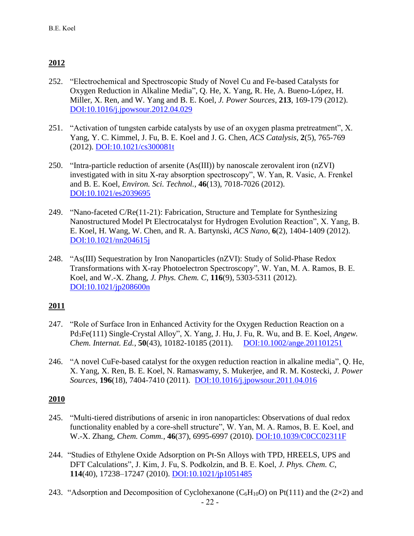- 252. "Electrochemical and Spectroscopic Study of Novel Cu and Fe-based Catalysts for Oxygen Reduction in Alkaline Media", Q. He, X. Yang, R. He, A. Bueno-López, H. Miller, X. Ren, and W. Yang and B. E. Koel, *J. Power Sources*, **213**, 169-179 (2012). [DOI:10.1016/j.jpowsour.2012.04.029](http://dx.doi.org/10.1016/j.jpowsour.2012.04.029)
- 251. "Activation of tungsten carbide catalysts by use of an oxygen plasma pretreatment", X. Yang, Y. C. Kimmel, J. Fu, B. E. Koel and J. G. Chen, *ACS Catalysis*, **2**(5), 765-769 (2012). [DOI:10.1021/cs300081t](http://dx.doi.org/10.1021/cs300081t)
- 250. "Intra-particle reduction of arsenite (As(III)) by nanoscale zerovalent iron (nZVI) investigated with in situ X-ray absorption spectroscopy", W. Yan, R. Vasic, A. Frenkel and B. E. Koel, *Environ. Sci. Technol.*, **46**(13), 7018-7026 (2012). [DOI:10.1021/es2039695](http://dx.doi.org/10.1021/es2039695)
- 249. "Nano-faceted C/Re(11-21): Fabrication, Structure and Template for Synthesizing Nanostructured Model Pt Electrocatalyst for Hydrogen Evolution Reaction", X. Yang, B. E. Koel, H. Wang, W. Chen, and R. A. Bartynski, *ACS Nano*, **6**(2), 1404-1409 (2012). [DOI:10.1021/nn204615j](http://dx.doi.org/10.1021/nn204615j)
- 248. "As(III) Sequestration by Iron Nanoparticles (nZVI): Study of Solid-Phase Redox Transformations with X-ray Photoelectron Spectroscopy", W. Yan, M. A. Ramos, B. E. Koel, and W.-X. Zhang, *J. Phys. Chem. C*, **116**(9), 5303-5311 (2012). [DOI:10.1021/jp208600n](http://dx.doi.org/10.1021/jp208600n)

### **2011**

- 247. "Role of Surface Iron in Enhanced Activity for the Oxygen Reduction Reaction on a Pd3Fe(111) Single-Crystal Alloy", X. Yang, J. Hu, J. Fu, R. Wu, and B. E. Koel, *Angew. Chem. Internat. Ed.*, **50**(43), 10182-10185 (2011). [DOI:10.1002/ange.201101251](http://dx.doi.org/10.1002/ange.201101251)
- 246. "A novel CuFe-based catalyst for the oxygen reduction reaction in alkaline media", Q. He, X. Yang, X. Ren, B. E. Koel, N. Ramaswamy, S. Mukerjee, and R. M. Kostecki, *J. Power Sources*, **196**(18), 7404-7410 (2011). [DOI:10.1016/j.jpowsour.2011.04.016](http://dx.doi.org/10.1016/j.jpowsour.2011.04.016)

- 245. "Multi-tiered distributions of arsenic in iron nanoparticles: Observations of dual redox functionality enabled by a core-shell structure", W. Yan, M. A. Ramos, B. E. Koel, and W.-X. Zhang, *Chem. Comm.*, **46**(37), 6995-6997 (2010). [DOI:10.1039/C0CC02311F](http://dx.doi.org/10.1039/C0CC02311F)
- 244. "Studies of Ethylene Oxide Adsorption on Pt-Sn Alloys with TPD, HREELS, UPS and DFT Calculations", J. Kim, J. Fu, S. Podkolzin, and B. E. Koel, *J. Phys. Chem. C*, **114**(40), 17238–17247 (2010). [DOI:10.1021/jp1051485](http://dx.doi.org/10.1021/jp1051485)
- 243. "Adsorption and Decomposition of Cyclohexanone ( $C_6H_{10}O$ ) on Pt(111) and the (2×2) and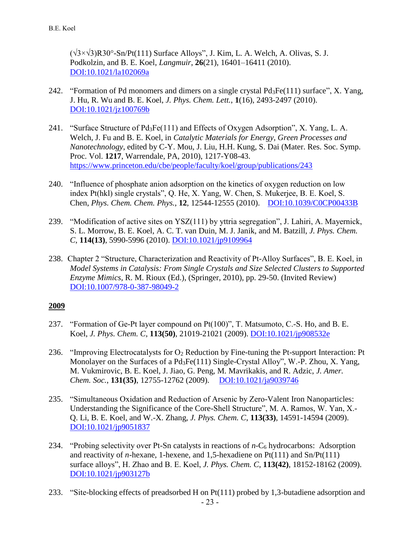(√3×√3)R30°-Sn/Pt(111) Surface Alloys", J. Kim, L. A. Welch, A. Olivas, S. J. Podkolzin, and B. E. Koel, *Langmuir*, **26**(21), 16401–16411 (2010). [DOI:10.1021/la102069a](http://dx.doi.org/10.1021/la102069a)

- 242. "Formation of Pd monomers and dimers on a single crystal Pd3Fe(111) surface", X. Yang, J. Hu, R. Wu and B. E. Koel, *J. Phys. Chem. Lett.*, **1**(16), 2493-2497 (2010). [DOI:10.1021/jz100769b](http://dx.doi.org/10.1021/jz100769b)
- 241. "Surface Structure of Pd3Fe(111) and Effects of Oxygen Adsorption", X. Yang, L. A. Welch, J. Fu and B. E. Koel, in *Catalytic Materials for Energy, Green Processes and Nanotechnology*, edited by C-Y. Mou, J. Liu, H.H. Kung, S. Dai (Mater. Res. Soc. Symp. Proc. Vol. **1217**, Warrendale, PA, 2010), 1217-Y08-43. [https://www.princeton.edu/cbe/people/faculty/koel/group/publications/243](https://www.princeton.edu/cbe/people/faculty/koel/group/publications/243-Surface-Structure-of-Pd3Fe(111)-and-Effects-of-Oxygen-Adsorption.pdf)
- 240. "Influence of phosphate anion adsorption on the kinetics of oxygen reduction on low index Pt(hkl) single crystals", Q. He, X. Yang, W. Chen, S. Mukerjee, B. E. Koel, S. Chen, *Phys. Chem. Chem. Phys.*, **12**, 12544-12555 (2010). [DOI:10.1039/C0CP00433B](http://dx.doi.org/10.1039/C0CP00433B)
- 239. "Modification of active sites on YSZ(111) by yttria segregation", J. Lahiri, A. Mayernick, S. L. Morrow, B. E. Koel, A. C. T. van Duin, M. J. Janik, and M. Batzill, *J. Phys. Chem. C*, **114(13)**, 5990-5996 (2010). [DOI:10.1021/jp9109964](http://dx.doi.org/10.1021/jp9109964)
- 238. Chapter 2 "Structure, Characterization and Reactivity of Pt-Alloy Surfaces", B. E. Koel, in *Model Systems in Catalysis: From Single Crystals and Size Selected Clusters to Supported Enzyme Mimics,* R. M. Rioux (Ed.), (Springer, 2010), pp. 29-50. (Invited Review) [DOI:10.1007/978-0-387-98049-2](http://dx.doi.org/10.1007/978-0-387-98049-2)

- 237. "Formation of Ge-Pt layer compound on Pt(100)", T. Matsumoto, C.-S. Ho, and B. E. Koel, *J. Phys. Chem. C*, **113(50)**, 21019-21021 (2009). [DOI:10.1021/jp908532e](http://dx.doi.org/10.1021/jp908532e)
- 236. "Improving Electrocatalysts for  $O_2$  Reduction by Fine-tuning the Pt-support Interaction: Pt Monolayer on the Surfaces of a Pd3Fe(111) Single-Crystal Alloy", W.-P. Zhou, X. Yang, M. Vukmirovic, B. E. Koel, J. Jiao, G. Peng, M. Mavrikakis, and R. Adzic, *J. Amer. Chem. Soc.*, **131(35)**, 12755-12762 (2009). [DOI:10.1021/ja9039746](http://dx.doi.org/10.1021/ja9039746)
- 235. "Simultaneous Oxidation and Reduction of Arsenic by Zero-Valent Iron Nanoparticles: Understanding the Significance of the Core-Shell Structure", M. A. Ramos, W. Yan, X.- Q. Li, B. E. Koel, and W.-X. Zhang, *J. Phys. Chem. C*, **113(33)**, 14591-14594 (2009). [DOI:10.1021/jp9051837](http://dx.doi.org/10.1021/jp9051837)
- 234. "Probing selectivity over Pt-Sn catalysts in reactions of *n*-C<sup>6</sup> hydrocarbons: Adsorption and reactivity of *n*-hexane, 1-hexene, and 1,5-hexadiene on  $Pt(111)$  and  $Sn/Pt(111)$ surface alloys", H. Zhao and B. E. Koel, *J. Phys. Chem. C*, **113(42)**, 18152-18162 (2009). [DOI:10.1021/jp903127b](http://dx.doi.org/10.1021/jp903127b)
- 23 233. "Site-blocking effects of preadsorbed H on Pt(111) probed by 1,3-butadiene adsorption and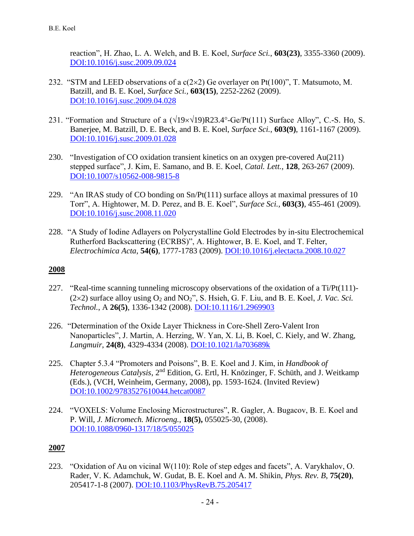reaction", H. Zhao, L. A. Welch, and B. E. Koel, *Surface Sci.*, **603(23)**, 3355-3360 (2009). [DOI:10.1016/j.susc.2009.09.024](http://dx.doi.org/10.1016/j.susc.2009.09.024)

- 232. "STM and LEED observations of a  $c(2\times 2)$  Ge overlayer on Pt(100)", T. Matsumoto, M. Batzill, and B. E. Koel, *Surface Sci.,* **603(15)**, 2252-2262 (2009). [DOI:10.1016/j.susc.2009.04.028](http://dx.doi.org/10.1016/j.susc.2009.04.028)
- 231. "Formation and Structure of a  $(\sqrt{19} \times \sqrt{19})R23.4^{\circ}$ -Ge/Pt(111) Surface Alloy", C.-S. Ho, S. Banerjee, M. Batzill, D. E. Beck, and B. E. Koel, *Surface Sci.*, **603(9)**, 1161-1167 (2009). [DOI:10.1016/j.susc.2009.01.028](http://dx.doi.org/10.1016/j.susc.2009.01.028)
- 230. "Investigation of CO oxidation transient kinetics on an oxygen pre-covered Au(211) stepped surface", J. Kim, E. Samano, and B. E. Koel, *Catal. Lett.*, **128**, 263-267 (2009). [DOI:10.1007/s10562-008-9815-8](http://dx.doi.org/10.1007/s10562-008-9815-8)
- 229. "An IRAS study of CO bonding on Sn/Pt(111) surface alloys at maximal pressures of 10 Torr", A. Hightower, M. D. Perez, and B. E. Koel", *Surface Sci.,* **603(3)**, 455-461 (2009). [DOI:10.1016/j.susc.2008.11.020](http://dx.doi.org/10.1016/j.susc.2008.11.020)
- 228. "A Study of Iodine Adlayers on Polycrystalline Gold Electrodes by in-situ Electrochemical Rutherford Backscattering (ECRBS)", A. Hightower, B. E. Koel, and T. Felter, *Electrochimica Acta*, **54(6)**, 1777-1783 (2009). [DOI:10.1016/j.electacta.2008.10.027](http://dx.doi.org/10.1016/j.electacta.2008.10.027)

### **2008**

- 227. "Real-time scanning tunneling microscopy observations of the oxidation of a Ti/Pt(111)-  $(2\times2)$  surface alloy using  $O_2$  and  $NO_2$ ", S. Hsieh, G. F. Liu, and B. E. Koel, *J. Vac. Sci. Technol.*, A **26(5)**, 1336-1342 (2008). [DOI:10.1116/1.2969903](http://dx.doi.org/10.1116/1.2969903)
- 226. "Determination of the Oxide Layer Thickness in Core-Shell Zero-Valent Iron Nanoparticles", J. Martin, A. Herzing, W. Yan, X. Li, B. Koel, C. Kiely, and W. Zhang, *Langmuir*, **24(8)**, 4329-4334 (2008). [DOI:10.1021/la703689k](http://dx.doi.org/10.1021/la703689k)
- 225. Chapter 5.3.4 "Promoters and Poisons", B. E. Koel and J. Kim, in *Handbook of*  Heterogeneous Catalysis, 2<sup>nd</sup> Edition, G. Ertl, H. Knözinger, F. Schüth, and J. Weitkamp (Eds.), (VCH, Weinheim, Germany, 2008), pp. 1593-1624. (Invited Review) [DOI:10.1002/9783527610044.hetcat0087](http://dx.doi.org/10.1002/9783527610044.hetcat0087)
- 224. "VOXELS: Volume Enclosing Microstructures", R. Gagler, A. Bugacov, B. E. Koel and P. Will, *J. Micromech. Microeng.*, **18(5),** 055025-30, (2008). [DOI:10.1088/0960-1317/18/5/055025](http://dx.doi.org/10.1088/0960-1317/18/5/055025)

## **2007**

223. "Oxidation of Au on vicinal W(110): Role of step edges and facets", A. Varykhalov, O. Rader, V. K. Adamchuk, W. Gudat, B. E. Koel and A. M. Shikin, *Phys. Rev. B*, **75(20)**, 205417-1-8 (2007). [DOI:10.1103/PhysRevB.75.205417](http://dx.doi.org/10.1103/PhysRevB.75.205417)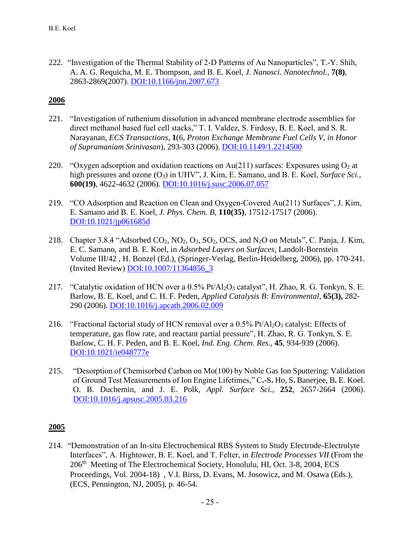222. "Investigation of the Thermal Stability of 2-D Patterns of Au Nanoparticles", T.-Y. Shih, A. A. G. Requicha, M. E. Thompson, and B. E. Koel, *J. Nanosci. Nanotechnol.*, **7(8)**, 2863-2869(2007). [DOI:10.1166/jnn.2007.673](http://dx.doi.org/10.1166/jnn.2007.673)

### **2006**

- 221. "Investigation of ruthenium dissolution in advanced membrane electrode assemblies for direct methanol based fuel cell stacks," T. I. Valdez, S. Firdosy, B. E. Koel, and S. R. Narayanan, *ECS Transactions*, **1**(6, *Proton Exchange Membrane Fuel Cells V, in Honor of Supramaniam Srinivasan*), 293-303 (2006). [DOI:10.1149/1.2214500](http://dx.doi.org/10.1149/1.2214500)
- 220. "Oxygen adsorption and oxidation reactions on  $Au(211)$  surfaces: Exposures using  $O_2$  at high pressures and ozone (O<sub>3</sub>) in UHV", J. Kim, E. Samano, and B. E. Koel, *Surface Sci.*, **600(19)**, 4622-4632 (2006). [DOI:10.1016/j.susc.2006.07.057](http://dx.doi.org/10.1016/j.susc.2006.07.057)
- 219. "CO Adsorption and Reaction on Clean and Oxygen-Covered Au(211) Surfaces", J. Kim, E. Samano and B. E. Koel, *J. Phys. Chem. B*, **110(35)**, 17512-17517 (2006). [DOI:10.1021/jp061685d](http://dx.doi.org/10.1021/jp061685d)
- 218. Chapter 3.8.4 "Adsorbed CO2, NO2, O3, SO2, OCS, and N2O on Metals", C. Panja, J. Kim, E. C. Samano, and B. E. Koel, in *Adsorbed Layers on Surfaces*, Landolt-Bornstein Volume III/42 , H. Bonzel (Ed.), (Springer-Verlag, Berlin-Heidelberg, 2006), pp. 170-241. (Invited Review) [DOI:10.1007/11364856\\_3](http://dx.doi.org/10.1007/11364856_3)
- 217. "Catalytic oxidation of HCN over a 0.5% Pt/Al<sub>2</sub>O<sub>3</sub> catalyst", H. Zhao, R. G. Tonkyn, S. E. Barlow, B. E. Koel, and C. H. F. Peden, *Applied Catalysis B: Environmental*, **65(3),** 282- 290 (2006). [DOI:10.1016/j.apcatb.2006.02.009](http://dx.doi.org/10.1016/j.apcatb.2006.02.009)
- 216. "Fractional factorial study of HCN removal over a  $0.5\%$  Pt/Al<sub>2</sub>O<sub>3</sub> catalyst: Effects of temperature, gas flow rate, and reactant partial pressure", H. Zhao, R. G. Tonkyn, S. E. Barlow, C. H. F. Peden, and B. E. Koel, *Ind. Eng. Chem. Res.,* **45**, 934-939 (2006). [DOI:10.1021/ie048777e](http://dx.doi.org/10.1021/ie048777e)
- 215. "Desorption of Chemisorbed Carbon on Mo(100) by Noble Gas Ion Sputtering: Validation of Ground Test Measurements of Ion Engine Lifetimes," C**.**-S**.** Ho, S**.** Banerjee, B**.** E. Koel. O. B. Duchemin, and J. E. Polk, *Appl. Surface Sci.*, **252**, 2657-2664 (2006). [DOI:10.1016/j.apsusc.2005.03.216](http://dx.doi.org/10.1016/j.apsusc.2005.03.216)

### **2005**

214. "Demonstration of an In-situ Electrochemical RBS System to Study Electrode-Electrolyte Interfaces", A. Hightower, B. E. Koel, and T. Felter, in *Electrode Processes VII* (From the 206<sup>th</sup> Meeting of The Electrochemical Society, Honolulu, HI, Oct. 3-8, 2004, ECS Proceedings, Vol. 2004-18) , V.I. Birss, D. Evans, M. Josowicz, and M. Osawa (Eds.), (ECS, Pennington, NJ, 2005), p. 46-54.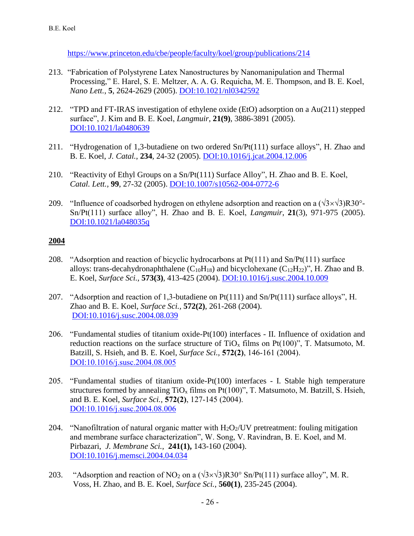[https://www.princeton.edu/cbe/people/faculty/koel/group/publications/214](https://www.princeton.edu/cbe/people/faculty/koel/group/publications/214-Demonstration-of-in-situ-ECRBS-ECS-Proceedings.pdf)

- 213. "Fabrication of Polystyrene Latex Nanostructures by Nanomanipulation and Thermal Processing," E. Harel, S. E. Meltzer, A. A. G. Requicha, M. E. Thompson, and B. E. Koel, *Nano Lett.*, **5**, 2624-2629 (2005). [DOI:10.1021/nl0342592](http://dx.doi.org/10.1021/nl0342592)
- 212. "TPD and FT-IRAS investigation of ethylene oxide (EtO) adsorption on a Au(211) stepped surface", J. Kim and B. E. Koel, *Langmuir*, **21(9)**, 3886-3891 (2005). [DOI:10.1021/la0480639](http://dx.doi.org/10.1021/la0480639)
- 211. "Hydrogenation of 1,3-butadiene on two ordered Sn/Pt(111) surface alloys", H. Zhao and B. E. Koel, *J. Catal.*, **234**, 24-32 (2005). [DOI:10.1016/j.jcat.2004.12.006](http://dx.doi.org/10.1016/j.jcat.2004.12.006)
- 210. "Reactivity of Ethyl Groups on a Sn/Pt(111) Surface Alloy", H. Zhao and B. E. Koel, *Catal. Lett.,* **99**, 27-32 (2005). [DOI:10.1007/s10562-004-0772-6](http://dx.doi.org/10.1007/s10562-004-0772-6)
- 209. "Influence of coadsorbed hydrogen on ethylene adsorption and reaction on a  $(\sqrt{3} \times \sqrt{3})R30^{\circ}$ -Sn/Pt(111) surface alloy", H. Zhao and B. E. Koel, *Langmuir*, **21**(3), 971-975 (2005). [DOI:10.1021/la048035q](http://dx.doi.org/10.1021/la048035q)

- 208. "Adsorption and reaction of bicyclic hydrocarbons at Pt(111) and Sn/Pt(111) surface alloys: trans-decahydronaphthalene  $(C_{10}H_{18})$  and bicyclohexane  $(C_{12}H_{22})$ ", H. Zhao and B. E. Koel, *Surface Sci.,* **573(3)**, 413-425 (2004). [DOI:10.1016/j.susc.2004.10.009](http://dx.doi.org/10.1016/j.susc.2004.10.009)
- 207. "Adsorption and reaction of 1,3-butadiene on Pt(111) and Sn/Pt(111) surface alloys", H. Zhao and B. E. Koel, *Surface Sci.,* **572(2)**, 261-268 (2004). [DOI:10.1016/j.susc.2004.08.039](http://dx.doi.org/10.1016/j.susc.2004.08.039)
- 206. "Fundamental studies of titanium oxide-Pt(100) interfaces II. Influence of oxidation and reduction reactions on the surface structure of  $TiO<sub>x</sub>$  films on Pt(100)", T. Matsumoto, M. Batzill, S. Hsieh, and B. E. Koel, *Surface Sci.,* **572(2)**, 146-161 (2004). [DOI:10.1016/j.susc.2004.08.005](http://dx.doi.org/10.1016/j.susc.2004.08.005)
- 205. "Fundamental studies of titanium oxide-Pt(100) interfaces I. Stable high temperature structures formed by annealing  $TiO_x$  films on  $Pt(100)$ ", T. Matsumoto, M. Batzill, S. Hsieh, and B. E. Koel, *Surface Sci.,* **572(2)**, 127-145 (2004). [DOI:10.1016/j.susc.2004.08.006](http://dx.doi.org/10.1016/j.susc.2004.08.006)
- 204. "Nanofiltration of natural organic matter with  $H_2O_2$ /UV pretreatment: fouling mitigation and membrane surface characterization", W. Song, V. Ravindran, B. E. Koel, and M. Pirbazari, *J. Membrane Sci.*, **241(1),** 143-160 (2004). [DOI:10.1016/j.memsci.2004.04.034](http://dx.doi.org/10.1016/j.memsci.2004.04.034)
- 203. "Adsorption and reaction of NO<sub>2</sub> on a  $(\sqrt{3} \times \sqrt{3})R30^\circ$  Sn/Pt(111) surface alloy", M. R. Voss, H. Zhao, and B. E. Koel, *Surface Sci.*, **560(1)**, 235-245 (2004).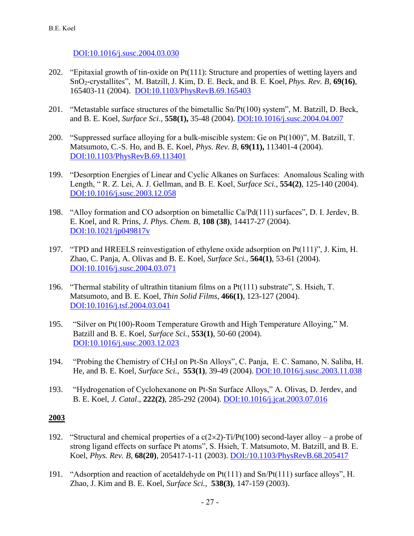[DOI:10.1016/j.susc.2004.03.030](http://dx.doi.org/10.1016/j.susc.2004.03.030)

- 202. "Epitaxial growth of tin-oxide on Pt(111): Structure and properties of wetting layers and SnO2-crystallites", M. Batzill, J. Kim, D. E. Beck, and B. E. Koel, *Phys. Rev. B,* **69(16)**, 165403-11 (2004). [DOI:10.1103/PhysRevB.69.165403](http://dx.doi.org/10.1103/PhysRevB.69.165403)
- 201. "Metastable surface structures of the bimetallic Sn/Pt(100) system", M. Batzill, D. Beck, and B. E. Koel, *Surface Sci*., **558(1),** 35-48 (2004). [DOI:10.1016/j.susc.2004.04.007](http://dx.doi.org/10.1016/j.susc.2004.04.007)
- 200. "Suppressed surface alloying for a bulk-miscible system: Ge on Pt(100)", M. Batzill, T. Matsumoto, C.-S. Ho, and B. E. Koel, *Phys. Rev. B,* **69(11),** 113401-4 (2004). [DOI:10.1103/PhysRevB.69.113401](http://dx.doi.org/10.1103/PhysRevB.69.113401)
- 199. "Desorption Energies of Linear and Cyclic Alkanes on Surfaces: Anomalous Scaling with Length, " R. Z. Lei, A. J. Gellman, and B. E. Koel, *Surface Sci.*, **554(2)**, 125-140 (2004). [DOI:10.1016/j.susc.2003.12.058](http://dx.doi.org/10.1016/j.susc.2003.12.058)
- 198. "Alloy formation and CO adsorption on bimetallic Ca/Pd(111) surfaces", D. I. Jerdev, B. E. Koel, and R. Prins, *J. Phys. Chem. B*, **108 (38)**, 14417-27 (2004). [DOI:10.1021/jp049817v](http://dx.doi.org/10.1021/jp049817v)
- 197. "TPD and HREELS reinvestigation of ethylene oxide adsorption on Pt(111)", J. Kim, H. Zhao, C. Panja, A. Olivas and B. E. Koel, *Surface Sci.*, **564(1)**, 53-61 (2004). [DOI:10.1016/j.susc.2004.03.071](http://dx.doi.org/10.1016/j.susc.2004.03.071)
- 196. "Thermal stability of ultrathin titanium films on a Pt(111) substrate", S. Hsieh, T. Matsumoto, and B. E. Koel, *Thin Solid Films*, **466(1)**, 123-127 (2004). [DOI:10.1016/j.tsf.2004.03.041](http://dx.doi.org/10.1016/j.tsf.2004.03.041)
- 195. "Silver on Pt(100)-Room Temperature Growth and High Temperature Alloying," M. Batzill and B. E. Koel, *Surface Sci.*, **553(1)**, 50-60 (2004). [DOI:10.1016/j.susc.2003.12.023](http://dx.doi.org/10.1016/j.susc.2003.12.023)
- 194. "Probing the Chemistry of CH3I on Pt-Sn Alloys", C. Panja, E. C. Samano, N. Saliba, H. He, and B. E. Koel, *Surface Sci.*, **553(1)**, 39-49 (2004). [DOI:10.1016/j.susc.2003.11.038](http://dx.doi.org/10.1016/j.susc.2003.11.038)
- 193. "Hydrogenation of Cyclohexanone on Pt-Sn Surface Alloys," A. Olivas, D. Jerdev, and B. E. Koel, *J. Catal*., **222(2)**, 285-292 (2004). [DOI:10.1016/j.jcat.2003.07.016](http://dx.doi.org/10.1016/j.jcat.2003.07.016)

- 192. "Structural and chemical properties of a  $c(2\times2)$ -Ti/Pt(100) second-layer alloy a probe of strong ligand effects on surface Pt atoms", S. Hsieh, T. Matsumoto, M. Batzill, and B. E. Koel, *Phys. Rev. B*, **68(20)**, 205417-1-11 (2003). [DOI:/10.1103/PhysRevB.68.205417](http://dx.doi.org/10.1103/PhysRevB.68.205417)
- 191. "Adsorption and reaction of acetaldehyde on Pt(111) and Sn/Pt(111) surface alloys", H. Zhao, J. Kim and B. E. Koel, *Surface Sci.*, **538(3)**, 147-159 (2003).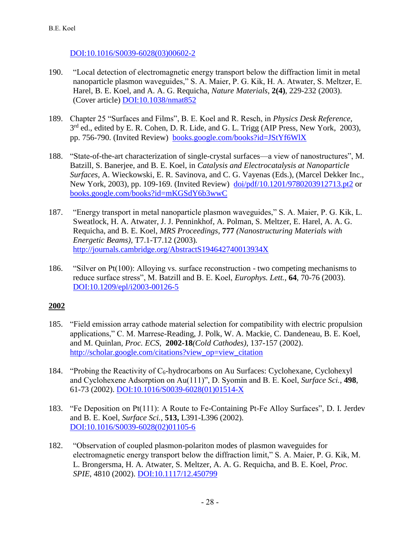[DOI:10.1016/S0039-6028\(03\)00602-2](http://dx.doi.org/10.1016/S0039-6028(03)00602-2)

- 190. "Local detection of electromagnetic energy transport below the diffraction limit in metal nanoparticle plasmon waveguides," S. A. Maier, P. G. Kik, H. A. Atwater, S. Meltzer, E. Harel, B. E. Koel, and A. A. G. Requicha, *Nature Materials*, **2(4)**, 229-232 (2003). (Cover article) [DOI:10.1038/nmat852](http://dx.doi.org/10.1038/nmat852)
- 189. Chapter 25 "Surfaces and Films", B. E. Koel and R. Resch, in *Physics Desk Reference,* 3<sup>rd</sup> ed., edited by E. R. Cohen, D. R. Lide, and G. L. Trigg (AIP Press, New York, 2003), pp. 756-790. (Invited Review) [books.google.com/books?id=JStYf6WlX](https://books.google.com/books?id=JStYf6WlXpgC&pg=PR29&lpg=PR29&dq=surface+and+films,+physics+desk+reference&source=bl&ots=AbZ2VM2WrZ&sig=7HiGWD4GbEAtXBwbG8w_8UEn-6s&hl=en&sa=X&ei=B5OQVNbwH7LGsQTgroKoDw&ved=0CCgQ6AEwAQ#v=onepage&q=surface%20and%20films%2C%20physics%20desk%20reference&f=false)
- 188. "State-of-the-art characterization of single-crystal surfaces—a view of nanostructures", M. Batzill, S. Banerjee, and B. E. Koel, in *Catalysis and Electrocatalysis at Nanoparticle Surfaces*, A. Wieckowski, E. R. Savinova, and C. G. Vayenas (Eds.), (Marcel Dekker Inc., New York, 2003), pp. 109-169. (Invited Review) [doi/pdf/10.1201/9780203912713.pt2](http://www.crcnetbase.com/doi/pdf/10.1201/9780203912713.pt2) or [books.google.com/books?id=mKGSdY6b3wwC](https://books.google.com/books?hl=en&lr=&id=mKGSdY6b3wwC&oi=fnd&pg=PA109&ots=XSJebONk-E&sig=_46wV-HLJOAZtbQtLKDbRO0l7Zc#v=onepage&q&f=false)
- 187. "Energy transport in metal nanoparticle plasmon waveguides," S. A. Maier, P. G. Kik, L. Sweatlock, H. A. Atwater, J. J. Penninkhof, A. Polman, S. Meltzer, E. Harel, A. A. G. Requicha, and B. E. Koel, *MRS Proceedings,* **777** *(Nanostructuring Materials with Energetic Beams),* T7.1-T7.12 (2003)*.* [http://journals.cambridge.org/AbstractS194642740013934X](http://journals.cambridge.org/action/displayAbstract?fromPage=online&aid=8083468&fileId=S194642740013934X)
- 186. "Silver on Pt(100): Alloying vs. surface reconstruction two competing mechanisms to reduce surface stress", M. Batzill and B. E. Koel, *Europhys. Lett.*, **64**, 70-76 (2003). [DOI:10.1209/epl/i2003-00126-5](http://dx.doi.org/10.1209/epl/i2003-00126-5)

- 185. "Field emission array cathode material selection for compatibility with electric propulsion applications," C. M. Marrese-Reading, J. Polk, W. A. Mackie, C. Dandeneau, B. E. Koel, and M. Quinlan, *Proc. ECS*, **2002-18***(Cold Cathodes)*, 137-157 (2002). [http://scholar.google.com/citations?view\\_op=view\\_citation](http://scholar.google.com/citations?view_op=view_citation&hl=en&user=Uc98gkAAAAAJ&cstart=140&sortby=pubdate&citation_for_view=Uc98gkAAAAAJ:F9fV5C73w3QC)
- 184. "Probing the Reactivity of  $C_6$ -hydrocarbons on Au Surfaces: Cyclohexane, Cyclohexyl and Cyclohexene Adsorption on Au(111)", D. Syomin and B. E. Koel, *Surface Sci.*, **498**, 61-73 (2002). [DOI:10.1016/S0039-6028\(01\)01514-X](http://dx.doi.org/10.1016/S0039-6028(01)01514-X)
- 183. "Fe Deposition on Pt(111): A Route to Fe-Containing Pt-Fe Alloy Surfaces", D. I. Jerdev and B. E. Koel, *Surface Sci.*, **513,** L391-L396 (2002). [DOI:10.1016/S0039-6028\(02\)01105-6](http://dx.doi.org/10.1016/S0039-6028(02)01105-6)
- 182. "Observation of coupled plasmon-polariton modes of plasmon waveguides for electromagnetic energy transport below the diffraction limit," S. A. Maier, P. G. Kik, M. L. Brongersma, H. A. Atwater, S. Meltzer, A. A. G. Requicha, and B. E. Koel, *Proc. SPIE*, 4810 (2002). [DOI:10.1117/12.450799](http://dx.doi.org/10.1117/12.450799)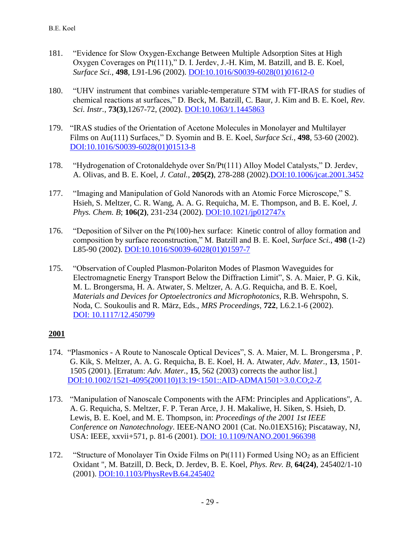- 181. "Evidence for Slow Oxygen-Exchange Between Multiple Adsorption Sites at High Oxygen Coverages on Pt(111)," D. I. Jerdev, J.-H. Kim, M. Batzill, and B. E. Koel, *Surface Sci.,* **498**, L91-L96 (2002). [DOI:10.1016/S0039-6028\(01\)01612-0](http://dx.doi.org/10.1016/S0039-6028(01)01612-0)
- 180. "UHV instrument that combines variable-temperature STM with FT-IRAS for studies of chemical reactions at surfaces," D. Beck, M. Batzill, C. Baur, J. Kim and B. E. Koel, *Rev. Sci. Instr.*, **73(3)**,1267-72, (2002). [DOI:10.1063/1.1445863](http://dx.doi.org/10.1063/1.1445863)
- 179. "IRAS studies of the Orientation of Acetone Molecules in Monolayer and Multilayer Films on Au(111) Surfaces," D. Syomin and B. E. Koel, *Surface Sci.*, **498**, 53-60 (2002). [DOI:10.1016/S0039-6028\(01\)01513-8](http://dx.doi.org/10.1016/S0039-6028(01)01513-8)
- 178. "Hydrogenation of Crotonaldehyde over Sn/Pt(111) Alloy Model Catalysts," D. Jerdev, A. Olivas, and B. E. Koel, *J. Catal.*, **205(2)**, 278-288 (2002)[.DOI:10.1006/jcat.2001.3452](http://dx.doi.org/10.1006/jcat.2001.3452)
- 177. "Imaging and Manipulation of Gold Nanorods with an Atomic Force Microscope," S. Hsieh, S. Meltzer, C. R. Wang, A. A. G. Requicha, M. E. Thompson, and B. E. Koel, *J. Phys. Chem. B*; **106(2)**, 231-234 (2002). [DOI:10.1021/jp012747x](http://dx.doi.org/10.1021/jp012747x)
- 176. "Deposition of Silver on the Pt(100)-hex surface: Kinetic control of alloy formation and composition by surface reconstruction," M. Batzill and B. E. Koel, *Surface Sci.*, **498** (1-2) L85-90 (2002). [DOI:10.1016/S0039-6028\(01\)01597-7](http://dx.doi.org/10.1016/S0039-6028(01)01597-7)
- 175. "Observation of Coupled Plasmon-Polariton Modes of Plasmon Waveguides for Electromagnetic Energy Transport Below the Diffraction Limit", S. A. Maier, P. G. Kik, M. L. Brongersma, H. A. Atwater, S. Meltzer, A. A.G. Requicha, and B. E. Koel, *Materials and Devices for Optoelectronics and Microphotonics*, R.B. Wehrspohn, S. Noda, C. Soukoulis and R. März, Eds., *MRS Proceedings,* **722**, L6.2.1-6 (2002). [DOI: 10.1117/12.450799](http://dx.doi.org/10.1117/12.450799)

- 174. "Plasmonics A Route to Nanoscale Optical Devices", S. A. Maier, M. L. Brongersma , P. G. Kik, S. Meltzer, A. A. G. Requicha, B. E. Koel, H. A. Atwater, *Adv. Mater.*, **13**, 1501- 1505 (2001). [Erratum: *Adv. Mater.*, **15**, 562 (2003) corrects the author list.] [DOI:10.1002/1521-4095\(200110\)13:19<1501::AID-ADMA1501>3.0.CO;2-Z](http://dx.doi.org/10.1002/1521-4095(200110)13:19%3c1501::AID-ADMA1501%3e3.0.CO;2-Z)
- 173. "Manipulation of Nanoscale Components with the AFM: Principles and Applications", A. A. G. Requicha, S. Meltzer, F. P. Teran Arce, J. H. Makaliwe, H. Siken, S. Hsieh, D. Lewis, B. E. Koel, and M. E. Thompson, in: *Proceedings of the 2001 1st IEEE Conference on Nanotechnology*. IEEE-NANO 2001 (Cat. No.01EX516); Piscataway, NJ, USA: IEEE, xxvii+571, p. 81-6 (2001). [DOI: 10.1109/NANO.2001.966398](http://dx.doi.org/10.1109/NANO.2001.966398)
- 172. "Structure of Monolayer Tin Oxide Films on  $Pt(111)$  Formed Using NO<sub>2</sub> as an Efficient Oxidant ", M. Batzill, D. Beck, D. Jerdev, B. E. Koel, *Phys. Rev. B*, **64(24)**, 245402/1-10 (2001). [DOI:10.1103/PhysRevB.64.245402](http://dx.doi.org/10.1103/PhysRevB.64.245402)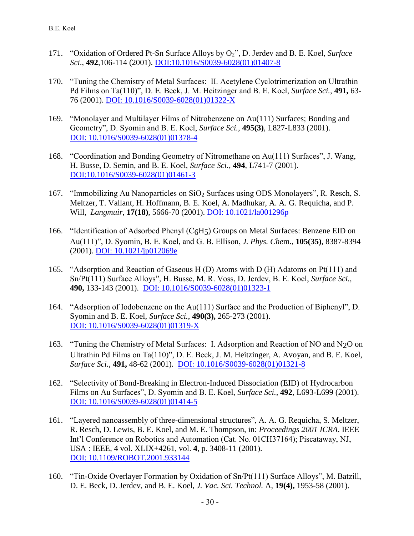- 171. "Oxidation of Ordered Pt-Sn Surface Alloys by O2", D. Jerdev and B. E. Koel, *Surface Sci*., **492**,106-114 (2001). [DOI:10.1016/S0039-6028\(01\)01407-8](http://dx.doi.org/10.1016/S0039-6028(01)01407-8)
- 170. "Tuning the Chemistry of Metal Surfaces: II. Acetylene Cyclotrimerization on Ultrathin Pd Films on Ta(110)", D. E. Beck, J. M. Heitzinger and B. E. Koel, *Surface Sci.*, **491,** 63- 76 (2001). [DOI: 10.1016/S0039-6028\(01\)01322-X](http://dx.doi.org/10.1016/S0039-6028(01)01322-X)
- 169. "Monolayer and Multilayer Films of Nitrobenzene on Au(111) Surfaces; Bonding and Geometry", D. Syomin and B. E. Koel, *Surface Sci.*, **495(3)**, L827-L833 (2001). [DOI: 10.1016/S0039-6028\(01\)01378-4](http://dx.doi.org/10.1016/S0039-6028(01)01378-4)
- 168. "Coordination and Bonding Geometry of Nitromethane on Au(111) Surfaces", J. Wang, H. Busse, D. Semin, and B. E. Koel, *Surface Sci.*, **494**, L741-7 (2001). [DOI:10.1016/S0039-6028\(01\)01461-3](http://dx.doi.org/10.1016/S0039-6028(01)01461-3)
- 167. "Immobilizing Au Nanoparticles on SiO<sup>2</sup> Surfaces using ODS Monolayers", R. Resch, S. Meltzer, T. Vallant, H. Hoffmann, B. E. Koel, A. Madhukar, A. A. G. Requicha, and P. Will, *Langmuir*, **17(18)**, 5666-70 (2001). [DOI: 10.1021/la001296p](http://dx.doi.org/10.1021/la001296p)
- 166. "Identification of Adsorbed Phenyl ( $C_6H_5$ ) Groups on Metal Surfaces: Benzene EID on Au(111)", D. Syomin, B. E. Koel, and G. B. Ellison, *J. Phys. Che*m., **105(35)**, 8387-8394 (2001). [DOI: 10.1021/jp012069e](http://dx.doi.org/10.1021/jp012069e)
- 165. "Adsorption and Reaction of Gaseous H (D) Atoms with D (H) Adatoms on Pt(111) and Sn/Pt(111) Surface Alloys", H. Busse, M. R. Voss, D. Jerdev, B. E. Koel, *Surface Sci.*, **490,** 133-143 (2001). [DOI: 10.1016/S0039-6028\(01\)01323-1](http://dx.doi.org/10.1016/S0039-6028(01)01323-1)
- 164. "Adsorption of Iodobenzene on the Au(111) Surface and the Production of Biphenyl", D. Syomin and B. E. Koel, *Surface Sci.*, **490(3),** 265-273 (2001). [DOI: 10.1016/S0039-6028\(01\)01319-X](http://dx.doi.org/10.1016/S0039-6028(01)01319-X)
- 163. "Tuning the Chemistry of Metal Surfaces: I. Adsorption and Reaction of NO and N2O on Ultrathin Pd Films on Ta(110)", D. E. Beck, J. M. Heitzinger, A. Avoyan, and B. E. Koel, *Surface Sci.*, **491,** 48-62 (2001). [DOI: 10.1016/S0039-6028\(01\)01321-8](http://dx.doi.org/10.1016/S0039-6028(01)01321-8)
- 162. "Selectivity of Bond-Breaking in Electron-Induced Dissociation (EID) of Hydrocarbon Films on Au Surfaces", D. Syomin and B. E. Koel, *Surface Sci.*, **492**, L693-L699 (2001). [DOI: 10.1016/S0039-6028\(01\)01414-5](http://dx.doi.org/10.1016/S0039-6028(01)01414-5)
- 161. "Layered nanoassembly of three-dimensional structures", A. A. G. Requicha, S. Meltzer, R. Resch, D. Lewis, B. E. Koel, and M. E. Thompson, in: *Proceedings 2001 ICRA*. IEEE Int'l Conference on Robotics and Automation (Cat. No. 01CH37164); Piscataway, NJ, USA : IEEE, 4 vol. XLIX+4261, vol. **4**, p. 3408-11 (2001). [DOI: 10.1109/ROBOT.2001.933144](http://dx.doi.org/10.1109/ROBOT.2001.933144)
- 160. "Tin-Oxide Overlayer Formation by Oxidation of Sn/Pt(111) Surface Alloys", M. Batzill, D. E. Beck, D. Jerdev, and B. E. Koel, *J. Vac. Sci. Technol.* A, **19(4),** 1953-58 (2001).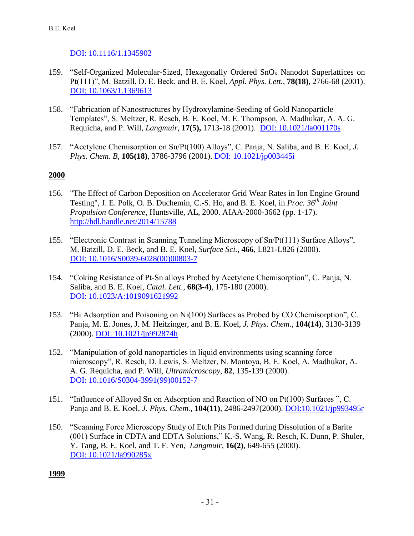### [DOI: 10.1116/1.1345902](http://dx.doi.org/10.1116/1.1345902)

- 159. "Self-Organized Molecular-Sized, Hexagonally Ordered SnO<sup>x</sup> Nanodot Superlattices on Pt(111)", M. Batzill, D. E. Beck, and B. E. Koel, *Appl. Phys. Lett.*, **78(18)**, 2766-68 (2001). [DOI: 10.1063/1.1369613](http://dx.doi.org/10.1063/1.1369613)
- 158. "Fabrication of Nanostructures by Hydroxylamine-Seeding of Gold Nanoparticle Templates", S. Meltzer, R. Resch, B. E. Koel, M. E. Thompson, A. Madhukar, A. A. G. Requicha, and P. Will, *Langmuir*, **17(5),** 1713-18 (2001). [DOI: 10.1021/la001170s](http://dx.doi.org/10.1021/la001170s)
- 157. "Acetylene Chemisorption on Sn/Pt(100) Alloys", C. Panja, N. Saliba, and B. E. Koel, *J. Phys. Chem*. *B*, **105(18)**, 3786-3796 (2001). [DOI: 10.1021/jp003445i](http://dx.doi.org/10.1021/jp003445i)

### **2000**

- 156. "The Effect of Carbon Deposition on Accelerator Grid Wear Rates in Ion Engine Ground Testing", J. E. Polk, O. B. Duchemin, C.-S. Ho, and B. E. Koel, in *Proc. 36th Joint Propulsion Conference*, Huntsville, AL, 2000. AIAA-2000-3662 (pp. 1-17). <http://hdl.handle.net/2014/15788>
- 155. "Electronic Contrast in Scanning Tunneling Microscopy of Sn/Pt(111) Surface Alloys", M. Batzill, D. E. Beck, and B. E. Koel, *Surface Sci.*, **466**, L821-L826 (2000). [DOI: 10.1016/S0039-6028\(00\)00803-7](http://dx.doi.org/10.1016/S0039-6028(00)00803-7)
- 154. "Coking Resistance of Pt-Sn alloys Probed by Acetylene Chemisorption", C. Panja, N. Saliba, and B. E. Koel, *Catal. Lett.*, **68(3-4)**, 175-180 (2000). [DOI: 10.1023/A:1019091621992](http://dx.doi.org/10.1023/A:1019091621992)
- 153. "Bi Adsorption and Poisoning on Ni(100) Surfaces as Probed by CO Chemisorption", C. Panja, M. E. Jones, J. M. Heitzinger, and B. E. Koel, *J. Phys. Chem.*, **104(14)**, 3130-3139 (2000). [DOI: 10.1021/jp992874h](http://dx.doi.org/10.1021/jp992874h)
- 152. "Manipulation of gold nanoparticles in liquid environments using scanning force microscopy", R. Resch, D. Lewis, S. Meltzer, N. Montoya, B. E. Koel, A. Madhukar, A. A. G. Requicha, and P. Will, *Ultramicroscopy*, **82**, 135-139 (2000). [DOI: 10.1016/S0304-3991\(99\)00152-7](http://dx.doi.org/10.1016/S0304-3991(99)00152-7)
- 151. "Influence of Alloyed Sn on Adsorption and Reaction of NO on Pt(100) Surfaces ", C. Panja and B. E. Koel, *J. Phys. Chem.,* **104(11)**, 2486-2497(2000). [DOI:10.1021/jp993495r](http://dx.doi.org/10.1021/jp993495r)
- 150. "Scanning Force Microscopy Study of Etch Pits Formed during Dissolution of a Barite (001) Surface in CDTA and EDTA Solutions," K.-S. Wang, R. Resch, K. Dunn, P. Shuler, Y. Tang, B. E. Koel, and T. F. Yen, *Langmuir,* **16(2)**, 649-655 (2000). [DOI: 10.1021/la990285x](http://dx.doi.org/10.1021/la990285x)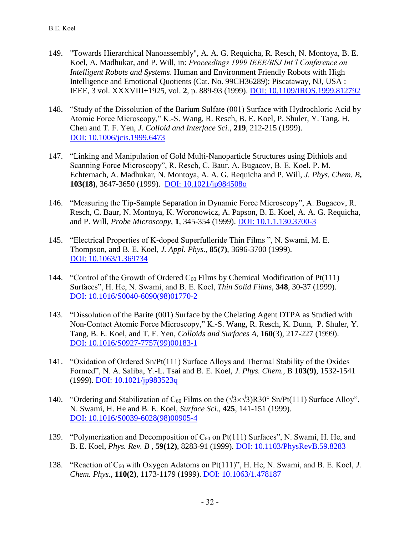- 149. "Towards Hierarchical Nanoassembly", A. A. G. Requicha, R. Resch, N. Montoya, B. E. Koel, A. Madhukar, and P. Will, in: *Proceedings 1999 IEEE/RSJ Int'l Conference on Intelligent Robots and Systems*. Human and Environment Friendly Robots with High Intelligence and Emotional Quotients (Cat. No. 99CH36289); Piscataway, NJ, USA : IEEE, 3 vol. XXXVIII+1925, vol. **2**, p. 889-93 (1999). [DOI: 10.1109/IROS.1999.812792](http://dx.doi.org/10.1109/IROS.1999.812792)
- 148. "Study of the Dissolution of the Barium Sulfate (001) Surface with Hydrochloric Acid by Atomic Force Microscopy," K.-S. Wang, R. Resch, B. E. Koel, P. Shuler, Y. Tang, H. Chen and T. F. Yen, *J. Colloid and Interface Sci.*, **219**, 212-215 (1999). [DOI: 10.1006/jcis.1999.6473](http://dx.doi.org/10.1006/jcis.1999.6473)
- 147. "Linking and Manipulation of Gold Multi-Nanoparticle Structures using Dithiols and Scanning Force Microscopy", R. Resch, C. Baur, A. Bugacov, B. E. Koel, P. M. Echternach, A. Madhukar, N. Montoya, A. A. G. Requicha and P. Will, *J. Phys. Chem. B***, 103(18)**, 3647-3650 (1999). [DOI: 10.1021/jp984508o](http://dx.doi.org/10.1021/jp984508o)
- 146. "Measuring the Tip-Sample Separation in Dynamic Force Microscopy", A. Bugacov, R. Resch, C. Baur, N. Montoya, K. Woronowicz, A. Papson, B. E. Koel, A. A. G. Requicha, and P. Will, *Probe Microscopy*, **1**, 345-354 (1999). [DOI: 10.1.1.130.3700-3](http://www.google.com/url?sa=t&rct=j&q=&esrc=s&source=web&cd=2&cad=rja&uact=8&ved=0CCYQFjAB&url=http%3A%2F%2Fciteseerx.ist.psu.edu%2Fviewdoc%2Fdownload%3Fdoi%3D10.1.1.130.3700%26rep%3Drep1%26type%3Dpdf&ei=pUMIVeKvB5LvgwSTyIPICQ&usg=AFQjCNF19itGYlMdDupt49t7d7oYy9ub0A&sig2=DfX3koRLPRFlLQ5BsycPeA&bvm=bv.88198703,d.eXY)
- 145. "Electrical Properties of K-doped Superfulleride Thin Films ", N. Swami, M. E. Thompson, and B. E. Koel, *J. Appl. Phys.*, **85(7)**, 3696-3700 (1999). [DOI: 10.1063/1.369734](http://dx.doi.org/10.1063/1.369734)
- 144. "Control of the Growth of Ordered  $C_{60}$  Films by Chemical Modification of Pt(111) Surfaces", H. He, N. Swami, and B. E. Koel, *Thin Solid Films*, **348**, 30-37 (1999). [DOI: 10.1016/S0040-6090\(98\)01770-2](http://dx.doi.org/10.1016/S0040-6090(98)01770-2)
- 143. "Dissolution of the Barite (001) Surface by the Chelating Agent DTPA as Studied with Non-Contact Atomic Force Microscopy," K.-S. Wang, R. Resch, K. Dunn, P. Shuler, Y. Tang, B. E. Koel, and T. F. Yen, *Colloids and Surfaces A*, **160**(3), 217-227 (1999). [DOI: 10.1016/S0927-7757\(99\)00183-1](http://dx.doi.org/10.1016/S0927-7757(99)00183-1)
- 141. "Oxidation of Ordered Sn/Pt(111) Surface Alloys and Thermal Stability of the Oxides Formed", N. A. Saliba, Y.-L. Tsai and B. E. Koel, *J. Phys. Chem.*, B **103(9)**, 1532-1541 (1999). [DOI: 10.1021/jp983523q](http://dx.doi.org/10.1021/jp983523q)
- 140. "Ordering and Stabilization of C<sub>60</sub> Films on the  $(\sqrt{3} \times \sqrt{3})R30^\circ$  Sn/Pt(111) Surface Alloy", N. Swami, H. He and B. E. Koel, *Surface Sci.*, **425**, 141-151 (1999). [DOI: 10.1016/S0039-6028\(98\)00905-4](http://dx.doi.org/10.1016/S0039-6028(98)00905-4)
- 139. "Polymerization and Decomposition of  $C_{60}$  on Pt(111) Surfaces", N. Swami, H. He, and B. E. Koel, *Phys. Rev. B* , **59(12)**, 8283-91 (1999). [DOI: 10.1103/PhysRevB.59.8283](http://dx.doi.org/10.1103/PhysRevB.59.8283)
- 138. "Reaction of C<sup>60</sup> with Oxygen Adatoms on Pt(111)", H. He, N. Swami, and B. E. Koel, *J. Chem. Phys.,* **110(2)**, 1173-1179 (1999). [DOI: 10.1063/1.478187](http://dx.doi.org/10.1063/1.478187)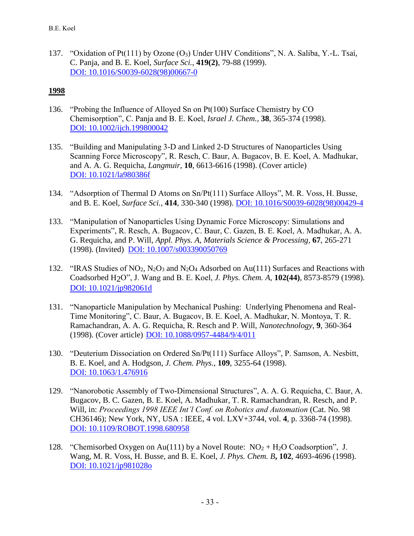137. "Oxidation of Pt(111) by Ozone (O3) Under UHV Conditions", N. A. Saliba, Y.-L. Tsai, C. Panja, and B. E. Koel, *Surface Sci.*, **419(2)**, 79-88 (1999). [DOI: 10.1016/S0039-6028\(98\)00667-0](http://dx.doi.org/10.1016/S0039-6028(98)00667-0)

- 136. "Probing the Influence of Alloyed Sn on Pt(100) Surface Chemistry by CO Chemisorption", C. Panja and B. E. Koel, *Israel J. Chem.,* **38**, 365-374 (1998). DOI: [10.1002/ijch.199800042](http://dx.doi.org/10.1002/ijch.199800042)
- 135. "Building and Manipulating 3-D and Linked 2-D Structures of Nanoparticles Using Scanning Force Microscopy", R. Resch, C. Baur, A. Bugacov, B. E. Koel, A. Madhukar, and A. A. G. Requicha, *Langmuir*, **10**, 6613-6616 (1998). (Cover article) [DOI: 10.1021/la980386f](http://dx.doi.org/10.1021/la980386f)
- 134. "Adsorption of Thermal D Atoms on Sn/Pt(111) Surface Alloys", M. R. Voss, H. Busse, and B. E. Koel, *Surface Sci.*, **414**, 330-340 (1998). [DOI: 10.1016/S0039-6028\(98\)00429-4](http://dx.doi.org/10.1016/S0039-6028(98)00429-4)
- 133. "Manipulation of Nanoparticles Using Dynamic Force Microscopy: Simulations and Experiments", R. Resch, A. Bugacov, C. Baur, C. Gazen, B. E. Koel, A. Madhukar, A. A. G. Requicha, and P. Will, *Appl. Phys. A*, *Materials Science & Processing,* **67**, 265-271 (1998). (Invited) [DOI: 10.1007/s003390050769](http://dx.doi.org/10.1007/s003390050769)
- 132. "IRAS Studies of NO<sub>2</sub>, N<sub>2</sub>O<sub>3</sub> and N<sub>2</sub>O<sub>4</sub> Adsorbed on Au(111) Surfaces and Reactions with Coadsorbed H2O", J. Wang and B. E. Koel, *J. Phys. Chem. A,* **102(44)**, 8573-8579 (1998). [DOI: 10.1021/jp982061d](http://dx.doi.org/10.1021/jp982061d)
- 131. "Nanoparticle Manipulation by Mechanical Pushing: Underlying Phenomena and Real-Time Monitoring", C. Baur, A. Bugacov, B. E. Koel, A. Madhukar, N. Montoya, T. R. Ramachandran, A. A. G. Requicha, R. Resch and P. Will, *Nanotechnology*, **9**, 360-364 (1998). (Cover article) [DOI: 10.1088/0957-4484/9/4/011](http://dx.doi.org/10.1088/0957-4484/9/4/011)
- 130. "Deuterium Dissociation on Ordered Sn/Pt(111) Surface Alloys", P. Samson, A. Nesbitt, B. E. Koel, and A. Hodgson, *J. Chem. Phys.*, **109**, 3255-64 (1998). [DOI: 10.1063/1.476916](http://dx.doi.org/10.1063/1.476916)
- 129. "Nanorobotic Assembly of Two-Dimensional Structures", A. A. G. Requicha, C. Baur, A. Bugacov, B. C. Gazen, B. E. Koel, A. Madhukar, T. R. Ramachandran, R. Resch, and P. Will, in: *Proceedings 1998 IEEE Int'l Conf. on Robotics and Automation* (Cat. No. 98 CH36146); New York, NY, USA : IEEE, 4 vol. LXV+3744, vol. **4**, p. 3368-74 (1998). [DOI: 10.1109/ROBOT.1998.680958](http://dx.doi.org/10.1109/ROBOT.1998.680958)
- 128. "Chemisorbed Oxygen on Au(111) by a Novel Route:  $NO<sub>2</sub> + H<sub>2</sub>O$  Coadsorption", J. Wang, M. R. Voss, H. Busse, and B. E. Koel, *J. Phys. Chem. B***, 102**, 4693-4696 (1998). [DOI: 10.1021/jp981028o](http://dx.doi.org/10.1021/jp981028o)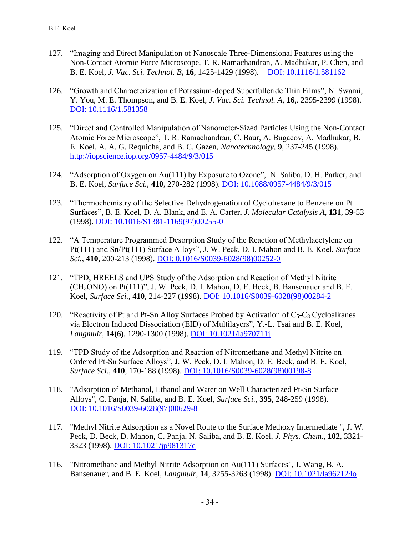- 127. "Imaging and Direct Manipulation of Nanoscale Three-Dimensional Features using the Non-Contact Atomic Force Microscope, T. R. Ramachandran, A. Madhukar, P. Chen, and B. E. Koel, *J. Vac. Sci. Technol. B***, 16***,* 1425-1429 (1998)*.* [DOI: 10.1116/1.581162](http://dx.doi.org/10.1116/1.581162)
- 126. "Growth and Characterization of Potassium-doped Superfulleride Thin Films", N. Swami, Y. You, M. E. Thompson, and B. E. Koel, *J. Vac. Sci. Technol. A*, **16**,. 2395-2399 (1998). [DOI: 10.1116/1.581358](http://dx.doi.org/10.1116/1.581358)
- 125. "Direct and Controlled Manipulation of Nanometer-Sized Particles Using the Non-Contact Atomic Force Microscope", T. R. Ramachandran, C. Baur, A. Bugacov, A. Madhukar, B. E. Koel, A. A. G. Requicha, and B. C. Gazen, *Nanotechnology*, **9**, 237-245 (1998). <http://iopscience.iop.org/0957-4484/9/3/015>
- 124. "Adsorption of Oxygen on Au(111) by Exposure to Ozone", N. Saliba, D. H. Parker, and B. E. Koel, *Surface Sci.*, **410**, 270-282 (1998). [DOI: 10.1088/0957-4484/9/3/015](http://dx.doi.org/10.1088/0957-4484/9/3/015)
- 123. "Thermochemistry of the Selective Dehydrogenation of Cyclohexane to Benzene on Pt Surfaces", B. E. Koel, D. A. Blank, and E. A. Carter, *J. Molecular Catalysis A,* **131**, 39-53 (1998). [DOI: 10.1016/S1381-1169\(97\)00255-0](http://dx.doi.org/10.1016/S1381-1169(97)00255-0)
- 122. "A Temperature Programmed Desorption Study of the Reaction of Methylacetylene on Pt(111) and Sn/Pt(111) Surface Alloys", J. W. Peck, D. I. Mahon and B. E. Koel, *Surface Sci.*, **410**, 200-213 (1998). [DOI: 0.1016/S0039-6028\(98\)00252-0](http://dx.doi.org/10.1016/S0039-6028(98)00252-0)
- 121. "TPD, HREELS and UPS Study of the Adsorption and Reaction of Methyl Nitrite (CH3ONO) on Pt(111)", J. W. Peck, D. I. Mahon, D. E. Beck, B. Bansenauer and B. E. Koel, *Surface Sci.*, **410**, 214-227 (1998). [DOI: 10.1016/S0039-6028\(98\)00284-2](http://dx.doi.org/10.1016/S0039-6028(98)00284-2)
- 120. "Reactivity of Pt and Pt-Sn Alloy Surfaces Probed by Activation of  $C_5-C_8$  Cycloalkanes via Electron Induced Dissociation (EID) of Multilayers", Y.-L. Tsai and B. E. Koel, *Langmuir*, **14(6)**, 1290-1300 (1998). [DOI: 10.1021/la970711j](http://dx.doi.org/10.1021/la970711j)
- 119. "TPD Study of the Adsorption and Reaction of Nitromethane and Methyl Nitrite on Ordered Pt-Sn Surface Alloys", J. W. Peck, D. I. Mahon, D. E. Beck, and B. E. Koel, *Surface Sci.*, **410**, 170-188 (1998). [DOI: 10.1016/S0039-6028\(98\)00198-8](http://dx.doi.org/10.1016/S0039-6028(98)00198-8)
- 118. "Adsorption of Methanol, Ethanol and Water on Well Characterized Pt-Sn Surface Alloys", C. Panja, N. Saliba, and B. E. Koel, *Surface Sci.*, **395**, 248-259 (1998). [DOI: 10.1016/S0039-6028\(97\)00629-8](http://dx.doi.org/10.1016/S0039-6028(97)00629-8)
- 117. "Methyl Nitrite Adsorption as a Novel Route to the Surface Methoxy Intermediate ", J. W. Peck, D. Beck, D. Mahon, C. Panja, N. Saliba, and B. E. Koel, *J. Phys. Chem.*, **102**, 3321- 3323 (1998). [DOI: 10.1021/jp981317c](http://dx.doi.org/10.1021/jp981317c)
- 116. "Nitromethane and Methyl Nitrite Adsorption on Au(111) Surfaces", J. Wang, B. A. Bansenauer, and B. E. Koel, *Langmuir*, **14**, 3255-3263 (1998). [DOI: 10.1021/la962124o](http://dx.doi.org/10.1021/la962124o)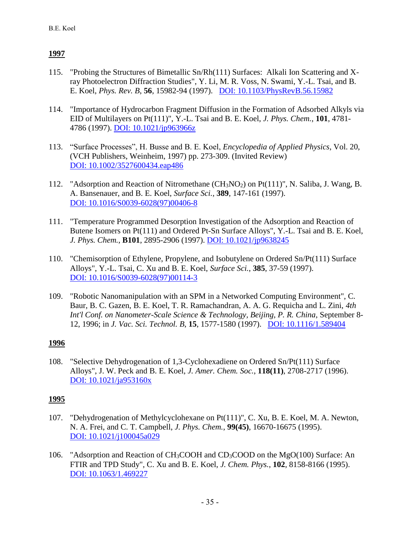- 115. "Probing the Structures of Bimetallic Sn/Rh(111) Surfaces: Alkali Ion Scattering and Xray Photoelectron Diffraction Studies", Y. Li, M. R. Voss, N. Swami, Y.-L. Tsai, and B. E. Koel, *Phys. Rev. B*, **56**, 15982-94 (1997). [DOI: 10.1103/PhysRevB.56.15982](http://dx.doi.org/10.1103/PhysRevB.56.15982)
- 114. "Importance of Hydrocarbon Fragment Diffusion in the Formation of Adsorbed Alkyls via EID of Multilayers on Pt(111)", Y.-L. Tsai and B. E. Koel, *J. Phys. Chem.*, **101**, 4781- 4786 (1997). [DOI: 10.1021/jp963966z](http://dx.doi.org/10.1021/jp963966z)
- 113. "Surface Processes", H. Busse and B. E. Koel, *Encyclopedia of Applied Physics*, Vol. 20, (VCH Publishers, Weinheim, 1997) pp. 273-309. (Invited Review) [DOI: 10.1002/3527600434.eap486](http://dx.doi.org/10.1002/3527600434.eap486)
- 112. "Adsorption and Reaction of Nitromethane (CH3NO2) on Pt(111)", N. Saliba, J. Wang, B. A. Bansenauer, and B. E. Koel, *Surface Sci.*, **389**, 147-161 (1997). [DOI: 10.1016/S0039-6028\(97\)00406-8](http://dx.doi.org/10.1016/S0039-6028(97)00406-8)
- 111. "Temperature Programmed Desorption Investigation of the Adsorption and Reaction of Butene Isomers on Pt(111) and Ordered Pt-Sn Surface Alloys", Y.-L. Tsai and B. E. Koel, *J. Phys. Chem.*, **B101**, 2895-2906 (1997). [DOI: 10.1021/jp9638245](http://dx.doi.org/10.1021/jp9638245)
- 110. "Chemisorption of Ethylene, Propylene, and Isobutylene on Ordered Sn/Pt(111) Surface Alloys", Y.-L. Tsai, C. Xu and B. E. Koel, *Surface Sci.*, **385**, 37-59 (1997). [DOI: 10.1016/S0039-6028\(97\)00114-3](http://dx.doi.org/10.1016/S0039-6028(97)00114-3)
- 109. "Robotic Nanomanipulation with an SPM in a Networked Computing Environment", C. Baur, B. C. Gazen, B. E. Koel, T. R. Ramachandran, A. A. G. Requicha and L. Zini, *4th Int'l Conf. on Nanometer-Scale Science & Technology, Beijing, P. R. China*, September 8- 12, 1996; in *J. Vac. Sci. Technol. B*, **15**, 1577-1580 (1997). [DOI: 10.1116/1.589404](http://dx.doi.org/10.1116/1.589404)

### **1996**

108. "Selective Dehydrogenation of 1,3-Cyclohexadiene on Ordered Sn/Pt(111) Surface Alloys", J. W. Peck and B. E. Koel, *J. Amer. Chem. Soc.*, **118(11)**, 2708-2717 (1996). [DOI: 10.1021/ja953160x](http://dx.doi.org/10.1021/ja953160x)

- 107. "Dehydrogenation of Methylcyclohexane on Pt(111)", C. Xu, B. E. Koel, M. A. Newton, N. A. Frei, and C. T. Campbell, *J. Phys. Chem.*, **99(45)**, 16670-16675 (1995). [DOI: 10.1021/j100045a029](http://dx.doi.org/10.1021/j100045a029)
- 106. "Adsorption and Reaction of CH3COOH and CD3COOD on the MgO(100) Surface: An FTIR and TPD Study", C. Xu and B. E. Koel, *J. Chem. Phys.*, **102**, 8158-8166 (1995). [DOI: 10.1063/1.469227](http://dx.doi.org/10.1063/1.469227)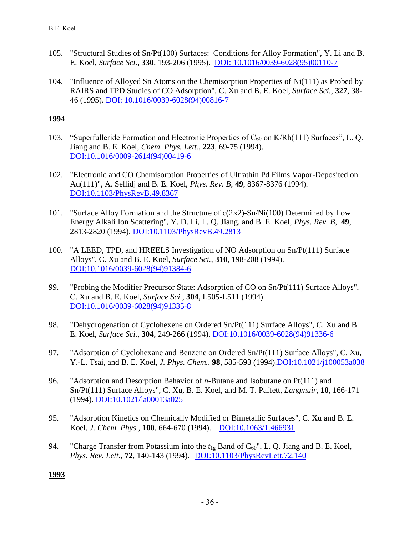- 105. "Structural Studies of Sn/Pt(100) Surfaces: Conditions for Alloy Formation", Y. Li and B. E. Koel, *Surface Sci.*, **330**, 193-206 (1995). [DOI: 10.1016/0039-6028\(95\)00110-7](http://dx.doi.org/10.1016/0039-6028(95)00110-7)
- 104. "Influence of Alloyed Sn Atoms on the Chemisorption Properties of Ni(111) as Probed by RAIRS and TPD Studies of CO Adsorption", C. Xu and B. E. Koel, *Surface Sci.*, **327**, 38- 46 (1995). [DOI: 10.1016/0039-6028\(94\)00816-7](http://dx.doi.org/10.1016/0039-6028(94)00816-7)

- 103. "Superfulleride Formation and Electronic Properties of  $C_{60}$  on K/Rh(111) Surfaces", L. Q. Jiang and B. E. Koel, *Chem. Phys. Lett.*, **223**, 69-75 (1994). [DOI:10.1016/0009-2614\(94\)00419-6](http://dx.doi.org/10.1016/0009-2614(94)00419-6)
- 102. "Electronic and CO Chemisorption Properties of Ultrathin Pd Films Vapor-Deposited on Au(111)", A. Sellidj and B. E. Koel, *Phys. Rev. B*, **49**, 8367-8376 (1994). [DOI:10.1103/PhysRevB.49.8367](http://dx.doi.org/10.1103/PhysRevB.49.8367)
- 101. "Surface Alloy Formation and the Structure of  $c(2\times 2)$ -Sn/Ni(100) Determined by Low Energy Alkali Ion Scattering", Y. D. Li, L. Q. Jiang, and B. E. Koel, *Phys. Rev. B*, **49**, 2813-2820 (1994). [DOI:10.1103/PhysRevB.49.2813](http://dx.doi.org/10.1103/PhysRevB.49.2813)
- 100. "A LEED, TPD, and HREELS Investigation of NO Adsorption on Sn/Pt(111) Surface Alloys", C. Xu and B. E. Koel, *Surface Sci.*, **310**, 198-208 (1994). [DOI:10.1016/0039-6028\(94\)91384-6](http://dx.doi.org/10.1016/0039-6028(94)91384-6)
- 99. "Probing the Modifier Precursor State: Adsorption of CO on Sn/Pt(111) Surface Alloys", C. Xu and B. E. Koel, *Surface Sci.*, **304**, L505-L511 (1994). [DOI:10.1016/0039-6028\(94\)91335-8](http://dx.doi.org/10.1016/0039-6028(94)91335-8)
- 98. "Dehydrogenation of Cyclohexene on Ordered Sn/Pt(111) Surface Alloys", C. Xu and B. E. Koel, *Surface Sci.*, **304**, 249-266 (1994). [DOI:10.1016/0039-6028\(94\)91336-6](http://dx.doi.org/10.1016/0039-6028(94)91336-6)
- 97. "Adsorption of Cyclohexane and Benzene on Ordered Sn/Pt(111) Surface Alloys", C. Xu, Y.-L. Tsai, and B. E. Koel, *J. Phys. Chem.*, **98**, 585-593 (1994)[.DOI:10.1021/j100053a038](http://dx.doi.org/10.1021/j100053a038)
- 96. "Adsorption and Desorption Behavior of *n*-Butane and Isobutane on Pt(111) and Sn/Pt(111) Surface Alloys", C. Xu, B. E. Koel, and M. T. Paffett, *Langmuir*, **10**, 166-171 (1994). [DOI:10.1021/la00013a025](http://dx.doi.org/10.1021/la00013a025)
- 95. "Adsorption Kinetics on Chemically Modified or Bimetallic Surfaces", C. Xu and B. E. Koel, *J. Chem. Phys.*, **100**, 664-670 (1994). [DOI:10.1063/1.466931](http://dx.doi.org/10.1063/1.466931)
- 94. "Charge Transfer from Potassium into the  $t_{1g}$  Band of  $C_{60}$ ", L. Q. Jiang and B. E. Koel, *Phys. Rev. Lett.*, **72**, 140-143 (1994). [DOI:10.1103/PhysRevLett.72.140](http://dx.doi.org/10.1103/PhysRevLett.72.140)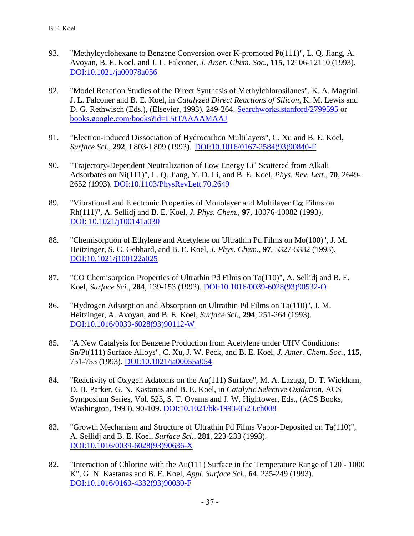- 93. "Methylcyclohexane to Benzene Conversion over K-promoted Pt(111)", L. Q. Jiang, A. Avoyan, B. E. Koel, and J. L. Falconer, *J. Amer. Chem. Soc.*, **115**, 12106-12110 (1993). [DOI:10.1021/ja00078a056](http://dx.doi.org/10.1021/ja00078a056)
- 92. "Model Reaction Studies of the Direct Synthesis of Methylchlorosilanes", K. A. Magrini, J. L. Falconer and B. E. Koel, in *Catalyzed Direct Reactions of Silicon*, K. M. Lewis and D. G. Rethwisch (Eds.), (Elsevier, 1993), 249-264. [Searchworks.stanford/2799595](http://searchworks.stanford.edu/view/2799595) or [books.google.com/books?id=L5tTAAAAMAAJ](https://books.google.com/books?id=L5tTAAAAMAAJ&source=gbs_ViewAPI)
- 91. "Electron-Induced Dissociation of Hydrocarbon Multilayers", C. Xu and B. E. Koel, *Surface Sci.*, **292**, L803-L809 (1993). [DOI:10.1016/0167-2584\(93\)90840-F](http://dx.doi.org/10.1016/0167-2584(93)90840-F)
- 90. "Trajectory-Dependent Neutralization of Low Energy Li<sup>+</sup> Scattered from Alkali Adsorbates on Ni(111)", L. Q. Jiang, Y. D. Li, and B. E. Koel, *Phys. Rev. Lett.*, **70**, 2649- 2652 (1993). [DOI:10.1103/PhysRevLett.70.2649](http://dx.doi.org/10.1103/PhysRevLett.70.2649)
- 89. "Vibrational and Electronic Properties of Monolayer and Multilayer  $C_{60}$  Films on Rh(111)", A. Sellidj and B. E. Koel, *J. Phys. Chem.*, **97**, 10076-10082 (1993). [DOI: 10.1021/j100141a030](http://dx.doi.org/10.1021/j100141a030)
- 88. "Chemisorption of Ethylene and Acetylene on Ultrathin Pd Films on Mo(100)", J. M. Heitzinger, S. C. Gebhard, and B. E. Koel, *J. Phys. Chem.*, **97**, 5327-5332 (1993). [DOI:10.1021/j100122a025](http://dx.doi.org/10.1021/j100122a025)
- 87. "CO Chemisorption Properties of Ultrathin Pd Films on Ta(110)", A. Sellidj and B. E. Koel, *Surface Sci.*, **284**, 139-153 (1993). [DOI:10.1016/0039-6028\(93\)90532-O](http://dx.doi.org/10.1016/0039-6028(93)90532-O)
- 86. "Hydrogen Adsorption and Absorption on Ultrathin Pd Films on Ta(110)", J. M. Heitzinger, A. Avoyan, and B. E. Koel, *Surface Sci.*, **294**, 251-264 (1993). [DOI:10.1016/0039-6028\(93\)90112-W](http://dx.doi.org/10.1016/0039-6028(93)90112-W)
- 85. "A New Catalysis for Benzene Production from Acetylene under UHV Conditions: Sn/Pt(111) Surface Alloys", C. Xu, J. W. Peck, and B. E. Koel, *J. Amer. Chem. Soc.*, **115**, 751-755 (1993). [DOI:10.1021/ja00055a054](http://dx.doi.org/10.1021/ja00055a054)
- 84. "Reactivity of Oxygen Adatoms on the Au(111) Surface", M. A. Lazaga, D. T. Wickham, D. H. Parker, G. N. Kastanas and B. E. Koel, in *Catalytic Selective Oxidation*, ACS Symposium Series, Vol. 523, S. T. Oyama and J. W. Hightower, Eds., (ACS Books, Washington, 1993), 90-109. [DOI:10.1021/bk-1993-0523.ch008](http://dx.doi.org/10.1021/bk-1993-0523.ch008)
- 83. "Growth Mechanism and Structure of Ultrathin Pd Films Vapor-Deposited on Ta(110)", A. Sellidj and B. E. Koel, *Surface Sci.*, **281**, 223-233 (1993). [DOI:10.1016/0039-6028\(93\)90636-X](http://dx.doi.org/10.1016/0039-6028(93)90636-X)
- 82. "Interaction of Chlorine with the Au(111) Surface in the Temperature Range of 120 1000 K", G. N. Kastanas and B. E. Koel, *Appl. Surface Sci.*, **64**, 235-249 (1993). [DOI:10.1016/0169-4332\(93\)90030-F](http://dx.doi.org/10.1016/0169-4332(93)90030-F)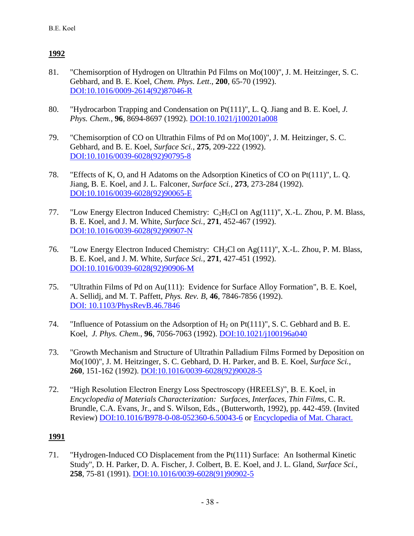- 81. "Chemisorption of Hydrogen on Ultrathin Pd Films on Mo(100)", J. M. Heitzinger, S. C. Gebhard, and B. E. Koel, *Chem. Phys. Lett*., **200**, 65-70 (1992). [DOI:10.1016/0009-2614\(92\)87046-R](http://dx.doi.org/10.1016/0009-2614(92)87046-R)
- 80. "Hydrocarbon Trapping and Condensation on Pt(111)", L. Q. Jiang and B. E. Koel, *J. Phys. Chem.*, **96**, 8694-8697 (1992). [DOI:10.1021/j100201a008](http://dx.doi.org/10.1021/j100201a008)
- 79. "Chemisorption of CO on Ultrathin Films of Pd on Mo(100)", J. M. Heitzinger, S. C. Gebhard, and B. E. Koel, *Surface Sci.*, **275**, 209-222 (1992). [DOI:10.1016/0039-6028\(92\)90795-8](http://dx.doi.org/10.1016/0039-6028(92)90795-8)
- 78. "Effects of K, O, and H Adatoms on the Adsorption Kinetics of CO on Pt(111)", L. Q. Jiang, B. E. Koel, and J. L. Falconer, *Surface Sci.*, **273**, 273-284 (1992). [DOI:10.1016/0039-6028\(92\)90065-E](http://dx.doi.org/10.1016/0039-6028(92)90065-E)
- 77. "Low Energy Electron Induced Chemistry: C2H5Cl on Ag(111)", X.-L. Zhou, P. M. Blass, B. E. Koel, and J. M. White, *Surface Sci.*, **271**, 452-467 (1992). [DOI:10.1016/0039-6028\(92\)90907-N](http://dx.doi.org/10.1016/0039-6028(92)90907-N)
- 76. "Low Energy Electron Induced Chemistry: CH3Cl on Ag(111)", X.-L. Zhou, P. M. Blass, B. E. Koel, and J. M. White, *Surface Sci.*, **271**, 427-451 (1992). [DOI:10.1016/0039-6028\(92\)90906-M](http://dx.doi.org/10.1016/0039-6028(92)90906-M)
- 75. "Ultrathin Films of Pd on Au(111): Evidence for Surface Alloy Formation", B. E. Koel, A. Sellidj, and M. T. Paffett, *Phys. Rev. B*, **46**, 7846-7856 (1992). [DOI: 10.1103/PhysRevB.46.7846](http://dx.doi.org/10.1103/PhysRevB.46.7846)
- 74. "Influence of Potassium on the Adsorption of  $H_2$  on Pt(111)", S. C. Gebhard and B. E. Koel, *J. Phys. Chem.*, **96**, 7056-7063 (1992). [DOI:10.1021/j100196a040](http://dx.doi.org/10.1021/j100196a040)
- 73. "Growth Mechanism and Structure of Ultrathin Palladium Films Formed by Deposition on Mo(100)", J. M. Heitzinger, S. C. Gebhard, D. H. Parker, and B. E. Koel, *Surface Sci.*, **260**, 151-162 (1992). [DOI:10.1016/0039-6028\(92\)90028-5](http://dx.doi.org/10.1016/0039-6028(92)90028-5)
- 72. "High Resolution Electron Energy Loss Spectroscopy (HREELS)", B. E. Koel, in *Encyclopedia of Materials Characterization: Surfaces, Interfaces, Thin Films*, C. R. Brundle, C.A. Evans, Jr., and S. Wilson, Eds., (Butterworth, 1992), pp. 442-459. (Invited Review) [DOI:10.1016/B978-0-08-052360-6.50043-6](http://dx.doi.org/10.1016/B978-0-08-052360-6.50043-6) or [Encyclopedia of Mat. Charact.](http://ricebrosplymouth.com/_manuals/books/Encyclopedia%20of%20Materials%20Characterization%20-%20C.%20Richard%20Brundle.pdf)

## **1991**

71. "Hydrogen-Induced CO Displacement from the Pt(111) Surface: An Isothermal Kinetic Study", D. H. Parker, D. A. Fischer, J. Colbert, B. E. Koel, and J. L. Gland, *Surface Sci.*, **258**, 75-81 (1991). [DOI:10.1016/0039-6028\(91\)90902-5](http://dx.doi.org/10.1016/0039-6028(91)90902-5)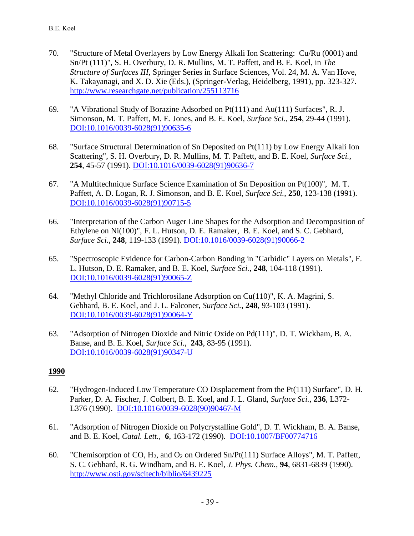- 70. "Structure of Metal Overlayers by Low Energy Alkali Ion Scattering: Cu/Ru (0001) and Sn/Pt (111)", S. H. Overbury, D. R. Mullins, M. T. Paffett, and B. E. Koel, in *The Structure of Surfaces III,* Springer Series in Surface Sciences, Vol. 24, M. A. Van Hove, K. Takayanagi, and X. D. Xie (Eds.), (Springer-Verlag, Heidelberg, 1991), pp. 323-327. [http://www.researchgate.net/publication/255113716](http://www.researchgate.net/publication/255113716_Structure_of_metal_overlayers_by_low_energy_alkali_ion_scattering_CuRu(001)_and_SnPt_(111))
- 69. "A Vibrational Study of Borazine Adsorbed on Pt(111) and Au(111) Surfaces", R. J. Simonson, M. T. Paffett, M. E. Jones, and B. E. Koel, *Surface Sci.*, **254**, 29-44 (1991). [DOI:10.1016/0039-6028\(91\)90635-6](http://dx.doi.org/10.1016/0039-6028(91)90635-6)
- 68. "Surface Structural Determination of Sn Deposited on Pt(111) by Low Energy Alkali Ion Scattering", S. H. Overbury, D. R. Mullins, M. T. Paffett, and B. E. Koel, *Surface Sci.*, **254**, 45-57 (1991). [DOI:10.1016/0039-6028\(91\)90636-7](http://dx.doi.org/10.1016/0039-6028(91)90636-7)
- 67. "A Multitechnique Surface Science Examination of Sn Deposition on Pt(100)", M. T. Paffett, A. D. Logan, R. J. Simonson, and B. E. Koel, *Surface Sci.*, **250**, 123-138 (1991). [DOI:10.1016/0039-6028\(91\)90715-5](http://dx.doi.org/10.1016/0039-6028(91)90715-5)
- 66. "Interpretation of the Carbon Auger Line Shapes for the Adsorption and Decomposition of Ethylene on Ni(100)", F. L. Hutson, D. E. Ramaker, B. E. Koel, and S. C. Gebhard, *Surface Sci.*, **248**, 119-133 (1991). [DOI:10.1016/0039-6028\(91\)90066-2](http://dx.doi.org/10.1016/0039-6028(91)90066-2)
- 65. "Spectroscopic Evidence for Carbon-Carbon Bonding in "Carbidic" Layers on Metals", F. L. Hutson, D. E. Ramaker, and B. E. Koel, *Surface Sci.*, **248**, 104-118 (1991). [DOI:10.1016/0039-6028\(91\)90065-Z](http://dx.doi.org/10.1016/0039-6028(91)90065-Z)
- 64. "Methyl Chloride and Trichlorosilane Adsorption on  $Cu(110)$ ", K. A. Magrini, S. Gebhard, B. E. Koel, and J. L. Falconer, *Surface Sci.*, **248**, 93-103 (1991). [DOI:10.1016/0039-6028\(91\)90064-Y](http://dx.doi.org/10.1016/0039-6028(91)90064-Y)
- 63. "Adsorption of Nitrogen Dioxide and Nitric Oxide on Pd(111)", D. T. Wickham, B. A. Banse, and B. E. Koel, *Surface Sci.*, **243**, 83-95 (1991). [DOI:10.1016/0039-6028\(91\)90347-U](http://dx.doi.org/10.1016/0039-6028(91)90347-U)

- 62. "Hydrogen-Induced Low Temperature CO Displacement from the Pt(111) Surface", D. H. Parker, D. A. Fischer, J. Colbert, B. E. Koel, and J. L. Gland, *Surface Sci.*, **236**, L372- L376 (1990). [DOI:10.1016/0039-6028\(90\)90467-M](http://dx.doi.org/10.1016/0039-6028(90)90467-M)
- 61. "Adsorption of Nitrogen Dioxide on Polycrystalline Gold", D. T. Wickham, B. A. Banse, and B. E. Koel, *Catal. Lett.,* **6**, 163-172 (1990). [DOI:10.1007/BF00774716](http://dx.doi.org/10.1007/BF00774716)
- 60. "Chemisorption of CO,  $H_2$ , and  $O_2$  on Ordered Sn/Pt(111) Surface Alloys", M. T. Paffett, S. C. Gebhard, R. G. Windham, and B. E. Koel, *J. Phys. Chem.*, **94**, 6831-6839 (1990). <http://www.osti.gov/scitech/biblio/6439225>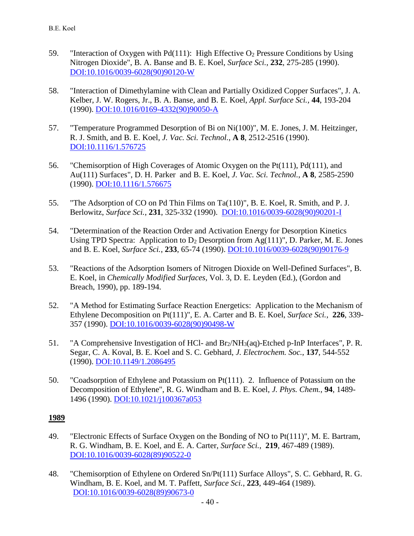- 59. "Interaction of Oxygen with Pd(111): High Effective  $O_2$  Pressure Conditions by Using Nitrogen Dioxide", B. A. Banse and B. E. Koel, *Surface Sci.*, **232**, 275-285 (1990). [DOI:10.1016/0039-6028\(90\)90120-W](http://dx.doi.org/10.1016/0039-6028(90)90120-W)
- 58. "Interaction of Dimethylamine with Clean and Partially Oxidized Copper Surfaces", J. A. Kelber, J. W. Rogers, Jr., B. A. Banse, and B. E. Koel, *Appl. Surface Sci.*, **44**, 193-204 (1990). [DOI:10.1016/0169-4332\(90\)90050-A](http://dx.doi.org/10.1016/0169-4332(90)90050-A)
- 57. "Temperature Programmed Desorption of Bi on Ni(100)", M. E. Jones, J. M. Heitzinger, R. J. Smith, and B. E. Koel, *J. Vac. Sci. Technol.*, **A 8**, 2512-2516 (1990). [DOI:10.1116/1.576725](http://dx.doi.org/10.1116/1.576725)
- 56. "Chemisorption of High Coverages of Atomic Oxygen on the Pt(111), Pd(111), and Au(111) Surfaces", D. H. Parker and B. E. Koel, *J. Vac. Sci. Technol.*, **A 8**, 2585-2590 (1990). [DOI:10.1116/1.576675](http://dx.doi.org/10.1116/1.576675)
- 55. "The Adsorption of CO on Pd Thin Films on Ta(110)", B. E. Koel, R. Smith, and P. J. Berlowitz, *Surface Sci.*, **231**, 325-332 (1990). [DOI:10.1016/0039-6028\(90\)90201-I](http://dx.doi.org/10.1016/0039-6028(90)90201-I)
- 54. "Determination of the Reaction Order and Activation Energy for Desorption Kinetics Using TPD Spectra: Application to  $D_2$  Desorption from Ag(111)", D. Parker, M. E. Jones and B. E. Koel, *Surface Sci.*, **233**, 65-74 (1990). [DOI:10.1016/0039-6028\(90\)90176-9](http://dx.doi.org/10.1016/0039-6028(90)90176-9)
- 53. "Reactions of the Adsorption Isomers of Nitrogen Dioxide on Well-Defined Surfaces", B. E. Koel, in *Chemically Modified Surfaces*, Vol. 3, D. E. Leyden (Ed.), (Gordon and Breach, 1990), pp. 189-194.
- 52. "A Method for Estimating Surface Reaction Energetics: Application to the Mechanism of Ethylene Decomposition on Pt(111)", E. A. Carter and B. E. Koel, *Surface Sci.*, **226**, 339- 357 (1990). [DOI:10.1016/0039-6028\(90\)90498-W](http://www.dx.doi.org/10.1016/0039-6028(90)90498-W)
- 51. "A Comprehensive Investigation of HCl- and Br2/NH3(aq)-Etched p-InP Interfaces", P. R. Segar, C. A. Koval, B. E. Koel and S. C. Gebhard, *J. Electrochem. Soc.*, **137**, 544-552 (1990). [DOI:10.1149/1.2086495](http://dx.doi.org/10.1149/1.2086495)
- 50. "Coadsorption of Ethylene and Potassium on Pt(111). 2. Influence of Potassium on the Decomposition of Ethylene", R. G. Windham and B. E. Koel, *J. Phys. Chem.*, **94**, 1489- 1496 (1990). [DOI:10.1021/j100367a053](http://dx.doi.org/10.1021/j100367a053)

- 49. "Electronic Effects of Surface Oxygen on the Bonding of NO to Pt(111)", M. E. Bartram, R. G. Windham, B. E. Koel, and E. A. Carter, *Surface Sci.*, **219**, 467-489 (1989). [DOI:10.1016/0039-6028\(89\)90522-0](http://www.dx.doi.org/10.1016/0039-6028(89)90522-0)
- 48. "Chemisorption of Ethylene on Ordered Sn/Pt(111) Surface Alloys", S. C. Gebhard, R. G. Windham, B. E. Koel, and M. T. Paffett, *Surface Sci.*, **223**, 449-464 (1989). [DOI:10.1016/0039-6028\(89\)90673-0](http://www.dx.doi.org/10.1016/0039-6028(89)90673-0)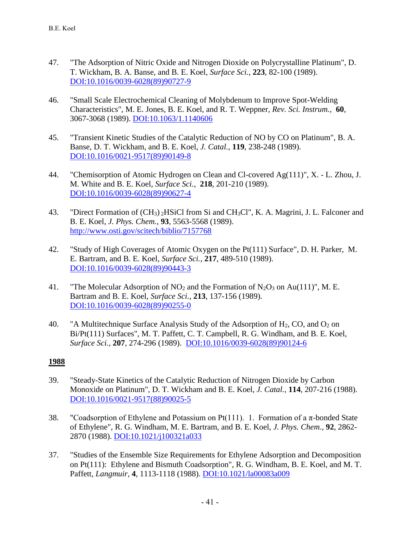- 47. "The Adsorption of Nitric Oxide and Nitrogen Dioxide on Polycrystalline Platinum", D. T. Wickham, B. A. Banse, and B. E. Koel, *Surface Sci.*, **223**, 82-100 (1989). [DOI:10.1016/0039-6028\(89\)90727-9](http://www.dx.doi.org/10.1016/0039-6028(89)90727-9)
- 46. "Small Scale Electrochemical Cleaning of Molybdenum to Improve Spot-Welding Characteristics", M. E. Jones, B. E. Koel, and R. T. Weppner, *Rev. Sci. Instrum.*, **60**, 3067-3068 (1989). [DOI:10.1063/1.1140606](http://dx.doi.org/10.1063/1.1140606)
- 45. "Transient Kinetic Studies of the Catalytic Reduction of NO by CO on Platinum", B. A. Banse, D. T. Wickham, and B. E. Koel, *J. Catal.*, **119**, 238-248 (1989). [DOI:10.1016/0021-9517\(89\)90149-8](http://www.dx.doi.org/10.1016/0021-9517(89)90149-8)
- 44. "Chemisorption of Atomic Hydrogen on Clean and Cl-covered Ag(111)", X. L. Zhou, J. M. White and B. E. Koel, *Surface Sci.*, **218**, 201-210 (1989). [DOI:10.1016/0039-6028\(89\)90627-4](http://www.dx.doi.org/10.1016/0039-6028(89)90627-4)
- 43. "Direct Formation of (CH3) <sup>2</sup>HSiCl from Si and CH3Cl", K. A. Magrini, J. L. Falconer and B. E. Koel, *J. Phys. Chem.*, **93**, 5563-5568 (1989). <http://www.osti.gov/scitech/biblio/7157768>
- 42. "Study of High Coverages of Atomic Oxygen on the Pt(111) Surface", D. H. Parker, M. E. Bartram, and B. E. Koel, *Surface Sci.*, **217**, 489-510 (1989). [DOI:10.1016/0039-6028\(89\)90443-3](http://www.dx.doi.org/10.1016/0039-6028(89)90443-3)
- 41. "The Molecular Adsorption of  $NO<sub>2</sub>$  and the Formation of  $N<sub>2</sub>O<sub>3</sub>$  on Au(111)", M. E. Bartram and B. E. Koel, *Surface Sci.*, **213**, 137-156 (1989). [DOI:10.1016/0039-6028\(89\)90255-0](http://dx.doi.org/10.1016/0039-6028(89)90124-6)
- 40. "A Multitechnique Surface Analysis Study of the Adsorption of  $H_2$ , CO, and  $O_2$  on Bi/Pt(111) Surfaces", M. T. Paffett, C. T. Campbell, R. G. Windham, and B. E. Koel, *Surface Sci.*, **207**, 274-296 (1989). [DOI:10.1016/0039-6028\(89\)90124-6](http://www.dx.doi.org/10.1016/0039-6028(89)90124-6)

- 39. "Steady-State Kinetics of the Catalytic Reduction of Nitrogen Dioxide by Carbon Monoxide on Platinum", D. T. Wickham and B. E. Koel, *J. Catal.*, **114**, 207-216 (1988). [DOI:10.1016/0021-9517\(88\)90025-5](http://www.dx.doi.org/10.1016/0021-9517(88)90025-5)
- 38. "Coadsorption of Ethylene and Potassium on Pt(111). 1. Formation of a  $\pi$ -bonded State of Ethylene", R. G. Windham, M. E. Bartram, and B. E. Koel, *J. Phys. Chem.*, **92**, 2862- 2870 (1988). [DOI:10.1021/j100321a033](http://dx.doi.org/10.1021/j100321a033)
- 37. "Studies of the Ensemble Size Requirements for Ethylene Adsorption and Decomposition on Pt(111): Ethylene and Bismuth Coadsorption", R. G. Windham, B. E. Koel, and M. T. Paffett, *Langmuir*, **4**, 1113-1118 (1988). [DOI:10.1021/la00083a009](http://www.dx.doi.org/10.1021/la00083a009)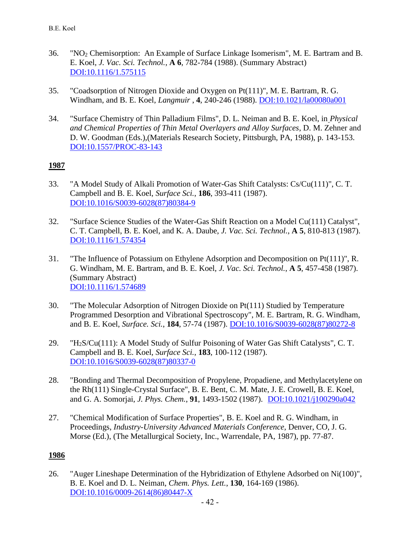- 36. "NO<sup>2</sup> Chemisorption: An Example of Surface Linkage Isomerism", M. E. Bartram and B. E. Koel, *J. Vac. Sci. Technol.*, **A 6**, 782-784 (1988). (Summary Abstract) [DOI:10.1116/1.575115](http://dx.doi.org/10.1116/1.575115)
- 35. "Coadsorption of Nitrogen Dioxide and Oxygen on Pt(111)", M. E. Bartram, R. G. Windham, and B. E. Koel, *Langmuir* , **4**, 240-246 (1988). [DOI:10.1021/la00080a001](http://dx.doi.org/10.1021/la00080a001)
- 34. "Surface Chemistry of Thin Palladium Films", D. L. Neiman and B. E. Koel, in *Physical and Chemical Properties of Thin Metal Overlayers and Alloy Surfaces*, D. M. Zehner and D. W. Goodman (Eds.),(Materials Research Society, Pittsburgh, PA, 1988), p. 143-153. [DOI:10.1557/PROC-83-143](http://dx.doi.org/10.1557/PROC-83-143)

- 33. "A Model Study of Alkali Promotion of Water-Gas Shift Catalysts: Cs/Cu(111)", C. T. Campbell and B. E. Koel, *Surface Sci.*, **186**, 393-411 (1987). [DOI:10.1016/S0039-6028\(87\)80384-9](http://www.dx.doi.org/10.1016/S0039-6028(87)80384-9)
- 32. "Surface Science Studies of the Water-Gas Shift Reaction on a Model Cu(111) Catalyst", C. T. Campbell, B. E. Koel, and K. A. Daube, *J. Vac. Sci. Technol.*, **A 5**, 810-813 (1987). [DOI:10.1116/1.574354](http://dx.doi.org/10.1116/1.574354)
- 31. "The Influence of Potassium on Ethylene Adsorption and Decomposition on Pt(111)", R. G. Windham, M. E. Bartram, and B. E. Koel, *J. Vac. Sci. Technol.*, **A 5**, 457-458 (1987). (Summary Abstract) [DOI:10.1116/1.574689](http://dx.doi.org/10.1116/1.574689)
- 30. "The Molecular Adsorption of Nitrogen Dioxide on Pt(111) Studied by Temperature Programmed Desorption and Vibrational Spectroscopy", M. E. Bartram, R. G. Windham, and B. E. Koel, *Surface. Sci.*, **184**, 57-74 (1987). [DOI:10.1016/S0039-6028\(87\)80272-8](http://www.dx.doi.org/10.1016/S0039-6028(87)80272-8)
- 29. "H2S/Cu(111): A Model Study of Sulfur Poisoning of Water Gas Shift Catalysts", C. T. Campbell and B. E. Koel, *Surface Sci.*, **183**, 100-112 (1987). [DOI:10.1016/S0039-6028\(87\)80337-0](http://www.dx.doi.org/10.1016/S0039-6028(87)80337-0)
- 28. "Bonding and Thermal Decomposition of Propylene, Propadiene, and Methylacetylene on the Rh(111) Single-Crystal Surface", B. E. Bent, C. M. Mate, J. E. Crowell, B. E. Koel, and G. A. Somorjai, *J. Phys. Chem.*, **91**, 1493-1502 (1987). [DOI:10.1021/j100290a042](http://www.dx.doi.org/10.1021/j100290a042)
- 27. "Chemical Modification of Surface Properties", B. E. Koel and R. G. Windham, in Proceedings, *Industry-University Advanced Materials Conference*, Denver, CO, J. G. Morse (Ed.), (The Metallurgical Society, Inc., Warrendale, PA, 1987), pp. 77-87.

#### **1986**

26. "Auger Lineshape Determination of the Hybridization of Ethylene Adsorbed on Ni(100)", B. E. Koel and D. L. Neiman, *Chem. Phys. Lett.*, **130**, 164-169 (1986). [DOI:10.1016/0009-2614\(86\)80447-X](http://www.dx.doi.org/10.1016/0009-2614(86)80447-X)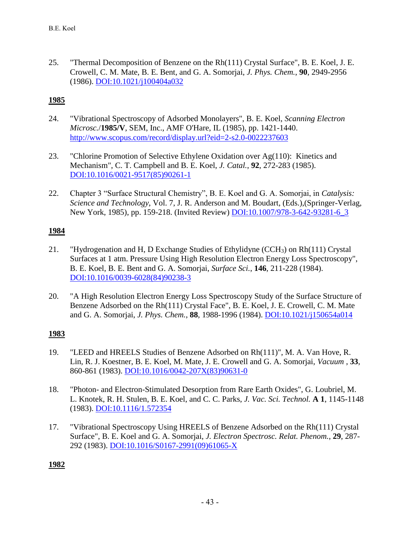25. "Thermal Decomposition of Benzene on the Rh(111) Crystal Surface", B. E. Koel, J. E. Crowell, C. M. Mate, B. E. Bent, and G. A. Somorjai, *J. Phys. Chem.*, **90**, 2949-2956 (1986). [DOI:10.1021/j100404a032](http://www.dx.doi.org/10.1021/j100404a032)

# **1985**

- 24. "Vibrational Spectroscopy of Adsorbed Monolayers", B. E. Koel, *Scanning Electron Microsc.*/**1985/V**, SEM, Inc., AMF O'Hare, IL (1985), pp. 1421-1440. [http://www.scopus.com/record/display.url?eid=2-s2.0-0022237603](http://www.scopus.com/record/display.url?eid=2-s2.0-0022237603&origin=inward&txGid=1AFF97E27849D1C663DFA6A1E4538AE4.zQKnzAySRvJOZYcdfIziQ%3a91)
- 23. "Chlorine Promotion of Selective Ethylene Oxidation over Ag(110): Kinetics and Mechanism", C. T. Campbell and B. E. Koel, *J. Catal.*, **92**, 272-283 (1985). [DOI:10.1016/0021-9517\(85\)90261-1](http://www.dx.doi.org/10.1016/0021-9517(85)90261-1)
- 22. Chapter 3 "Surface Structural Chemistry", B. E. Koel and G. A. Somorjai, in *Catalysis: Science and Technology*, Vol. 7, J. R. Anderson and M. Boudart, (Eds.),(Springer-Verlag, New York, 1985), pp. 159-218. (Invited Review) [DOI:10.1007/978-3-642-93281-6\\_3](http://www.dx.doi.org/10.1007/978-3-642-93281-6_3)

### **1984**

- 21. "Hydrogenation and H, D Exchange Studies of Ethylidyne (CCH3) on Rh(111) Crystal Surfaces at 1 atm. Pressure Using High Resolution Electron Energy Loss Spectroscopy", B. E. Koel, B. E. Bent and G. A. Somorjai, *Surface Sci.*, **146**, 211-228 (1984). [DOI:10.1016/0039-6028\(84\)90238-3](http://www.dx.doi.org/10.1016/0039-6028(84)90238-3)
- 20. "A High Resolution Electron Energy Loss Spectroscopy Study of the Surface Structure of Benzene Adsorbed on the Rh(111) Crystal Face", B. E. Koel, J. E. Crowell, C. M. Mate and G. A. Somorjai, *J. Phys. Chem.*, **88**, 1988-1996 (1984). [DOI:10.1021/j150654a014](http://www.dx.doi.org/10.1021/j150654a014)

## **1983**

- 19. "LEED and HREELS Studies of Benzene Adsorbed on Rh(111)", M. A. Van Hove, R. Lin, R. J. Koestner, B. E. Koel, M. Mate, J. E. Crowell and G. A. Somorjai, *Vacuum* , **33**, 860-861 (1983). [DOI:10.1016/0042-207X\(83\)90631-0](http://www.dx.doi.org/10.1016/0042-207X(83)90631-0)
- 18. "Photon- and Electron-Stimulated Desorption from Rare Earth Oxides", G. Loubriel, M. L. Knotek, R. H. Stulen, B. E. Koel, and C. C. Parks, *J. Vac. Sci. Technol.* **A 1**, 1145-1148 (1983). [DOI:10.1116/1.572354](http://www.dx.doi.org/10.1116/1.572354)
- 17. "Vibrational Spectroscopy Using HREELS of Benzene Adsorbed on the Rh(111) Crystal Surface", B. E. Koel and G. A. Somorjai, *J. Electron Spectrosc. Relat. Phenom.*, **29**, 287- 292 (1983). [DOI:10.1016/S0167-2991\(09\)61065-X](http://dx.doi.org/10.1016/S0167-2991(09)61065-X)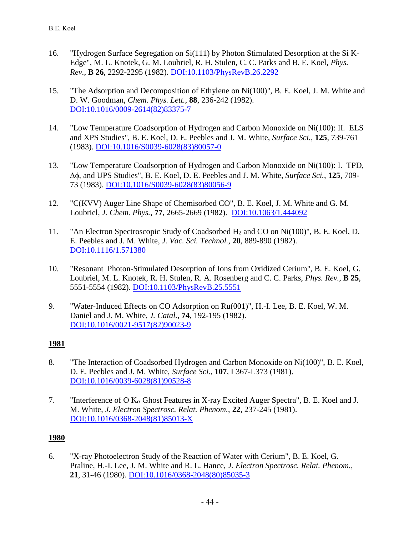- 16. "Hydrogen Surface Segregation on Si(111) by Photon Stimulated Desorption at the Si K-Edge", M. L. Knotek, G. M. Loubriel, R. H. Stulen, C. C. Parks and B. E. Koel, *Phys. Rev.*, **B 26**, 2292-2295 (1982). [DOI:10.1103/PhysRevB.26.2292](http://dx.doi.org/10.1103/PhysRevB.26.2292)
- 15. "The Adsorption and Decomposition of Ethylene on Ni(100)", B. E. Koel, J. M. White and D. W. Goodman, *Chem. Phys. Lett.*, **88**, 236-242 (1982). [DOI:10.1016/0009-2614\(82\)83375-7](http://dx.doi.org/10.1016/0009-2614(82)83375-7)
- 14. "Low Temperature Coadsorption of Hydrogen and Carbon Monoxide on Ni(100): II. ELS and XPS Studies", B. E. Koel, D. E. Peebles and J. M. White, *Surface Sci.*, **125**, 739-761 (1983). [DOI:10.1016/S0039-6028\(83\)80057-0](http://dx.doi.org/10.1016/S0039-6028(83)80057-0)
- 13. "Low Temperature Coadsorption of Hydrogen and Carbon Monoxide on Ni(100): I. TPD, , and UPS Studies", B. E. Koel, D. E. Peebles and J. M. White, *Surface Sci.*, **125**, 709- 73 (1983). [DOI:10.1016/S0039-6028\(83\)80056-9](http://dx.doi.org/10.1016/S0039-6028(83)80056-9)
- 12. "C(KVV) Auger Line Shape of Chemisorbed CO", B. E. Koel, J. M. White and G. M. Loubriel, *J. Chem. Phys.*, **77**, 2665-2669 (1982). [DOI:10.1063/1.444092](http://dx.doi.org/10.1063/1.444092)
- 11. "An Electron Spectroscopic Study of Coadsorbed H<sup>2</sup> and CO on Ni(100)", B. E. Koel, D. E. Peebles and J. M. White, *J. Vac. Sci. Technol.*, **20**, 889-890 (1982). [DOI:10.1116/1.571380](http://dx.doi.org/10.1116/1.571380)
- 10. "Resonant Photon-Stimulated Desorption of Ions from Oxidized Cerium", B. E. Koel, G. Loubriel, M. L. Knotek, R. H. Stulen, R. A. Rosenberg and C. C. Parks, *Phys. Rev.*, **B 25**, 5551-5554 (1982). [DOI:10.1103/PhysRevB.25.5551](http://dx.doi.org/10.1103/PhysRevB.25.5551)
- 9. "Water-Induced Effects on CO Adsorption on Ru(001)", H.-I. Lee, B. E. Koel, W. M. Daniel and J. M. White, *J. Catal.*, **74**, 192-195 (1982). [DOI:10.1016/0021-9517\(82\)90023-9](http://dx.doi.org/10.1016/0021-9517(82)90023-9)

- 8. "The Interaction of Coadsorbed Hydrogen and Carbon Monoxide on Ni(100)", B. E. Koel, D. E. Peebles and J. M. White, *Surface Sci.*, **107**, L367-L373 (1981). [DOI:10.1016/0039-6028\(81\)90528-8](http://dx.doi.org/10.1016/0039-6028(81)90528-8)
- 7. "Interference of O  $K_{\alpha}$  Ghost Features in X-ray Excited Auger Spectra", B. E. Koel and J. M. White, *J. Electron Spectrosc. Relat. Phenom.*, **22**, 237-245 (1981). [DOI:10.1016/0368-2048\(81\)85013-X](http://dx.doi.org/10.1016/0368-2048(81)85013-X)

#### **1980**

6. "X-ray Photoelectron Study of the Reaction of Water with Cerium", B. E. Koel, G. Praline, H.-I. Lee, J. M. White and R. L. Hance, *J. Electron Spectrosc. Relat. Phenom.*, **21**, 31-46 (1980). [DOI:10.1016/0368-2048\(80\)85035-3](http://dx.doi.org/10.1016/0368-2048(80)85035-3)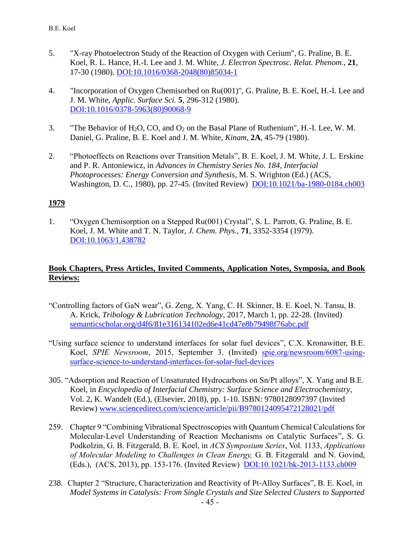- 5. "X-ray Photoelectron Study of the Reaction of Oxygen with Cerium", G. Praline, B. E. Koel, R. L. Hance, H.-I. Lee and J. M. White, *J. Electron Spectrosc. Relat. Phenom.*, **21**, 17-30 (1980). [DOI:10.1016/0368-2048\(80\)85034-1](http://dx.doi.org/10.1016/0368-2048(80)85034-1)
- 4. "Incorporation of Oxygen Chemisorbed on Ru(001)", G. Praline, B. E. Koel, H.-I. Lee and J. M. White, *Applic. Surface Sci.* **5**, 296-312 (1980). [DOI:10.1016/0378-5963\(80\)90068-9](http://dx.doi.org/10.1016/0378-5963(80)90068-9)
- 3. "The Behavior of  $H_2O$ , CO, and  $O_2$  on the Basal Plane of Ruthenium", H.-I. Lee, W. M. Daniel, G. Praline, B. E. Koel and J. M. White, *Kinam*, **2A**, 45-79 (1980).
- 2. "Photoeffects on Reactions over Transition Metals", B. E. Koel, J. M. White, J. L. Erskine and P. R. Antoniewicz, in *Advances in Chemistry Series No. 184, Interfacial Photoprocesses: Energy Conversion and Synthesis*, M. S. Wrighton (Ed.) (ACS, Washington, D. C., 1980), pp. 27-45. (Invited Review) [DOI:10.1021/ba-1980-0184.ch003](http://dx.doi.org/10.1021/ba-1980-0184.ch003)

1. "Oxygen Chemisorption on a Stepped Ru(001) Crystal", S. L. Parrott, G. Praline, B. E. Koel, J. M. White and T. N. Taylor, *J. Chem. Phys.*, **71**, 3352-3354 (1979). [DOI:10.1063/1.438782](http://dx.doi.org/10.1063/1.438782)

### **Book Chapters, Press Articles, Invited Comments, Application Notes, Symposia, and Book Reviews:**

- "Controlling factors of GaN wear", G. Zeng, X. Yang, C. H. Skinner, B. E. Koel, N. Tansu, B. A. Krick, *Tribology & Lubrication Technology*, 2017, March 1, pp. 22-28. (Invited) [semanticscholar.org/d4f6/81e316134102ed6e41cd47e8b79498f76abc.pdf](https://pdfs.semanticscholar.org/d4f6/81e316134102ed6e41cd47e8b79498f76abc.pdf)
- "Using surface science to understand interfaces for solar fuel devices", C.X. Kronawitter, B.E. Koel, *SPIE Newsroom*, 2015, September 3. (Invited) [spie.org/newsroom/6087-using](https://spie.org/newsroom/6087-using-surface-science-to-understand-interfaces-for-solar-fuel-devices)[surface-science-to-understand-interfaces-for-solar-fuel-devices](https://spie.org/newsroom/6087-using-surface-science-to-understand-interfaces-for-solar-fuel-devices)
- 305. "Adsorption and Reaction of Unsaturated Hydrocarbons on Sn/Pt alloys", X. Yang and B.E. Koel, in *Encyclopedia of Interfacial Chemistry: Surface Science and Electrochemistry*, Vol. 2, K. Wandelt (Ed.), (Elsevier, 2018), pp. 1-10. ISBN: 9780128097397 (Invited Review) [www.sciencedirect.com/science/article/pii/B9780124095472128021/pdf](https://www.sciencedirect.com/science/article/pii/B9780124095472128021/pdfft?md5=d9cf6029e2fa7251797373d7ed763a23&pid=main.pdf)
- 259. Chapter 9 "Combining Vibrational Spectroscopies with Quantum Chemical Calculations for Molecular-Level Understanding of Reaction Mechanisms on Catalytic Surfaces", S. G. Podkolzin, G. B. Fitzgerald, B. E. Koel, in *ACS Symposium Series*, Vol. 1133, *Applications of Molecular Modeling to Challenges in Clean Energy,* G. B. Fitzgerald and N. Govind, (Eds.), (ACS, 2013), pp. 153-176. (Invited Review) [DOI:10.1021/bk-2013-1133.ch009](http://dx.doi.org/10.1021/bk-2013-1133.ch009)
- 238. Chapter 2 "Structure, Characterization and Reactivity of Pt-Alloy Surfaces", B. E. Koel, in *Model Systems in Catalysis: From Single Crystals and Size Selected Clusters to Supported*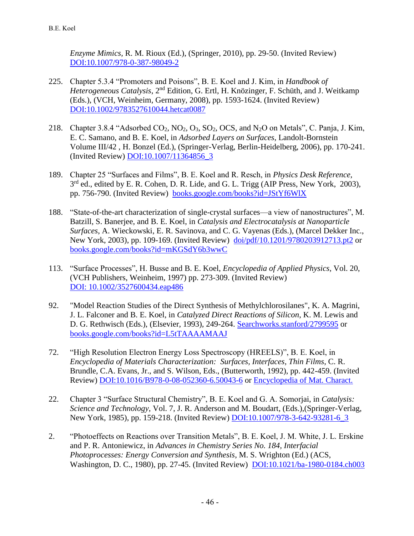*Enzyme Mimics,* R. M. Rioux (Ed.), (Springer, 2010), pp. 29-50. (Invited Review) [DOI:10.1007/978-0-387-98049-2](http://dx.doi.org/10.1007/978-0-387-98049-2)

- 225. Chapter 5.3.4 "Promoters and Poisons", B. E. Koel and J. Kim, in *Handbook of*  Heterogeneous Catalysis, 2<sup>nd</sup> Edition, G. Ertl, H. Knözinger, F. Schüth, and J. Weitkamp (Eds.), (VCH, Weinheim, Germany, 2008), pp. 1593-1624. (Invited Review) [DOI:10.1002/9783527610044.hetcat0087](http://dx.doi.org/10.1002/9783527610044.hetcat0087)
- 218. Chapter 3.8.4 "Adsorbed  $CO_2$ ,  $NO_2$ ,  $O_3$ ,  $SO_2$ ,  $OCS$ , and  $N_2O$  on Metals", C. Panja, J. Kim, E. C. Samano, and B. E. Koel, in *Adsorbed Layers on Surfaces*, Landolt-Bornstein Volume III/42 , H. Bonzel (Ed.), (Springer-Verlag, Berlin-Heidelberg, 2006), pp. 170-241. (Invited Review) [DOI:10.1007/11364856\\_3](http://dx.doi.org/10.1007/11364856_3)
- 189. Chapter 25 "Surfaces and Films", B. E. Koel and R. Resch, in *Physics Desk Reference,* 3<sup>rd</sup> ed., edited by E. R. Cohen, D. R. Lide, and G. L. Trigg (AIP Press, New York, 2003), pp. 756-790. (Invited Review) [books.google.com/books?id=JStYf6WlX](https://books.google.com/books?id=JStYf6WlXpgC&pg=PR29&lpg=PR29&dq=surface+and+films,+physics+desk+reference&source=bl&ots=AbZ2VM2WrZ&sig=7HiGWD4GbEAtXBwbG8w_8UEn-6s&hl=en&sa=X&ei=B5OQVNbwH7LGsQTgroKoDw&ved=0CCgQ6AEwAQ#v=onepage&q=surface%20and%20films%2C%20physics%20desk%20reference&f=false)
- 188. "State-of-the-art characterization of single-crystal surfaces—a view of nanostructures", M. Batzill, S. Banerjee, and B. E. Koel, in *Catalysis and Electrocatalysis at Nanoparticle Surfaces*, A. Wieckowski, E. R. Savinova, and C. G. Vayenas (Eds.), (Marcel Dekker Inc., New York, 2003), pp. 109-169. (Invited Review) [doi/pdf/10.1201/9780203912713.pt2](http://www.crcnetbase.com/doi/pdf/10.1201/9780203912713.pt2) or [books.google.com/books?id=mKGSdY6b3wwC](https://books.google.com/books?hl=en&lr=&id=mKGSdY6b3wwC&oi=fnd&pg=PA109&ots=XSJebONk-E&sig=_46wV-HLJOAZtbQtLKDbRO0l7Zc#v=onepage&q&f=false)
- 113. "Surface Processes", H. Busse and B. E. Koel, *Encyclopedia of Applied Physics*, Vol. 20, (VCH Publishers, Weinheim, 1997) pp. 273-309. (Invited Review) [DOI: 10.1002/3527600434.eap486](http://dx.doi.org/10.1002/3527600434.eap486)
- 92. "Model Reaction Studies of the Direct Synthesis of Methylchlorosilanes", K. A. Magrini, J. L. Falconer and B. E. Koel, in *Catalyzed Direct Reactions of Silicon*, K. M. Lewis and D. G. Rethwisch (Eds.), (Elsevier, 1993), 249-264. [Searchworks.stanford/2799595](http://searchworks.stanford.edu/view/2799595) or [books.google.com/books?id=L5tTAAAAMAAJ](https://books.google.com/books?id=L5tTAAAAMAAJ&source=gbs_ViewAPI)
- 72. "High Resolution Electron Energy Loss Spectroscopy (HREELS)", B. E. Koel, in *Encyclopedia of Materials Characterization: Surfaces, Interfaces, Thin Films*, C. R. Brundle, C.A. Evans, Jr., and S. Wilson, Eds., (Butterworth, 1992), pp. 442-459. (Invited Review) [DOI:10.1016/B978-0-08-052360-6.50043-6](http://dx.doi.org/10.1016/B978-0-08-052360-6.50043-6) or [Encyclopedia of Mat. Charact.](http://ricebrosplymouth.com/_manuals/books/Encyclopedia%20of%20Materials%20Characterization%20-%20C.%20Richard%20Brundle.pdf)
- 22. Chapter 3 "Surface Structural Chemistry", B. E. Koel and G. A. Somorjai, in *Catalysis: Science and Technology*, Vol. 7, J. R. Anderson and M. Boudart, (Eds.),(Springer-Verlag, New York, 1985), pp. 159-218. (Invited Review) [DOI:10.1007/978-3-642-93281-6\\_3](http://www.dx.doi.org/10.1007/978-3-642-93281-6_3)
- 2. "Photoeffects on Reactions over Transition Metals", B. E. Koel, J. M. White, J. L. Erskine and P. R. Antoniewicz, in *Advances in Chemistry Series No. 184, Interfacial Photoprocesses: Energy Conversion and Synthesis*, M. S. Wrighton (Ed.) (ACS, Washington, D. C., 1980), pp. 27-45. (Invited Review) [DOI:10.1021/ba-1980-0184.ch003](http://dx.doi.org/10.1021/ba-1980-0184.ch003)